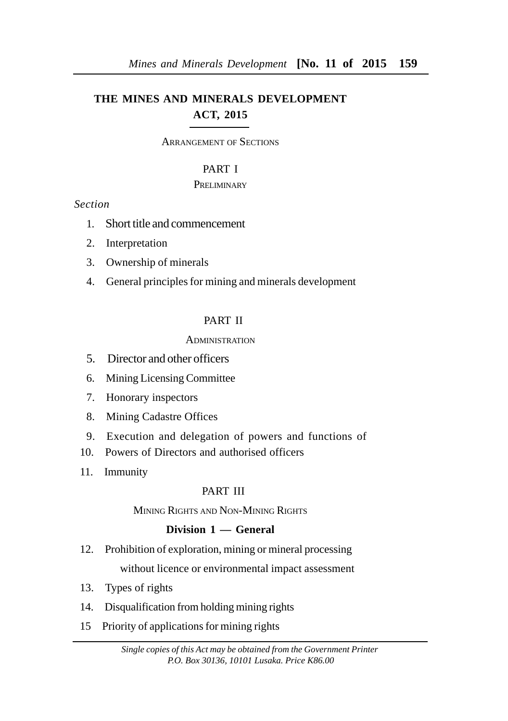# **THE MINES AND MINERALS DEVELOPMENT ACT, 2015**

ARRANGEMENT OF SECTIONS

## PART I

## **PRELIMINARY**

## *Section*

- 1. Short title and commencement
- 2. Interpretation
- 3. Ownership of minerals
- 4. General principles for mining and minerals development

## PART II

## ADMINISTRATION

- 5. Director and other officers
- 6. Mining Licensing Committee
- 7. Honorary inspectors
- 8. Mining Cadastre Offices
- 9. Execution and delegation of powers and functions of
- 10. Powers of Directors and authorised officers
- 11. Immunity

## PART III

## MINING RIGHTS AND NON-MINING RIGHTS

# **Division 1 — General**

12. Prohibition of exploration, mining or mineral processing

without licence or environmental impact assessment

- 13. Types of rights
- 14. Disqualification from holding mining rights
- 15 Priority of applications for mining rights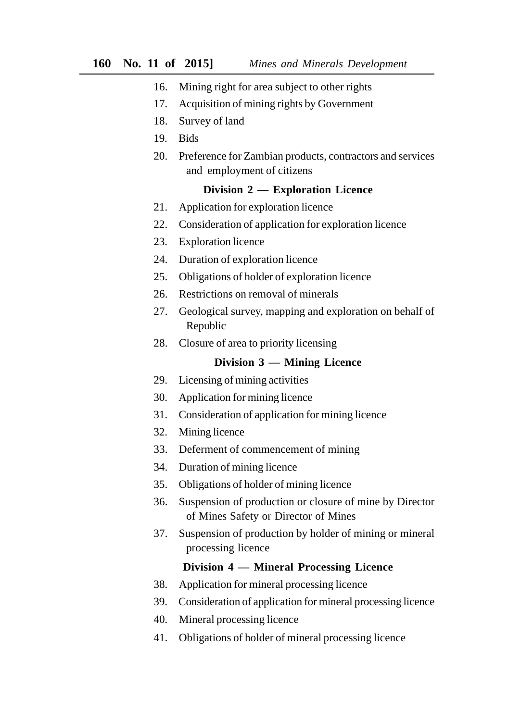- 16. Mining right for area subject to other rights
- 17. Acquisition of mining rights by Government
- 18. Survey of land
- 19. Bids
- 20. Preference for Zambian products, contractors and services and employment of citizens

#### **Division 2 — Exploration Licence**

- 21. Application for exploration licence
- 22. Consideration of application for exploration licence
- 23. Exploration licence
- 24. Duration of exploration licence
- 25. Obligations of holder of exploration licence
- 26. Restrictions on removal of minerals
- 27. Geological survey, mapping and exploration on behalf of Republic
- 28. Closure of area to priority licensing

## **Division 3 — Mining Licence**

- 29. Licensing of mining activities
- 30. Application for mining licence
- 31. Consideration of application for mining licence
- 32. Mining licence
- 33. Deferment of commencement of mining
- 34. Duration of mining licence
- 35. Obligations of holder of mining licence
- 36. Suspension of production or closure of mine by Director of Mines Safety or Director of Mines
- 37. Suspension of production by holder of mining or mineral processing licence

#### **Division 4 — Mineral Processing Licence**

- 38. Application for mineral processing licence
- 39. Consideration of application for mineral processing licence
- 40. Mineral processing licence
- 41. Obligations of holder of mineral processing licence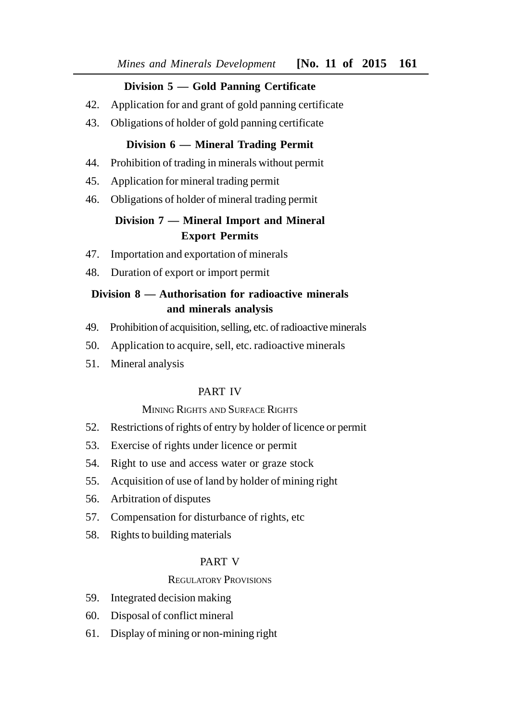# **Division 5 — Gold Panning Certificate**

- 42. Application for and grant of gold panning certificate
- 43. Obligations of holder of gold panning certificate

## **Division 6 — Mineral Trading Permit**

- 44. Prohibition of trading in minerals without permit
- 45. Application for mineral trading permit
- 46. Obligations of holder of mineral trading permit

# **Division 7 — Mineral Import and Mineral Export Permits**

- 47. Importation and exportation of minerals
- 48. Duration of export or import permit

# **Division 8 — Authorisation for radioactive minerals and minerals analysis**

- 49. Prohibition of acquisition, selling, etc. of radioactive minerals
- 50. Application to acquire, sell, etc. radioactive minerals
- 51. Mineral analysis

## PART IV

## MINING RIGHTS AND SURFACE RIGHTS

- 52. Restrictions of rights of entry by holder of licence or permit
- 53. Exercise of rights under licence or permit
- 54. Right to use and access water or graze stock
- 55. Acquisition of use of land by holder of mining right
- 56. Arbitration of disputes
- 57. Compensation for disturbance of rights, etc
- 58. Rights to building materials

## PART V

## REGULATORY PROVISIONS

- 59. Integrated decision making
- 60. Disposal of conflict mineral
- 61. Display of mining or non-mining right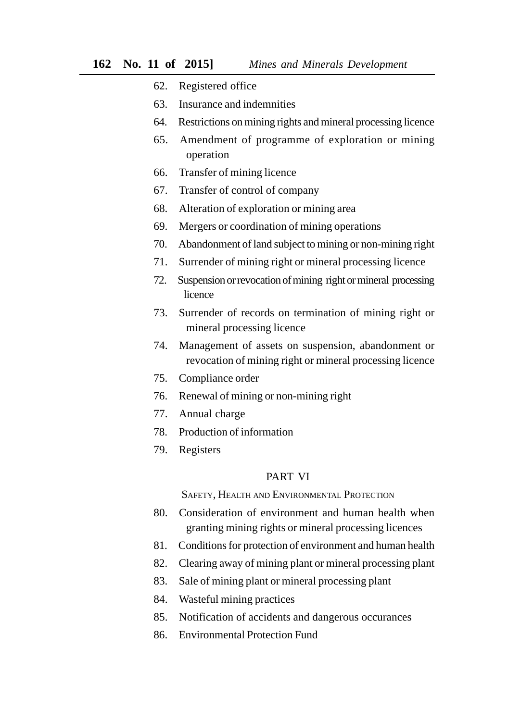- 62. Registered office
- 63. Insurance and indemnities
- 64. Restrictions on mining rights and mineral processing licence
- 65. Amendment of programme of exploration or mining operation
- 66. Transfer of mining licence
- 67. Transfer of control of company
- 68. Alteration of exploration or mining area
- 69. Mergers or coordination of mining operations
- 70. Abandonment of land subject to mining or non-mining right
- 71. Surrender of mining right or mineral processing licence
- 72. Suspension or revocation of mining right or mineral processing licence
- 73. Surrender of records on termination of mining right or mineral processing licence
- 74. Management of assets on suspension, abandonment or revocation of mining right or mineral processing licence
- 75. Compliance order
- 76. Renewal of mining or non-mining right
- 77. Annual charge
- 78. Production of information
- 79. Registers

## PART VI

SAFETY, HEALTH AND ENVIRONMENTAL PROTECTION

- 80. Consideration of environment and human health when granting mining rights or mineral processing licences
- 81. Conditions for protection of environment and human health
- 82. Clearing away of mining plant or mineral processing plant
- 83. Sale of mining plant or mineral processing plant
- 84. Wasteful mining practices
- 85. Notification of accidents and dangerous occurances
- 86. Environmental Protection Fund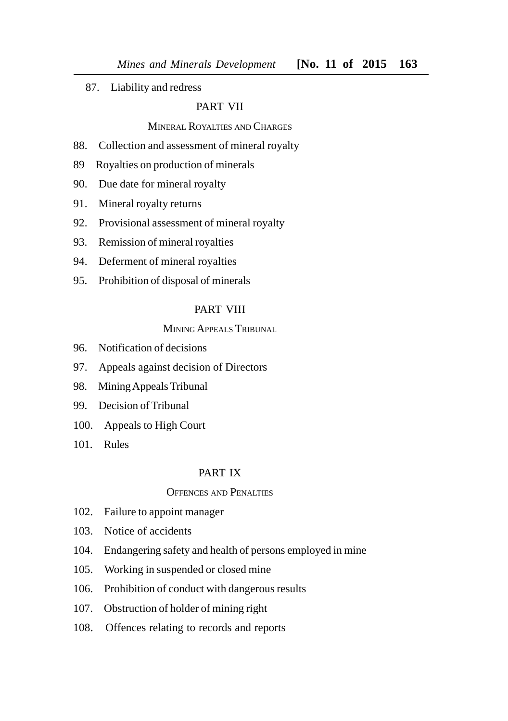87. Liability and redress

#### PART VII

#### MINERAL ROYALTIES AND CHARGES

- 88. Collection and assessment of mineral royalty
- 89 Royalties on production of minerals
- 90. Due date for mineral royalty
- 91. Mineral royalty returns
- 92. Provisional assessment of mineral royalty
- 93. Remission of mineral royalties
- 94. Deferment of mineral royalties
- 95. Prohibition of disposal of minerals

## PART VIII

## MINING APPEALS TRIBUNAL

- 96. Notification of decisions
- 97. Appeals against decision of Directors
- 98. Mining Appeals Tribunal
- 99. Decision of Tribunal
- 100. Appeals to High Court
- 101. Rules

#### PART IX

#### OFFENCES AND PENALTIES

- 102. Failure to appoint manager
- 103. Notice of accidents
- 104. Endangering safety and health of persons employed in mine
- 105. Working in suspended or closed mine
- 106. Prohibition of conduct with dangerous results
- 107. Obstruction of holder of mining right
- 108. Offences relating to records and reports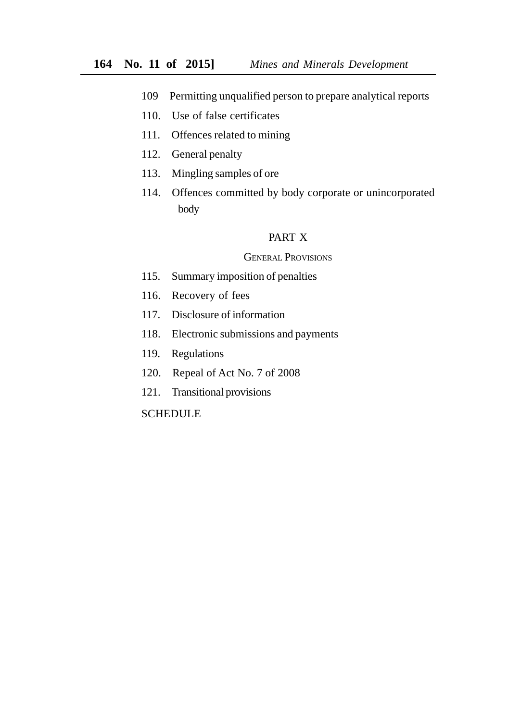- 109 Permitting unqualified person to prepare analytical reports
- 110. Use of false certificates
- 111. Offences related to mining
- 112. General penalty
- 113. Mingling samples of ore
- 114. Offences committed by body corporate or unincorporated body

## PART X

#### GENERAL PROVISIONS

- 115. Summary imposition of penalties
- 116. Recovery of fees
- 117. Disclosure of information
- 118. Electronic submissions and payments
- 119. Regulations
- 120. Repeal of Act No. 7 of 2008
- 121. Transitional provisions

## **SCHEDULE**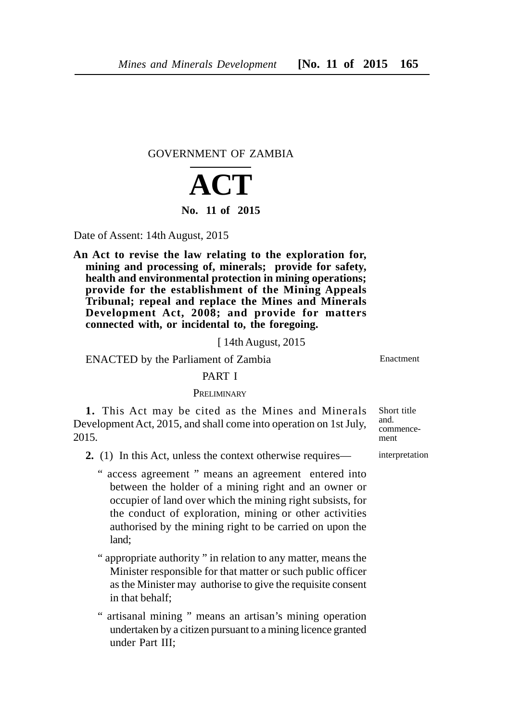GOVERNMENT OF ZAMBIA

# **ACT No. 11 of 2015**

Date of Assent: 14th August, 2015

**An Act to revise the law relating to the exploration for, mining and processing of, minerals; provide for safety, health and environmental protection in mining operations; provide for the establishment of the Mining Appeals Tribunal; repeal and replace the Mines and Minerals Development Act, 2008; and provide for matters connected with, or incidental to, the foregoing.**

[ 14th August, 2015

ENACTED by the Parliament of Zambia

#### PART I

#### **PRELIMINARY**

**1.** This Act may be cited as the Mines and Minerals Development Act, 2015, and shall come into operation on 1st July, 2015.

- **2.** (1) In this Act, unless the context otherwise requires—
	- " access agreement " means an agreement entered into between the holder of a mining right and an owner or occupier of land over which the mining right subsists, for the conduct of exploration, mining or other activities authorised by the mining right to be carried on upon the land;
	- " appropriate authority " in relation to any matter, means the Minister responsible for that matter or such public officer as the Minister may authorise to give the requisite consent in that behalf;
	- " artisanal mining " means an artisan's mining operation undertaken by a citizen pursuant to a mining licence granted under Part III;

Short title and. commencement

interpretation

Enactment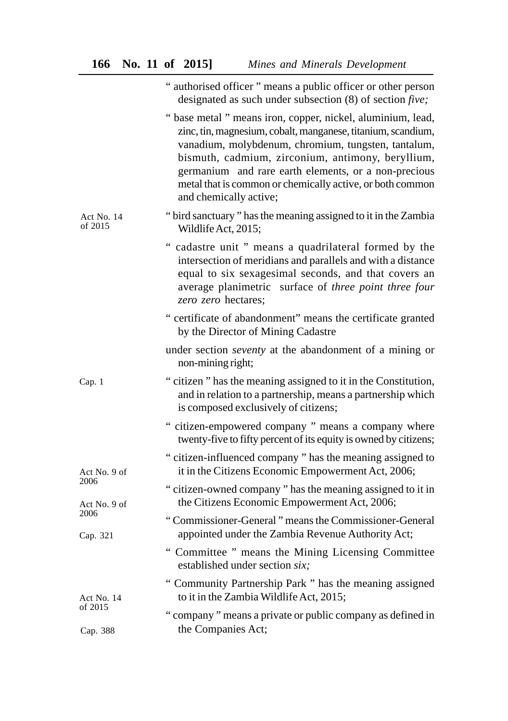|                       | " authorised officer " means a public officer or other person<br>designated as such under subsection $(8)$ of section <i>five</i> ;                                                                                                                                                                                                                                                    |
|-----------------------|----------------------------------------------------------------------------------------------------------------------------------------------------------------------------------------------------------------------------------------------------------------------------------------------------------------------------------------------------------------------------------------|
|                       | " base metal " means iron, copper, nickel, aluminium, lead,<br>zinc, tin, magnesium, cobalt, manganese, titanium, scandium,<br>vanadium, molybdenum, chromium, tungsten, tantalum,<br>bismuth, cadmium, zirconium, antimony, beryllium,<br>germanium and rare earth elements, or a non-precious<br>metal that is common or chemically active, or both common<br>and chemically active; |
| Act No. 14<br>of 2015 | "bird sanctuary" has the meaning assigned to it in the Zambia<br>Wildlife Act, 2015;                                                                                                                                                                                                                                                                                                   |
|                       | " cadastre unit " means a quadrilateral formed by the<br>intersection of meridians and parallels and with a distance<br>equal to six sexagesimal seconds, and that covers an<br>average planimetric surface of three point three four<br>zero zero hectares;                                                                                                                           |
|                       | " certificate of abandonment" means the certificate granted<br>by the Director of Mining Cadastre                                                                                                                                                                                                                                                                                      |
|                       | under section <i>seventy</i> at the abandonment of a mining or<br>non-mining right;                                                                                                                                                                                                                                                                                                    |
| Cap. 1                | "citizen" has the meaning assigned to it in the Constitution,<br>and in relation to a partnership, means a partnership which<br>is composed exclusively of citizens;                                                                                                                                                                                                                   |
|                       | " citizen-empowered company " means a company where<br>twenty-five to fifty percent of its equity is owned by citizens;                                                                                                                                                                                                                                                                |
| Act No. 9 of          | "citizen-influenced company" has the meaning assigned to<br>it in the Citizens Economic Empowerment Act, 2006;                                                                                                                                                                                                                                                                         |
| 2006<br>Act No. 9 of  | "citizen-owned company" has the meaning assigned to it in<br>the Citizens Economic Empowerment Act, 2006;                                                                                                                                                                                                                                                                              |
| 2006<br>Cap. 321      | "Commissioner-General" means the Commissioner-General<br>appointed under the Zambia Revenue Authority Act;                                                                                                                                                                                                                                                                             |
|                       | " Committee " means the Mining Licensing Committee<br>established under section six;                                                                                                                                                                                                                                                                                                   |
| Act No. 14            | "Community Partnership Park" has the meaning assigned<br>to it in the Zambia Wildlife Act, 2015;                                                                                                                                                                                                                                                                                       |
| of 2015<br>Cap. 388   | "company" means a private or public company as defined in<br>the Companies Act;                                                                                                                                                                                                                                                                                                        |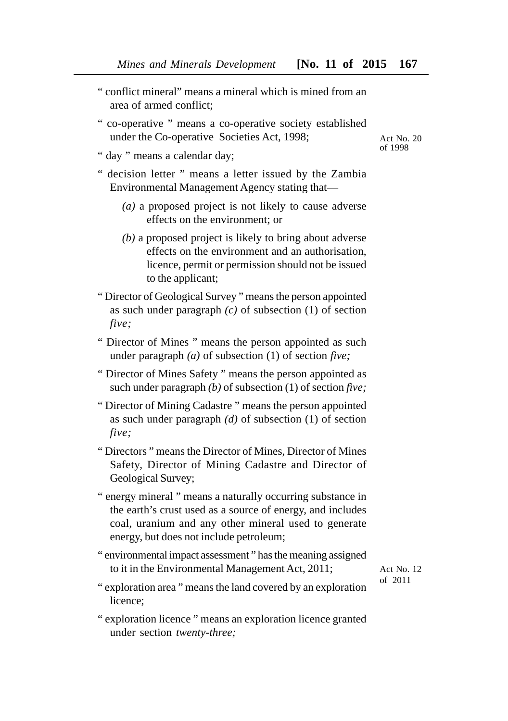- " conflict mineral" means a mineral which is mined from an area of armed conflict;
- " co-operative " means a co-operative society established under the Co-operative Societies Act, 1998;
- " day " means a calendar day;
- " decision letter " means a letter issued by the Zambia Environmental Management Agency stating that—
	- *(a)* a proposed project is not likely to cause adverse effects on the environment; or
	- *(b)* a proposed project is likely to bring about adverse effects on the environment and an authorisation, licence, permit or permission should not be issued to the applicant;
- " Director of Geological Survey " means the person appointed as such under paragraph *(c)* of subsection (1) of section *five;*
- " Director of Mines " means the person appointed as such under paragraph *(a)* of subsection (1) of section *five;*
- " Director of Mines Safety " means the person appointed as such under paragraph *(b)* of subsection (1) of section *five;*
- " Director of Mining Cadastre " means the person appointed as such under paragraph *(d)* of subsection (1) of section *five;*
- " Directors " means the Director of Mines, Director of Mines Safety, Director of Mining Cadastre and Director of Geological Survey;
- " energy mineral " means a naturally occurring substance in the earth's crust used as a source of energy, and includes coal, uranium and any other mineral used to generate energy, but does not include petroleum;
- " environmental impact assessment " has the meaning assigned to it in the Environmental Management Act, 2011;

Act No. 12 of 2011

- " exploration area " means the land covered by an exploration licence;
- " exploration licence " means an exploration licence granted under section *twenty-three;*

Act No. 20 of 1998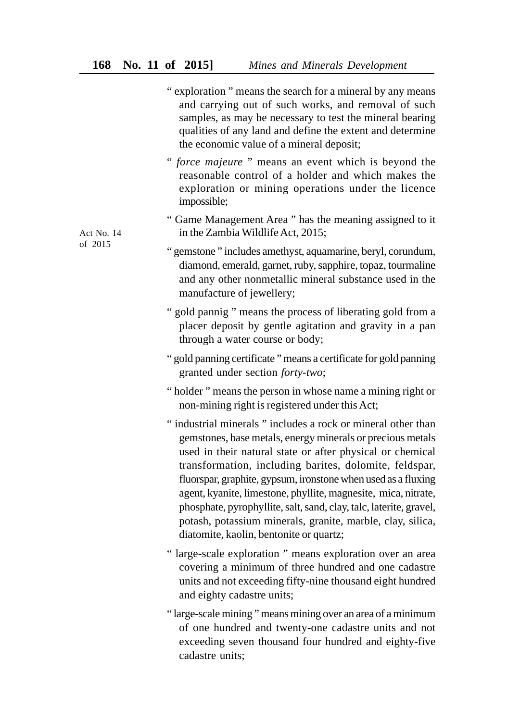|                       | "exploration" means the search for a mineral by any means<br>and carrying out of such works, and removal of such<br>samples, as may be necessary to test the mineral bearing<br>qualities of any land and define the extent and determine<br>the economic value of a mineral deposit;                                                                                                                                                                                                                                                                              |
|-----------------------|--------------------------------------------------------------------------------------------------------------------------------------------------------------------------------------------------------------------------------------------------------------------------------------------------------------------------------------------------------------------------------------------------------------------------------------------------------------------------------------------------------------------------------------------------------------------|
|                       | " force majeure" means an event which is beyond the<br>reasonable control of a holder and which makes the<br>exploration or mining operations under the licence<br>impossible;                                                                                                                                                                                                                                                                                                                                                                                     |
| Act No. 14<br>of 2015 | "Game Management Area" has the meaning assigned to it<br>in the Zambia Wildlife Act, 2015;                                                                                                                                                                                                                                                                                                                                                                                                                                                                         |
|                       | " gemstone " includes amethyst, aquamarine, beryl, corundum,<br>diamond, emerald, garnet, ruby, sapphire, topaz, tourmaline<br>and any other nonmetallic mineral substance used in the<br>manufacture of jewellery;                                                                                                                                                                                                                                                                                                                                                |
|                       | " gold pannig " means the process of liberating gold from a<br>placer deposit by gentle agitation and gravity in a pan<br>through a water course or body;                                                                                                                                                                                                                                                                                                                                                                                                          |
|                       | " gold panning certificate " means a certificate for gold panning<br>granted under section forty-two;                                                                                                                                                                                                                                                                                                                                                                                                                                                              |
|                       | "holder" means the person in whose name a mining right or<br>non-mining right is registered under this Act;                                                                                                                                                                                                                                                                                                                                                                                                                                                        |
|                       | "industrial minerals" includes a rock or mineral other than<br>gemstones, base metals, energy minerals or precious metals<br>used in their natural state or after physical or chemical<br>transformation, including barites, dolomite, feldspar,<br>fluorspar, graphite, gypsum, ironstone when used as a fluxing<br>agent, kyanite, limestone, phyllite, magnesite, mica, nitrate,<br>phosphate, pyrophyllite, salt, sand, clay, talc, laterite, gravel,<br>potash, potassium minerals, granite, marble, clay, silica,<br>diatomite, kaolin, bentonite or quartz; |
|                       | "large-scale exploration" means exploration over an area<br>covering a minimum of three hundred and one cadastre<br>units and not exceeding fifty-nine thousand eight hundred<br>and eighty cadastre units;                                                                                                                                                                                                                                                                                                                                                        |
|                       | "large-scale mining" means mining over an area of a minimum<br>of one hundred and twenty-one cadastre units and not<br>exceeding seven thousand four hundred and eighty-five<br>cadastre units;                                                                                                                                                                                                                                                                                                                                                                    |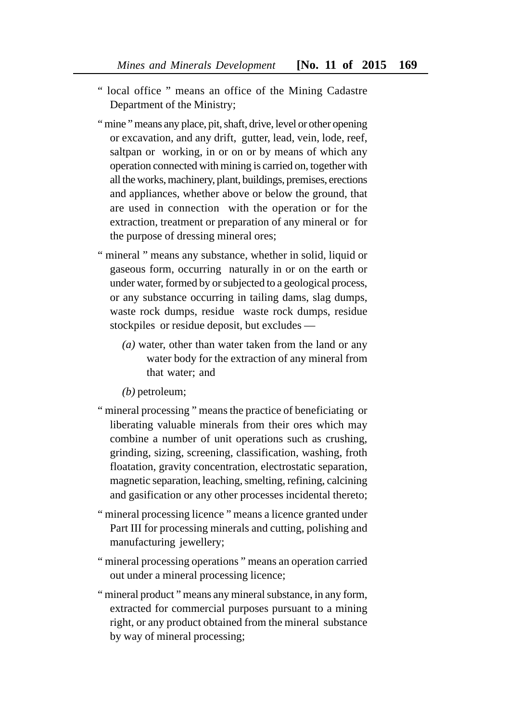- " local office " means an office of the Mining Cadastre Department of the Ministry;
- " mine " means any place, pit, shaft, drive, level or other opening or excavation, and any drift, gutter, lead, vein, lode, reef, saltpan or working, in or on or by means of which any operation connected with mining is carried on, together with all the works, machinery, plant, buildings, premises, erections and appliances, whether above or below the ground, that are used in connection with the operation or for the extraction, treatment or preparation of any mineral or for the purpose of dressing mineral ores;
- " mineral " means any substance, whether in solid, liquid or gaseous form, occurring naturally in or on the earth or under water, formed by or subjected to a geological process, or any substance occurring in tailing dams, slag dumps, waste rock dumps, residue waste rock dumps, residue stockpiles or residue deposit, but excludes —
	- *(a)* water, other than water taken from the land or any water body for the extraction of any mineral from that water; and
	- *(b)* petroleum;
- " mineral processing " means the practice of beneficiating or liberating valuable minerals from their ores which may combine a number of unit operations such as crushing, grinding, sizing, screening, classification, washing, froth floatation, gravity concentration, electrostatic separation, magnetic separation, leaching, smelting, refining, calcining and gasification or any other processes incidental thereto;
- " mineral processing licence " means a licence granted under Part III for processing minerals and cutting, polishing and manufacturing jewellery;
- " mineral processing operations " means an operation carried out under a mineral processing licence;
- " mineral product " means any mineral substance, in any form, extracted for commercial purposes pursuant to a mining right, or any product obtained from the mineral substance by way of mineral processing;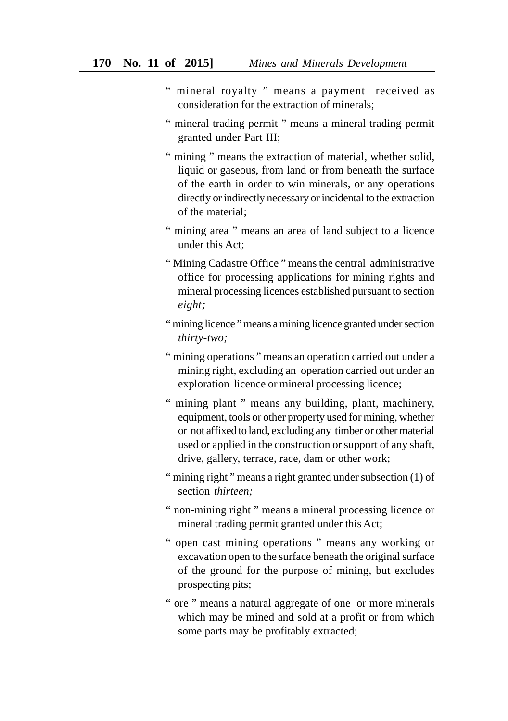- " mineral royalty " means a payment received as consideration for the extraction of minerals;
- " mineral trading permit " means a mineral trading permit granted under Part III;
- " mining " means the extraction of material, whether solid, liquid or gaseous, from land or from beneath the surface of the earth in order to win minerals, or any operations directly or indirectly necessary or incidental to the extraction of the material;
- " mining area " means an area of land subject to a licence under this Act;
- " Mining Cadastre Office " means the central administrative office for processing applications for mining rights and mineral processing licences established pursuant to section *eight;*
- " mining licence " means a mining licence granted under section *thirty-two;*
- " mining operations " means an operation carried out under a mining right, excluding an operation carried out under an exploration licence or mineral processing licence;
- " mining plant " means any building, plant, machinery, equipment, tools or other property used for mining, whether or not affixed to land, excluding any timber or other material used or applied in the construction or support of any shaft, drive, gallery, terrace, race, dam or other work;
- " mining right " means a right granted under subsection (1) of section *thirteen;*
- " non-mining right " means a mineral processing licence or mineral trading permit granted under this Act;
- " open cast mining operations " means any working or excavation open to the surface beneath the original surface of the ground for the purpose of mining, but excludes prospecting pits;
- " ore " means a natural aggregate of one or more minerals which may be mined and sold at a profit or from which some parts may be profitably extracted;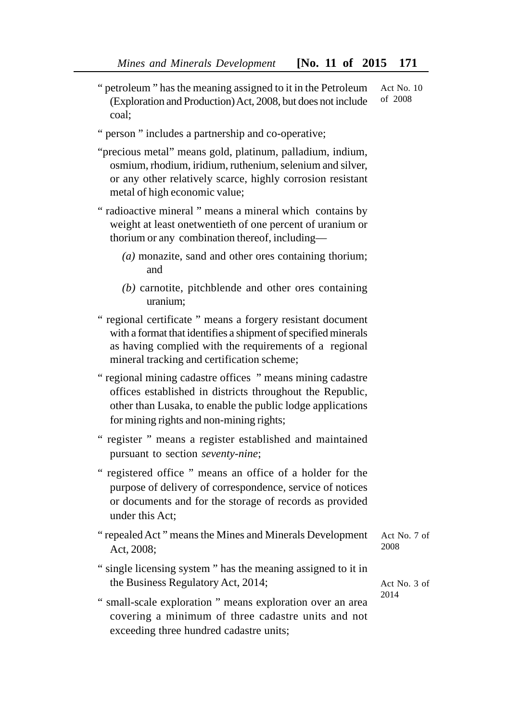- " petroleum " has the meaning assigned to it in the Petroleum (Exploration and Production) Act, 2008, but does not include coal; Act No. 10 of 2008
- " person " includes a partnership and co-operative;
- "precious metal" means gold, platinum, palladium, indium, osmium, rhodium, iridium, ruthenium, selenium and silver, or any other relatively scarce, highly corrosion resistant metal of high economic value;
- " radioactive mineral " means a mineral which contains by weight at least onetwentieth of one percent of uranium or thorium or any combination thereof, including—
	- *(a)* monazite, sand and other ores containing thorium; and
	- *(b)* carnotite, pitchblende and other ores containing uranium;
- " regional certificate " means a forgery resistant document with a format that identifies a shipment of specified minerals as having complied with the requirements of a regional mineral tracking and certification scheme;
- " regional mining cadastre offices " means mining cadastre offices established in districts throughout the Republic, other than Lusaka, to enable the public lodge applications for mining rights and non-mining rights;
- " register " means a register established and maintained pursuant to section *seventy-nine*;
- " registered office " means an office of a holder for the purpose of delivery of correspondence, service of notices or documents and for the storage of records as provided under this Act;
- " repealed Act " means the Mines and Minerals Development Act, 2008; Act No. 7 of 2008
- " single licensing system " has the meaning assigned to it in the Business Regulatory Act, 2014;
- " small-scale exploration " means exploration over an area covering a minimum of three cadastre units and not exceeding three hundred cadastre units;

Act No. 3 of 2014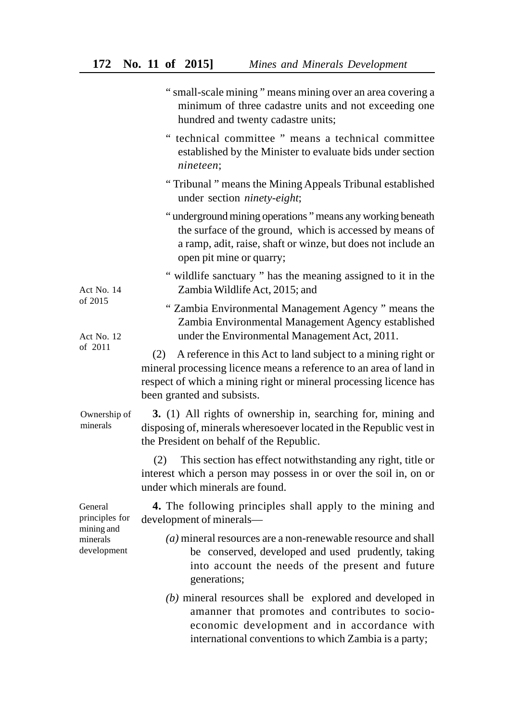|                                                                    | " small-scale mining " means mining over an area covering a<br>minimum of three cadastre units and not exceeding one<br>hundred and twenty cadastre units;                                                                                   |
|--------------------------------------------------------------------|----------------------------------------------------------------------------------------------------------------------------------------------------------------------------------------------------------------------------------------------|
|                                                                    | " technical committee " means a technical committee<br>established by the Minister to evaluate bids under section<br>nineteen;                                                                                                               |
|                                                                    | "Tribunal" means the Mining Appeals Tribunal established<br>under section ninety-eight;                                                                                                                                                      |
|                                                                    | "underground mining operations" means any working beneath<br>the surface of the ground, which is accessed by means of<br>a ramp, adit, raise, shaft or winze, but does not include an<br>open pit mine or quarry;                            |
| Act No. 14<br>of 2015<br>Act No. 12<br>of 2011                     | " wildlife sanctuary " has the meaning assigned to it in the<br>Zambia Wildlife Act, 2015; and                                                                                                                                               |
|                                                                    | "Zambia Environmental Management Agency" means the<br>Zambia Environmental Management Agency established<br>under the Environmental Management Act, 2011.                                                                                    |
|                                                                    | A reference in this Act to land subject to a mining right or<br>(2)<br>mineral processing licence means a reference to an area of land in<br>respect of which a mining right or mineral processing licence has<br>been granted and subsists. |
| Ownership of<br>minerals                                           | 3. (1) All rights of ownership in, searching for, mining and<br>disposing of, minerals wheresoever located in the Republic vest in<br>the President on behalf of the Republic.                                                               |
|                                                                    | This section has effect notwithstanding any right, title or<br>(2)<br>interest which a person may possess in or over the soil in, on or<br>under which minerals are found.                                                                   |
| General<br>principles for<br>mining and<br>minerals<br>development | 4. The following principles shall apply to the mining and<br>development of minerals-                                                                                                                                                        |
|                                                                    | $(a)$ mineral resources are a non-renewable resource and shall<br>be conserved, developed and used prudently, taking<br>into account the needs of the present and future<br>generations;                                                     |
|                                                                    | $(b)$ mineral resources shall be explored and developed in<br>amanner that promotes and contributes to socio-<br>economic development and in accordance with<br>international conventions to which Zambia is a party;                        |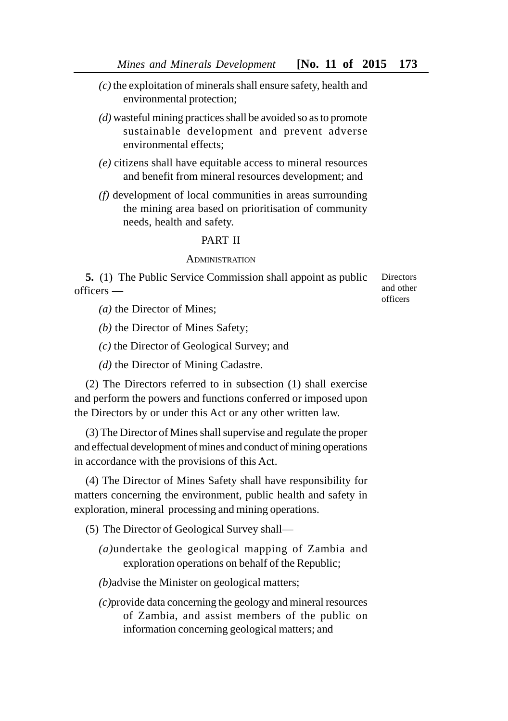- *(c)* the exploitation of minerals shall ensure safety, health and environmental protection;
- *(d)* wasteful mining practices shall be avoided so as to promote sustainable development and prevent adverse environmental effects;
- *(e)* citizens shall have equitable access to mineral resources and benefit from mineral resources development; and
- *(f)* development of local communities in areas surrounding the mining area based on prioritisation of community needs, health and safety.

#### PART II

#### **ADMINISTRATION**

**5.** (1) The Public Service Commission shall appoint as public officers —

*(a)* the Director of Mines;

*(b)* the Director of Mines Safety;

*(c)* the Director of Geological Survey; and

*(d)* the Director of Mining Cadastre.

(2) The Directors referred to in subsection (1) shall exercise and perform the powers and functions conferred or imposed upon the Directors by or under this Act or any other written law.

(3) The Director of Mines shall supervise and regulate the proper and effectual development of mines and conduct of mining operations in accordance with the provisions of this Act.

(4) The Director of Mines Safety shall have responsibility for matters concerning the environment, public health and safety in exploration, mineral processing and mining operations.

(5) The Director of Geological Survey shall—

*(a)*undertake the geological mapping of Zambia and exploration operations on behalf of the Republic;

*(b)*advise the Minister on geological matters;

*(c)*provide data concerning the geology and mineral resources of Zambia, and assist members of the public on information concerning geological matters; and

Directors and other officers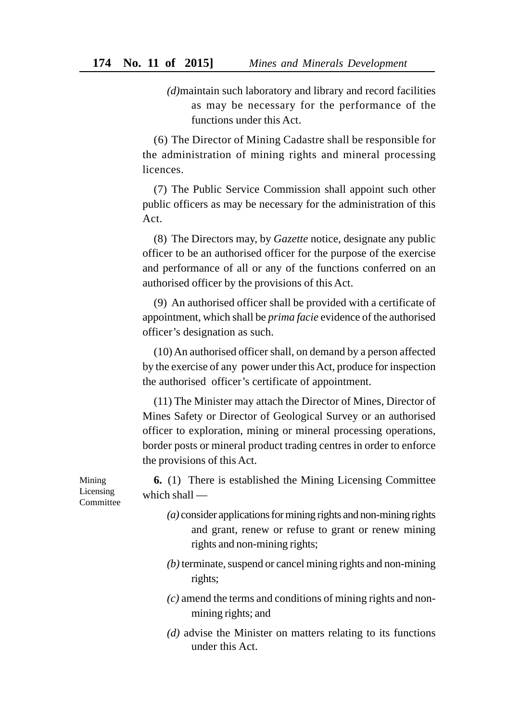*(d)*maintain such laboratory and library and record facilities as may be necessary for the performance of the functions under this Act.

(6) The Director of Mining Cadastre shall be responsible for the administration of mining rights and mineral processing licences.

(7) The Public Service Commission shall appoint such other public officers as may be necessary for the administration of this Act.

(8) The Directors may, by *Gazette* notice, designate any public officer to be an authorised officer for the purpose of the exercise and performance of all or any of the functions conferred on an authorised officer by the provisions of this Act.

(9) An authorised officer shall be provided with a certificate of appointment, which shall be *prima facie* evidence of the authorised officer's designation as such.

(10) An authorised officer shall, on demand by a person affected by the exercise of any power under this Act, produce for inspection the authorised officer's certificate of appointment.

(11) The Minister may attach the Director of Mines, Director of Mines Safety or Director of Geological Survey or an authorised officer to exploration, mining or mineral processing operations, border posts or mineral product trading centres in order to enforce the provisions of this Act.

**6.** (1) There is established the Mining Licensing Committee which shall —

- *(a)* consider applications for mining rights and non-mining rights and grant, renew or refuse to grant or renew mining rights and non-mining rights;
- *(b)* terminate, suspend or cancel mining rights and non-mining rights;
- *(c)* amend the terms and conditions of mining rights and nonmining rights; and
- *(d)* advise the Minister on matters relating to its functions under this Act.

Mining Licensing **Committee**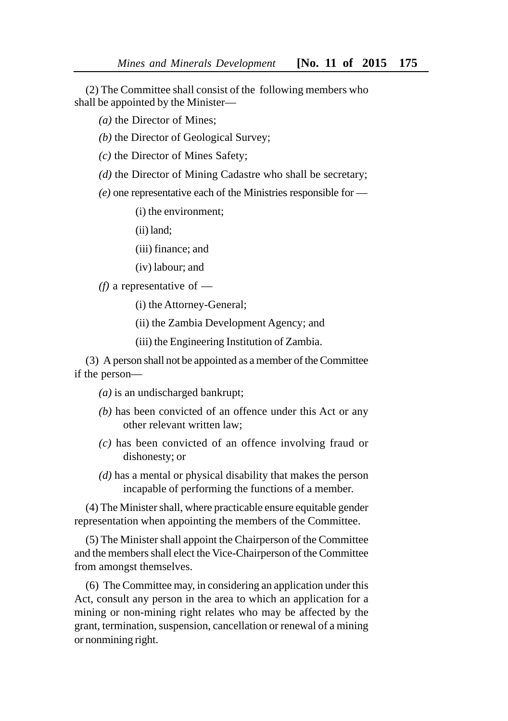(2) The Committee shall consist of the following members who shall be appointed by the Minister—

*(a)* the Director of Mines;

*(b)* the Director of Geological Survey;

*(c)* the Director of Mines Safety;

- *(d)* the Director of Mining Cadastre who shall be secretary;
- *(e)* one representative each of the Ministries responsible for —

(i) the environment;

(ii) land;

(iii) finance; and

(iv) labour; and

*(f)* a representative of —

(i) the Attorney-General;

(ii) the Zambia Development Agency; and

(iii) the Engineering Institution of Zambia.

(3) A person shall not be appointed as a member of the Committee if the person—

- *(a)* is an undischarged bankrupt;
- *(b)* has been convicted of an offence under this Act or any other relevant written law;
- *(c)* has been convicted of an offence involving fraud or dishonesty; or
- *(d)* has a mental or physical disability that makes the person incapable of performing the functions of a member.

(4) The Minister shall, where practicable ensure equitable gender representation when appointing the members of the Committee.

(5) The Minister shall appoint the Chairperson of the Committee and the members shall elect the Vice-Chairperson of the Committee from amongst themselves.

(6) The Committee may, in considering an application under this Act, consult any person in the area to which an application for a mining or non-mining right relates who may be affected by the grant, termination, suspension, cancellation or renewal of a mining or nonmining right.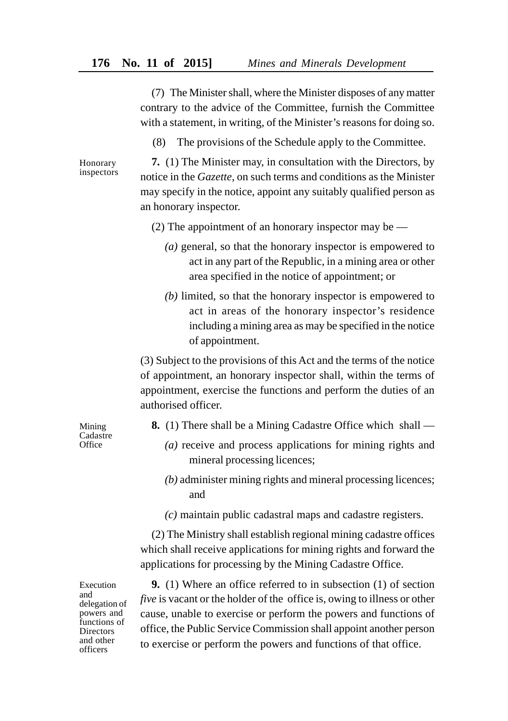(7) The Minister shall, where the Minister disposes of any matter contrary to the advice of the Committee, furnish the Committee with a statement, in writing, of the Minister's reasons for doing so.

(8) The provisions of the Schedule apply to the Committee.

Honorary inspectors

**7.** (1) The Minister may, in consultation with the Directors, by notice in the *Gazette*, on such terms and conditions as the Minister may specify in the notice, appoint any suitably qualified person as an honorary inspector.

- (2) The appointment of an honorary inspector may be
	- *(a)* general, so that the honorary inspector is empowered to act in any part of the Republic, in a mining area or other area specified in the notice of appointment; or
	- *(b)* limited, so that the honorary inspector is empowered to act in areas of the honorary inspector's residence including a mining area as may be specified in the notice of appointment.

(3) Subject to the provisions of this Act and the terms of the notice of appointment, an honorary inspector shall, within the terms of appointment, exercise the functions and perform the duties of an authorised officer.

- **8.** (1) There shall be a Mining Cadastre Office which shall
	- *(a)* receive and process applications for mining rights and mineral processing licences;
	- *(b)* administer mining rights and mineral processing licences; and
	- *(c)* maintain public cadastral maps and cadastre registers.

(2) The Ministry shall establish regional mining cadastre offices which shall receive applications for mining rights and forward the applications for processing by the Mining Cadastre Office.

Execution and delegation of powers and functions of **Directors** and other officers

**9.** (1) Where an office referred to in subsection (1) of section *five* is vacant or the holder of the office is, owing to illness or other cause, unable to exercise or perform the powers and functions of office, the Public Service Commission shall appoint another person to exercise or perform the powers and functions of that office.

Mining Cadastre **Office**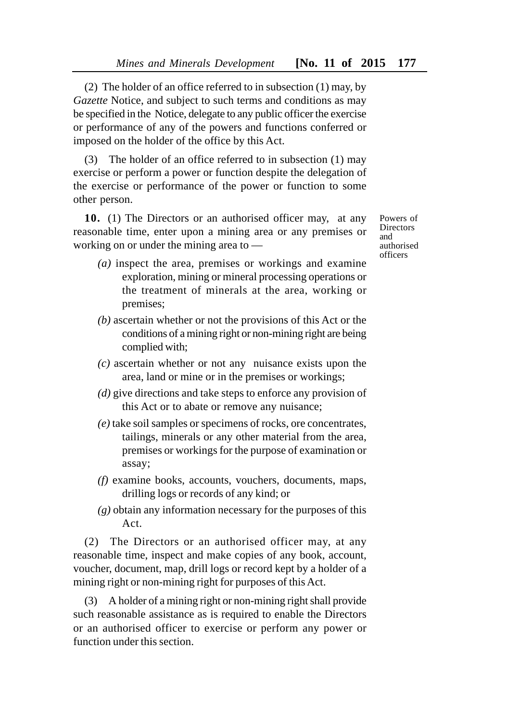(2) The holder of an office referred to in subsection (1) may, by *Gazette* Notice, and subject to such terms and conditions as may be specified in the Notice, delegate to any public officer the exercise or performance of any of the powers and functions conferred or imposed on the holder of the office by this Act.

(3) The holder of an office referred to in subsection (1) may exercise or perform a power or function despite the delegation of the exercise or performance of the power or function to some other person.

**10.** (1) The Directors or an authorised officer may, at any reasonable time, enter upon a mining area or any premises or working on or under the mining area to —

Powers of Directors and authorised officers

- *(a)* inspect the area, premises or workings and examine exploration, mining or mineral processing operations or the treatment of minerals at the area, working or premises;
- *(b)* ascertain whether or not the provisions of this Act or the conditions of a mining right or non-mining right are being complied with;
- *(c)* ascertain whether or not any nuisance exists upon the area, land or mine or in the premises or workings;
- *(d)* give directions and take steps to enforce any provision of this Act or to abate or remove any nuisance;
- *(e)* take soil samples or specimens of rocks, ore concentrates, tailings, minerals or any other material from the area, premises or workings for the purpose of examination or assay;
- *(f)* examine books, accounts, vouchers, documents, maps, drilling logs or records of any kind; or
- *(g)* obtain any information necessary for the purposes of this Act.

(2) The Directors or an authorised officer may, at any reasonable time, inspect and make copies of any book, account, voucher, document, map, drill logs or record kept by a holder of a mining right or non-mining right for purposes of this Act.

(3) A holder of a mining right or non-mining right shall provide such reasonable assistance as is required to enable the Directors or an authorised officer to exercise or perform any power or function under this section.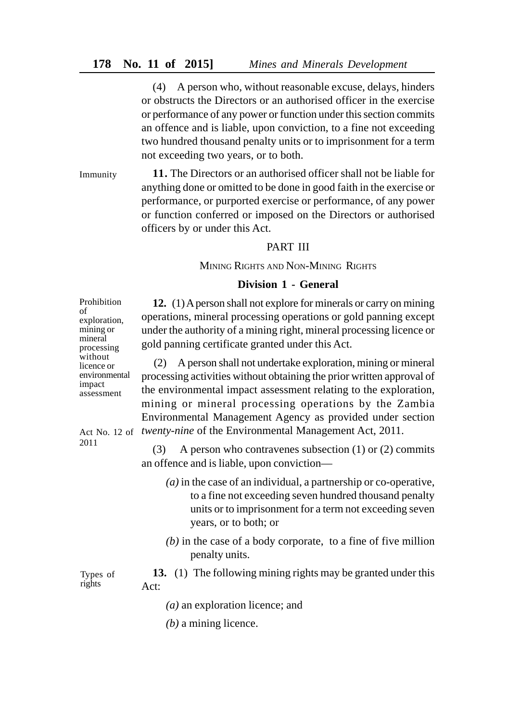(4) A person who, without reasonable excuse, delays, hinders or obstructs the Directors or an authorised officer in the exercise or performance of any power or function under this section commits an offence and is liable, upon conviction, to a fine not exceeding two hundred thousand penalty units or to imprisonment for a term not exceeding two years, or to both.

**11.** The Directors or an authorised officer shall not be liable for anything done or omitted to be done in good faith in the exercise or performance, or purported exercise or performance, of any power or function conferred or imposed on the Directors or authorised officers by or under this Act. Immunity

#### PART III

MINING RIGHTS AND NON-MINING RIGHTS

#### **Division 1 - General**

**12.** (1) A person shall not explore for minerals or carry on mining operations, mineral processing operations or gold panning except under the authority of a mining right, mineral processing licence or gold panning certificate granted under this Act.

(2) A person shall not undertake exploration, mining or mineral processing activities without obtaining the prior written approval of the environmental impact assessment relating to the exploration, mining or mineral processing operations by the Zambia Environmental Management Agency as provided under section Act No. 12 of twenty-nine of the Environmental Management Act, 2011.

> (3) A person who contravenes subsection (1) or (2) commits an offence and is liable, upon conviction—

- *(a)* in the case of an individual, a partnership or co-operative, to a fine not exceeding seven hundred thousand penalty units or to imprisonment for a term not exceeding seven years, or to both; or
- *(b)* in the case of a body corporate, to a fine of five million penalty units.
- **13.** (1) The following mining rights may be granted under this Act:
	- *(a)* an exploration licence; and
	- *(b)* a mining licence.

Prohibition of exploration, mining or mineral processing without licence or environmental impact assessment

2011

Types of rights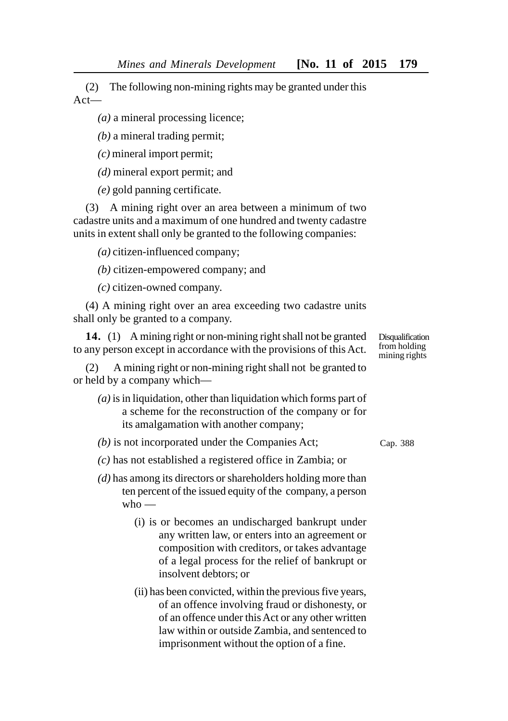(2) The following non-mining rights may be granted under this Act—

*(a)* a mineral processing licence;

*(b)* a mineral trading permit;

*(c)* mineral import permit;

*(d)* mineral export permit; and

*(e)* gold panning certificate.

(3) A mining right over an area between a minimum of two cadastre units and a maximum of one hundred and twenty cadastre units in extent shall only be granted to the following companies:

*(a)* citizen-influenced company;

*(b)* citizen-empowered company; and

*(c)* citizen-owned company.

(4) A mining right over an area exceeding two cadastre units shall only be granted to a company.

**14.** (1) A mining right or non-mining right shall not be granted to any person except in accordance with the provisions of this Act.

(2) A mining right or non-mining right shall not be granted to or held by a company which—

*(a)* is in liquidation, other than liquidation which forms part of a scheme for the reconstruction of the company or for its amalgamation with another company;

*(b)* is not incorporated under the Companies Act;

*(c)* has not established a registered office in Zambia; or

- *(d)* has among its directors or shareholders holding more than ten percent of the issued equity of the company, a person  $w$ ho —
	- (i) is or becomes an undischarged bankrupt under any written law, or enters into an agreement or composition with creditors, or takes advantage of a legal process for the relief of bankrupt or insolvent debtors; or
	- (ii) has been convicted, within the previous five years, of an offence involving fraud or dishonesty, or of an offence under this Act or any other written law within or outside Zambia, and sentenced to imprisonment without the option of a fine.

Cap. 388

**Disqualification** from holding mining rights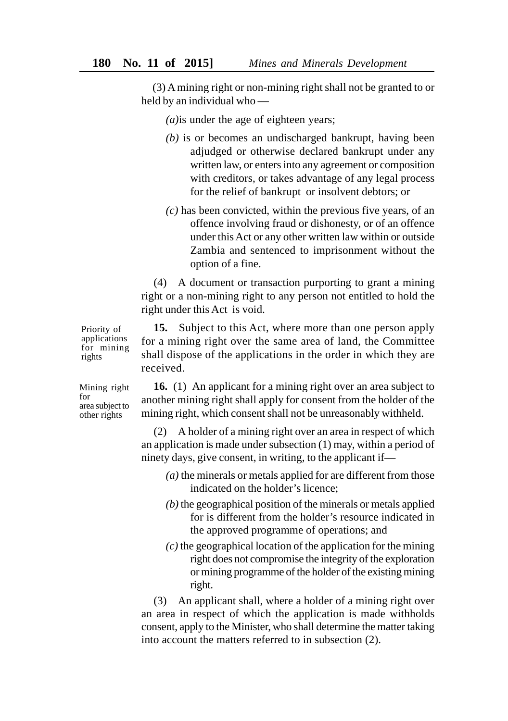(3) A mining right or non-mining right shall not be granted to or held by an individual who —

*(a)*is under the age of eighteen years;

- *(b)* is or becomes an undischarged bankrupt, having been adjudged or otherwise declared bankrupt under any written law, or enters into any agreement or composition with creditors, or takes advantage of any legal process for the relief of bankrupt or insolvent debtors; or
- *(c)* has been convicted, within the previous five years, of an offence involving fraud or dishonesty, or of an offence under this Act or any other written law within or outside Zambia and sentenced to imprisonment without the option of a fine.

(4) A document or transaction purporting to grant a mining right or a non-mining right to any person not entitled to hold the right under this Act is void.

**15.** Subject to this Act, where more than one person apply for a mining right over the same area of land, the Committee shall dispose of the applications in the order in which they are received.

**16.** (1) An applicant for a mining right over an area subject to another mining right shall apply for consent from the holder of the mining right, which consent shall not be unreasonably withheld.

(2) A holder of a mining right over an area in respect of which an application is made under subsection (1) may, within a period of ninety days, give consent, in writing, to the applicant if—

- *(a)* the minerals or metals applied for are different from those indicated on the holder's licence;
- *(b)* the geographical position of the minerals or metals applied for is different from the holder's resource indicated in the approved programme of operations; and
- *(c)* the geographical location of the application for the mining right does not compromise the integrity of the exploration or mining programme of the holder of the existing mining right.

(3) An applicant shall, where a holder of a mining right over an area in respect of which the application is made withholds consent, apply to the Minister, who shall determine the matter taking into account the matters referred to in subsection (2).

Mining right for area subject to other rights

Priority of applications for mining rights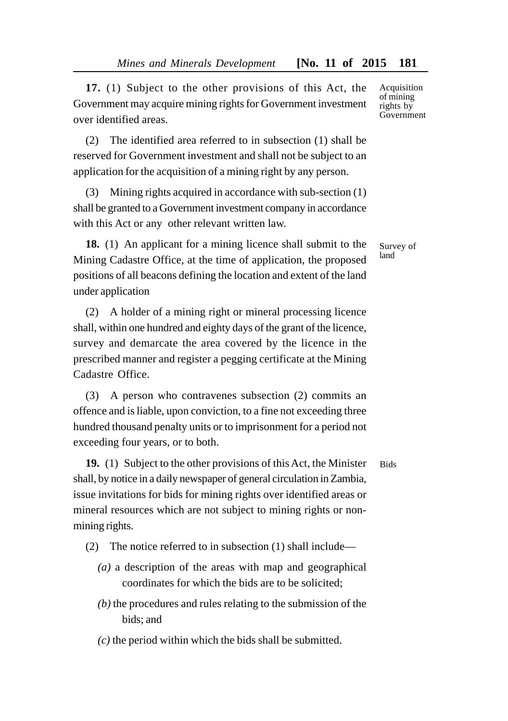**17.** (1) Subject to the other provisions of this Act, the Government may acquire mining rights for Government investment over identified areas.

(2) The identified area referred to in subsection (1) shall be reserved for Government investment and shall not be subject to an application for the acquisition of a mining right by any person.

(3) Mining rights acquired in accordance with sub-section (1) shall be granted to a Government investment company in accordance with this Act or any other relevant written law.

**18.** (1) An applicant for a mining licence shall submit to the Mining Cadastre Office, at the time of application, the proposed positions of all beacons defining the location and extent of the land under application

(2) A holder of a mining right or mineral processing licence shall, within one hundred and eighty days of the grant of the licence, survey and demarcate the area covered by the licence in the prescribed manner and register a pegging certificate at the Mining Cadastre Office.

(3) A person who contravenes subsection (2) commits an offence and is liable, upon conviction, to a fine not exceeding three hundred thousand penalty units or to imprisonment for a period not exceeding four years, or to both.

**19.** (1) Subject to the other provisions of this Act, the Minister shall, by notice in a daily newspaper of general circulation in Zambia, issue invitations for bids for mining rights over identified areas or mineral resources which are not subject to mining rights or nonmining rights.

- (2) The notice referred to in subsection (1) shall include—
	- *(a)* a description of the areas with map and geographical coordinates for which the bids are to be solicited;
	- *(b)* the procedures and rules relating to the submission of the bids; and
	- *(c)* the period within which the bids shall be submitted.

Acquisition of mining rights by Government

Survey of land

**Bids**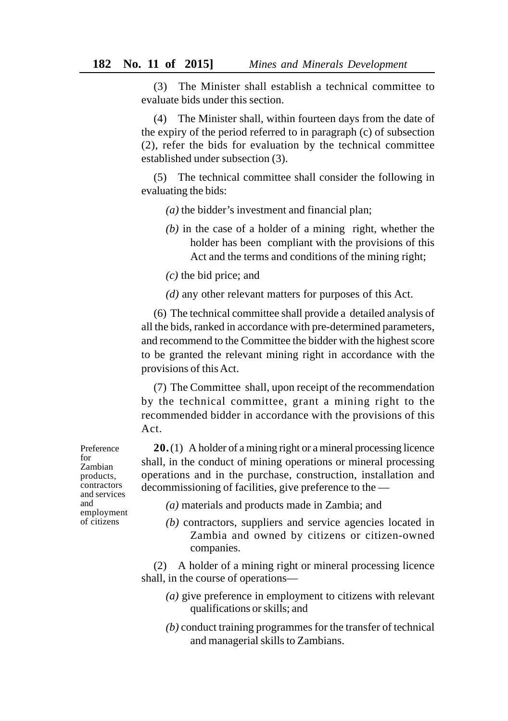(3) The Minister shall establish a technical committee to evaluate bids under this section.

(4) The Minister shall, within fourteen days from the date of the expiry of the period referred to in paragraph (c) of subsection (2), refer the bids for evaluation by the technical committee established under subsection (3).

(5) The technical committee shall consider the following in evaluating the bids:

*(a)* the bidder's investment and financial plan;

- *(b)* in the case of a holder of a mining right, whether the holder has been compliant with the provisions of this Act and the terms and conditions of the mining right;
- *(c)* the bid price; and
- *(d)* any other relevant matters for purposes of this Act.

(6) The technical committee shall provide a detailed analysis of all the bids, ranked in accordance with pre-determined parameters, and recommend to the Committee the bidder with the highest score to be granted the relevant mining right in accordance with the provisions of this Act.

(7) The Committee shall, upon receipt of the recommendation by the technical committee, grant a mining right to the recommended bidder in accordance with the provisions of this Act.

**20.**(1) A holder of a mining right or a mineral processing licence shall, in the conduct of mining operations or mineral processing operations and in the purchase, construction, installation and decommissioning of facilities, give preference to the —

- *(a)* materials and products made in Zambia; and
- *(b)* contractors, suppliers and service agencies located in Zambia and owned by citizens or citizen-owned companies.

(2) A holder of a mining right or mineral processing licence shall, in the course of operations—

- *(a)* give preference in employment to citizens with relevant qualifications or skills; and
- *(b)* conduct training programmes for the transfer of technical and managerial skills to Zambians.

Preference for Zambian products, contractors and services and employment of citizens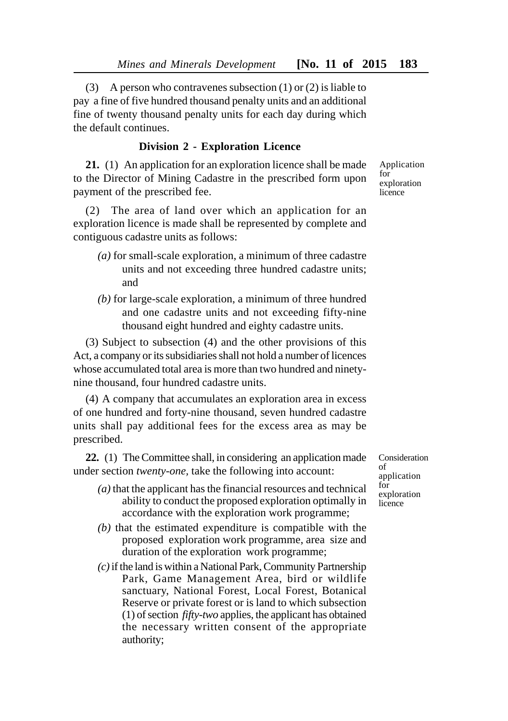(3) A person who contravenes subsection (1) or (2) is liable to pay a fine of five hundred thousand penalty units and an additional fine of twenty thousand penalty units for each day during which the default continues.

## **Division 2 - Exploration Licence**

**21.** (1) An application for an exploration licence shall be made to the Director of Mining Cadastre in the prescribed form upon payment of the prescribed fee.

(2) The area of land over which an application for an exploration licence is made shall be represented by complete and contiguous cadastre units as follows:

- *(a)* for small-scale exploration, a minimum of three cadastre units and not exceeding three hundred cadastre units; and
- *(b)* for large-scale exploration, a minimum of three hundred and one cadastre units and not exceeding fifty-nine thousand eight hundred and eighty cadastre units.

(3) Subject to subsection (4) and the other provisions of this Act, a company or its subsidiaries shall not hold a number of licences whose accumulated total area is more than two hundred and ninetynine thousand, four hundred cadastre units.

(4) A company that accumulates an exploration area in excess of one hundred and forty-nine thousand, seven hundred cadastre units shall pay additional fees for the excess area as may be prescribed.

**22.** (1) The Committee shall, in considering an application made under section *twenty-one,* take the following into account:

- *(a)* that the applicant has the financial resources and technical ability to conduct the proposed exploration optimally in accordance with the exploration work programme;
- *(b)* that the estimated expenditure is compatible with the proposed exploration work programme, area size and duration of the exploration work programme;
- *(c)* if the land is within a National Park, Community Partnership Park, Game Management Area, bird or wildlife sanctuary, National Forest, Local Forest, Botanical Reserve or private forest or is land to which subsection (1) of section *fifty-two* applies, the applicant has obtained the necessary written consent of the appropriate authority;

Consideration  $\alpha$ f application for exploration licence

Application  $f_{\alpha r}$ exploration licence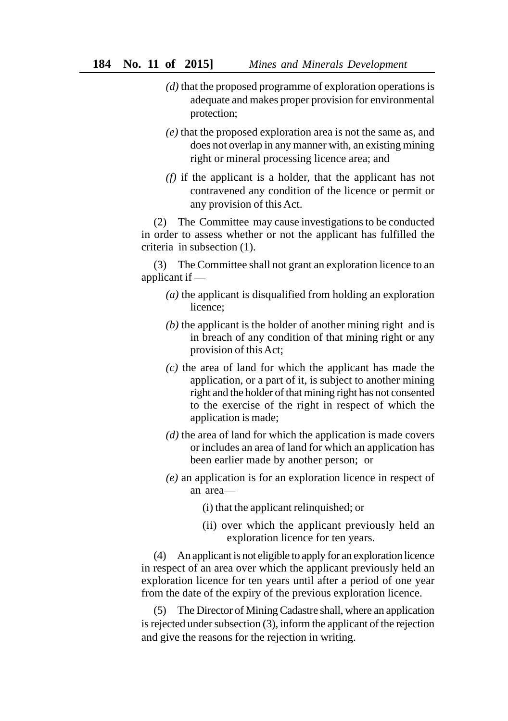- *(d)* that the proposed programme of exploration operations is adequate and makes proper provision for environmental protection;
- *(e)* that the proposed exploration area is not the same as, and does not overlap in any manner with, an existing mining right or mineral processing licence area; and
- *(f)* if the applicant is a holder, that the applicant has not contravened any condition of the licence or permit or any provision of this Act.

(2) The Committee may cause investigations to be conducted in order to assess whether or not the applicant has fulfilled the criteria in subsection (1).

(3) The Committee shall not grant an exploration licence to an applicant if —

- *(a)* the applicant is disqualified from holding an exploration licence;
- *(b)* the applicant is the holder of another mining right and is in breach of any condition of that mining right or any provision of this Act;
- *(c)* the area of land for which the applicant has made the application, or a part of it, is subject to another mining right and the holder of that mining right has not consented to the exercise of the right in respect of which the application is made;
- *(d)* the area of land for which the application is made covers or includes an area of land for which an application has been earlier made by another person; or
- *(e)* an application is for an exploration licence in respect of an area—
	- (i) that the applicant relinquished; or
	- (ii) over which the applicant previously held an exploration licence for ten years.

(4) An applicant is not eligible to apply for an exploration licence in respect of an area over which the applicant previously held an exploration licence for ten years until after a period of one year from the date of the expiry of the previous exploration licence.

(5) The Director of Mining Cadastre shall, where an application is rejected under subsection (3), inform the applicant of the rejection and give the reasons for the rejection in writing.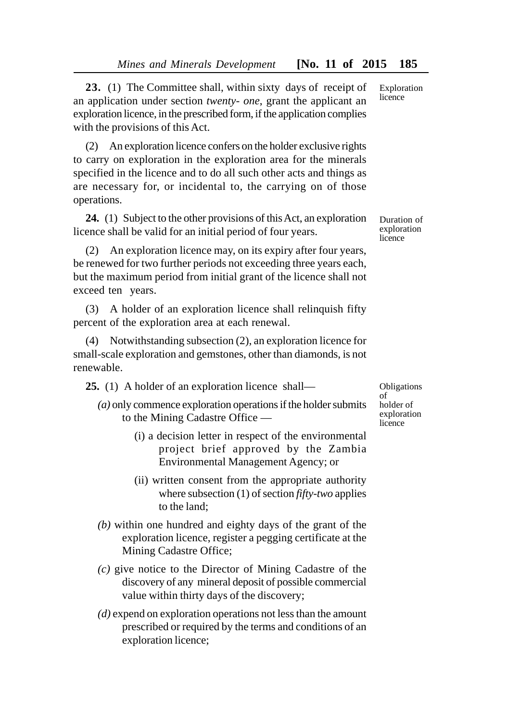**23.** (1) The Committee shall, within sixty days of receipt of an application under section *twenty- one*, grant the applicant an exploration licence, in the prescribed form, if the application complies with the provisions of this Act.

(2) An exploration licence confers on the holder exclusive rights to carry on exploration in the exploration area for the minerals specified in the licence and to do all such other acts and things as are necessary for, or incidental to, the carrying on of those operations.

**24.** (1) Subject to the other provisions of this Act, an exploration licence shall be valid for an initial period of four years.

(2) An exploration licence may, on its expiry after four years, be renewed for two further periods not exceeding three years each, but the maximum period from initial grant of the licence shall not exceed ten years.

(3) A holder of an exploration licence shall relinquish fifty percent of the exploration area at each renewal.

(4) Notwithstanding subsection (2), an exploration licence for small-scale exploration and gemstones, other than diamonds, is not renewable.

**25.** (1) A holder of an exploration licence shall—

- *(a)* only commence exploration operations if the holder submits to the Mining Cadastre Office —
	- (i) a decision letter in respect of the environmental project brief approved by the Zambia Environmental Management Agency; or
	- (ii) written consent from the appropriate authority where subsection (1) of section *fifty-two* applies to the land;
- *(b)* within one hundred and eighty days of the grant of the exploration licence, register a pegging certificate at the Mining Cadastre Office;
- *(c)* give notice to the Director of Mining Cadastre of the discovery of any mineral deposit of possible commercial value within thirty days of the discovery;
- *(d)* expend on exploration operations not less than the amount prescribed or required by the terms and conditions of an exploration licence;

Obligations of holder of exploration licence

Duration of exploration

licence

Exploration licence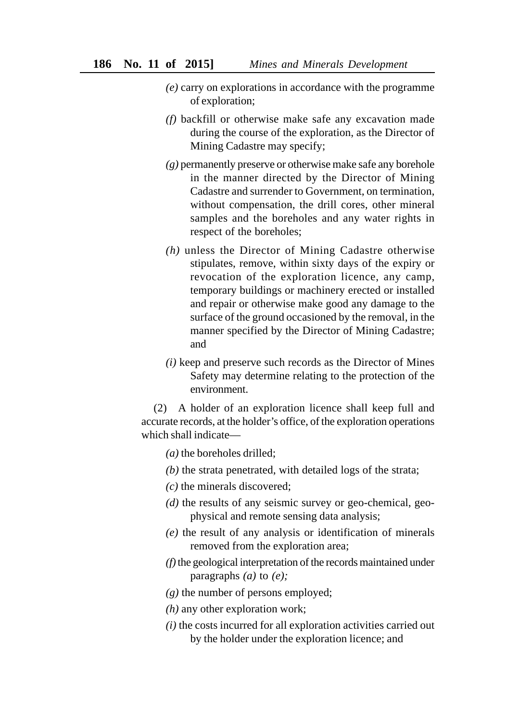- *(e)* carry on explorations in accordance with the programme of exploration;
- *(f)* backfill or otherwise make safe any excavation made during the course of the exploration, as the Director of Mining Cadastre may specify;
- *(g)* permanently preserve or otherwise make safe any borehole in the manner directed by the Director of Mining Cadastre and surrender to Government, on termination, without compensation, the drill cores, other mineral samples and the boreholes and any water rights in respect of the boreholes;
- *(h)* unless the Director of Mining Cadastre otherwise stipulates, remove, within sixty days of the expiry or revocation of the exploration licence, any camp, temporary buildings or machinery erected or installed and repair or otherwise make good any damage to the surface of the ground occasioned by the removal, in the manner specified by the Director of Mining Cadastre; and
- *(i)* keep and preserve such records as the Director of Mines Safety may determine relating to the protection of the environment.

(2) A holder of an exploration licence shall keep full and accurate records, at the holder's office, of the exploration operations which shall indicate—

- *(a)* the boreholes drilled;
- *(b)* the strata penetrated, with detailed logs of the strata;
- *(c)* the minerals discovered;
- *(d)* the results of any seismic survey or geo-chemical, geophysical and remote sensing data analysis;
- *(e)* the result of any analysis or identification of minerals removed from the exploration area;
- *(f)* the geological interpretation of the records maintained under paragraphs *(a)* to *(e);*
- *(g)* the number of persons employed;
- *(h)* any other exploration work;
- *(i)* the costs incurred for all exploration activities carried out by the holder under the exploration licence; and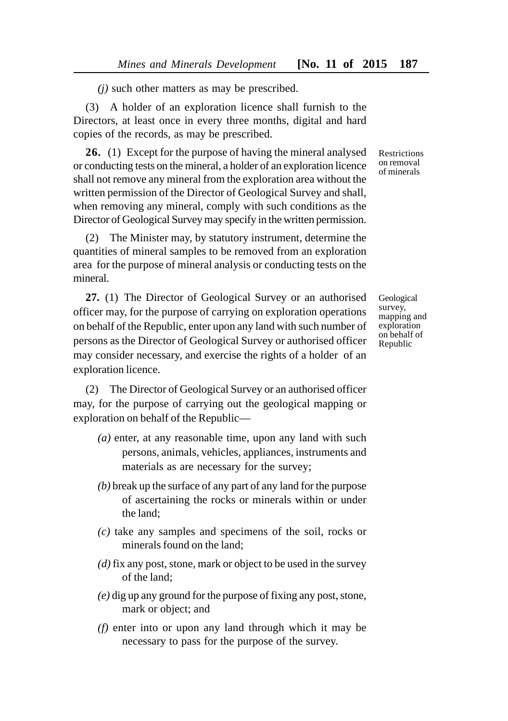*(j)* such other matters as may be prescribed.

(3) A holder of an exploration licence shall furnish to the Directors, at least once in every three months, digital and hard copies of the records, as may be prescribed.

**26.** (1) Except for the purpose of having the mineral analysed or conducting tests on the mineral, a holder of an exploration licence shall not remove any mineral from the exploration area without the written permission of the Director of Geological Survey and shall, when removing any mineral, comply with such conditions as the Director of Geological Survey may specify in the written permission.

(2) The Minister may, by statutory instrument, determine the quantities of mineral samples to be removed from an exploration area for the purpose of mineral analysis or conducting tests on the mineral.

**27.** (1) The Director of Geological Survey or an authorised officer may, for the purpose of carrying on exploration operations on behalf of the Republic, enter upon any land with such number of persons as the Director of Geological Survey or authorised officer may consider necessary, and exercise the rights of a holder of an exploration licence.

(2) The Director of Geological Survey or an authorised officer may, for the purpose of carrying out the geological mapping or exploration on behalf of the Republic—

- *(a)* enter, at any reasonable time, upon any land with such persons, animals, vehicles, appliances, instruments and materials as are necessary for the survey;
- *(b)* break up the surface of any part of any land for the purpose of ascertaining the rocks or minerals within or under the land;
- *(c)* take any samples and specimens of the soil, rocks or minerals found on the land;
- *(d)* fix any post, stone, mark or object to be used in the survey of the land;
- *(e)* dig up any ground for the purpose of fixing any post, stone, mark or object; and
- *(f)* enter into or upon any land through which it may be necessary to pass for the purpose of the survey.

Restrictions on removal of minerals

Geological survey, mapping and exploration on behalf of Republic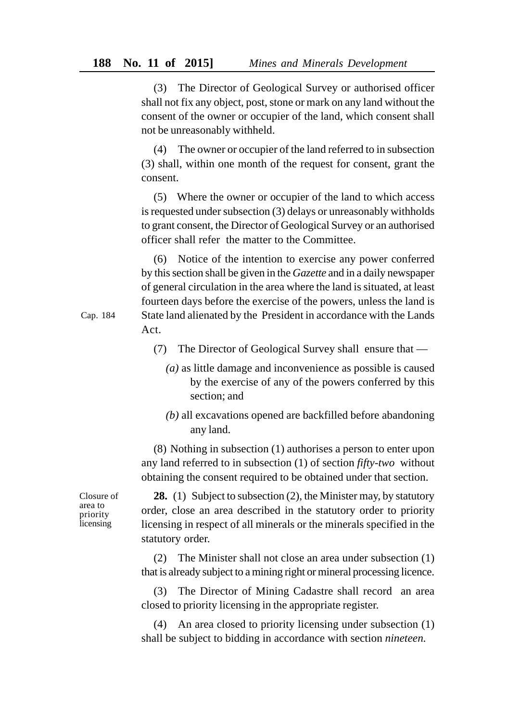(3) The Director of Geological Survey or authorised officer shall not fix any object, post, stone or mark on any land without the consent of the owner or occupier of the land, which consent shall not be unreasonably withheld.

(4) The owner or occupier of the land referred to in subsection (3) shall, within one month of the request for consent, grant the consent.

(5) Where the owner or occupier of the land to which access is requested under subsection (3) delays or unreasonably withholds to grant consent, the Director of Geological Survey or an authorised officer shall refer the matter to the Committee.

(6) Notice of the intention to exercise any power conferred by this section shall be given in the *Gazette* and in a daily newspaper of general circulation in the area where the land is situated, at least fourteen days before the exercise of the powers, unless the land is State land alienated by the President in accordance with the Lands Act.

- (7) The Director of Geological Survey shall ensure that
	- *(a)* as little damage and inconvenience as possible is caused by the exercise of any of the powers conferred by this section; and
	- *(b)* all excavations opened are backfilled before abandoning any land.

(8) Nothing in subsection (1) authorises a person to enter upon any land referred to in subsection (1) of section *fifty-two* without obtaining the consent required to be obtained under that section.

Closure of area to priority **licensing** 

**28.** (1) Subject to subsection (2), the Minister may, by statutory order, close an area described in the statutory order to priority licensing in respect of all minerals or the minerals specified in the statutory order.

(2) The Minister shall not close an area under subsection (1) that is already subject to a mining right or mineral processing licence.

(3) The Director of Mining Cadastre shall record an area closed to priority licensing in the appropriate register.

(4) An area closed to priority licensing under subsection (1) shall be subject to bidding in accordance with section *nineteen.*

Cap. 184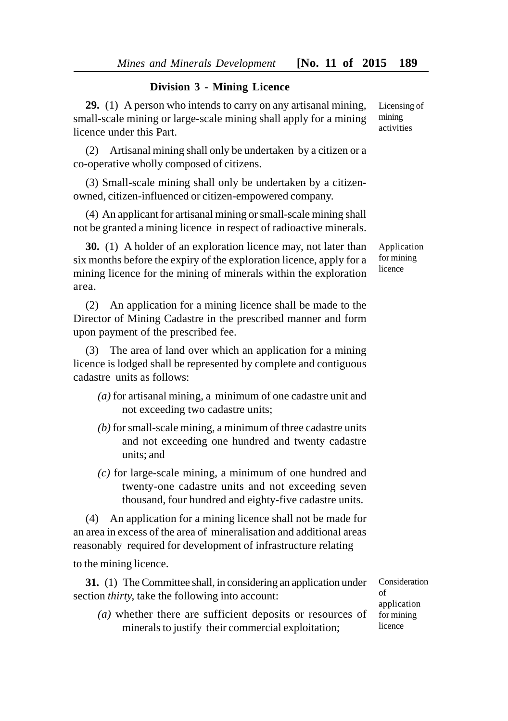## **Division 3 - Mining Licence**

**29.** (1) A person who intends to carry on any artisanal mining, small-scale mining or large-scale mining shall apply for a mining licence under this Part.

(2) Artisanal mining shall only be undertaken by a citizen or a co-operative wholly composed of citizens.

(3) Small-scale mining shall only be undertaken by a citizenowned, citizen-influenced or citizen-empowered company.

(4) An applicant for artisanal mining or small-scale mining shall not be granted a mining licence in respect of radioactive minerals.

**30.** (1) A holder of an exploration licence may, not later than six months before the expiry of the exploration licence, apply for a mining licence for the mining of minerals within the exploration area.

(2) An application for a mining licence shall be made to the Director of Mining Cadastre in the prescribed manner and form upon payment of the prescribed fee.

(3) The area of land over which an application for a mining licence is lodged shall be represented by complete and contiguous cadastre units as follows:

- *(a)* for artisanal mining, a minimum of one cadastre unit and not exceeding two cadastre units;
- *(b)* for small-scale mining, a minimum of three cadastre units and not exceeding one hundred and twenty cadastre units; and
- *(c)* for large-scale mining, a minimum of one hundred and twenty-one cadastre units and not exceeding seven thousand, four hundred and eighty-five cadastre units.

(4) An application for a mining licence shall not be made for an area in excess of the area of mineralisation and additional areas reasonably required for development of infrastructure relating

to the mining licence.

**31.** (1) The Committee shall, in considering an application under section *thirty,* take the following into account:

*(a)* whether there are sufficient deposits or resources of minerals to justify their commercial exploitation;

Consideration of application for mining licence

Application for mining licence

Licensing of mining activities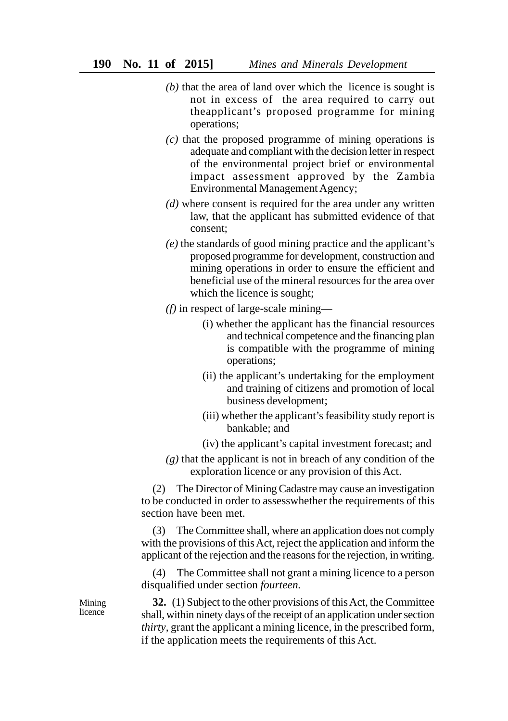- *(b)* that the area of land over which the licence is sought is not in excess of the area required to carry out theapplicant's proposed programme for mining operations;
- *(c)* that the proposed programme of mining operations is adequate and compliant with the decision letter in respect of the environmental project brief or environmental impact assessment approved by the Zambia Environmental Management Agency;
- *(d)* where consent is required for the area under any written law, that the applicant has submitted evidence of that consent;
- *(e)* the standards of good mining practice and the applicant's proposed programme for development, construction and mining operations in order to ensure the efficient and beneficial use of the mineral resources for the area over which the licence is sought;
- *(f)* in respect of large-scale mining—
	- (i) whether the applicant has the financial resources and technical competence and the financing plan is compatible with the programme of mining operations;
	- (ii) the applicant's undertaking for the employment and training of citizens and promotion of local business development;
	- (iii) whether the applicant's feasibility study report is bankable; and
	- (iv) the applicant's capital investment forecast; and
- *(g)* that the applicant is not in breach of any condition of the exploration licence or any provision of this Act.

(2) The Director of Mining Cadastre may cause an investigation to be conducted in order to assesswhether the requirements of this section have been met.

(3) The Committee shall, where an application does not comply with the provisions of this Act, reject the application and inform the applicant of the rejection and the reasons for the rejection, in writing.

(4) The Committee shall not grant a mining licence to a person disqualified under section *fourteen.*

**32.** (1) Subject to the other provisions of this Act, the Committee shall, within ninety days of the receipt of an application under section *thirty*, grant the applicant a mining licence, in the prescribed form, if the application meets the requirements of this Act.

Mining licence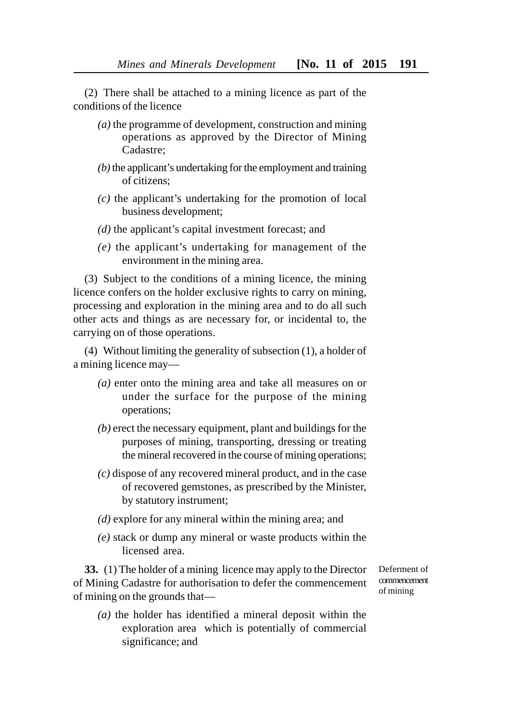(2) There shall be attached to a mining licence as part of the conditions of the licence

- *(a)* the programme of development, construction and mining operations as approved by the Director of Mining Cadastre;
- *(b)* the applicant's undertaking for the employment and training of citizens;
- *(c)* the applicant's undertaking for the promotion of local business development;
- *(d)* the applicant's capital investment forecast; and
- *(e)* the applicant's undertaking for management of the environment in the mining area.

(3) Subject to the conditions of a mining licence, the mining licence confers on the holder exclusive rights to carry on mining, processing and exploration in the mining area and to do all such other acts and things as are necessary for, or incidental to, the carrying on of those operations.

(4) Without limiting the generality of subsection (1), a holder of a mining licence may—

- *(a)* enter onto the mining area and take all measures on or under the surface for the purpose of the mining operations;
- *(b)* erect the necessary equipment, plant and buildings for the purposes of mining, transporting, dressing or treating the mineral recovered in the course of mining operations;
- *(c)* dispose of any recovered mineral product, and in the case of recovered gemstones, as prescribed by the Minister, by statutory instrument;
- *(d)* explore for any mineral within the mining area; and
- *(e)* stack or dump any mineral or waste products within the licensed area.

**33.** (1) The holder of a mining licence may apply to the Director of Mining Cadastre for authorisation to defer the commencement of mining on the grounds that—

Deferment of commencement of mining

*(a)* the holder has identified a mineral deposit within the exploration area which is potentially of commercial significance; and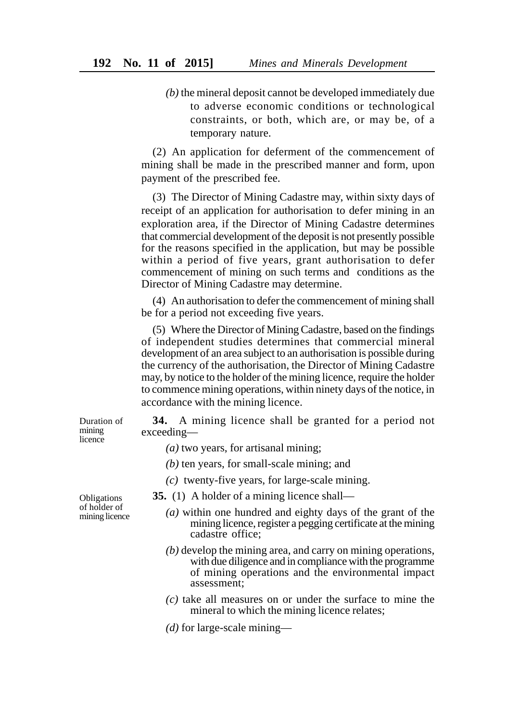*(b)* the mineral deposit cannot be developed immediately due to adverse economic conditions or technological constraints, or both, which are, or may be, of a temporary nature.

(2) An application for deferment of the commencement of mining shall be made in the prescribed manner and form, upon payment of the prescribed fee.

(3) The Director of Mining Cadastre may, within sixty days of receipt of an application for authorisation to defer mining in an exploration area, if the Director of Mining Cadastre determines that commercial development of the deposit is not presently possible for the reasons specified in the application, but may be possible within a period of five years, grant authorisation to defer commencement of mining on such terms and conditions as the Director of Mining Cadastre may determine.

(4) An authorisation to defer the commencement of mining shall be for a period not exceeding five years.

(5) Where the Director of Mining Cadastre, based on the findings of independent studies determines that commercial mineral development of an area subject to an authorisation is possible during the currency of the authorisation, the Director of Mining Cadastre may, by notice to the holder of the mining licence, require the holder to commence mining operations, within ninety days of the notice, in accordance with the mining licence.

**34.** A mining licence shall be granted for a period not exceeding—

- *(a)* two years, for artisanal mining;
- *(b)* ten years, for small-scale mining; and
- *(c)* twenty-five years, for large-scale mining.
- **35.** (1) A holder of a mining licence shall—
	- *(a)* within one hundred and eighty days of the grant of the mining licence, register a pegging certificate at the mining cadastre office;
	- *(b)* develop the mining area, and carry on mining operations, with due diligence and in compliance with the programme of mining operations and the environmental impact assessment;
	- *(c)* take all measures on or under the surface to mine the mineral to which the mining licence relates;
	- *(d)* for large-scale mining—

Obligations of holder of mining licence

Duration of mining licence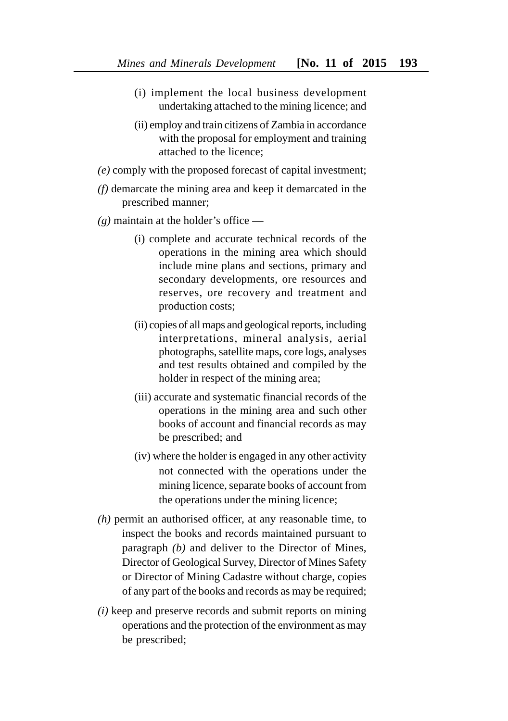- (i) implement the local business development undertaking attached to the mining licence; and
- (ii) employ and train citizens of Zambia in accordance with the proposal for employment and training attached to the licence;
- *(e)* comply with the proposed forecast of capital investment;
- *(f)* demarcate the mining area and keep it demarcated in the prescribed manner;
- *(g)* maintain at the holder's office
	- (i) complete and accurate technical records of the operations in the mining area which should include mine plans and sections, primary and secondary developments, ore resources and reserves, ore recovery and treatment and production costs;
	- (ii) copies of all maps and geological reports, including interpretations, mineral analysis, aerial photographs, satellite maps, core logs, analyses and test results obtained and compiled by the holder in respect of the mining area;
	- (iii) accurate and systematic financial records of the operations in the mining area and such other books of account and financial records as may be prescribed; and
	- (iv) where the holder is engaged in any other activity not connected with the operations under the mining licence, separate books of account from the operations under the mining licence;
- *(h)* permit an authorised officer, at any reasonable time, to inspect the books and records maintained pursuant to paragraph *(b)* and deliver to the Director of Mines, Director of Geological Survey, Director of Mines Safety or Director of Mining Cadastre without charge, copies of any part of the books and records as may be required;
- *(i)* keep and preserve records and submit reports on mining operations and the protection of the environment as may be prescribed;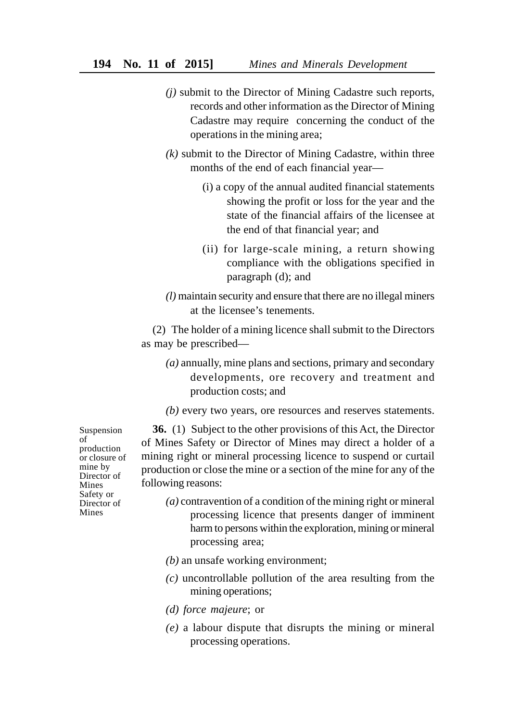- *(j)* submit to the Director of Mining Cadastre such reports, records and other information as the Director of Mining Cadastre may require concerning the conduct of the operations in the mining area;
- *(k)* submit to the Director of Mining Cadastre, within three months of the end of each financial year—
	- (i) a copy of the annual audited financial statements showing the profit or loss for the year and the state of the financial affairs of the licensee at the end of that financial year; and
	- (ii) for large-scale mining, a return showing compliance with the obligations specified in paragraph (d); and
- *(l)* maintain security and ensure that there are no illegal miners at the licensee's tenements.

(2) The holder of a mining licence shall submit to the Directors as may be prescribed—

- *(a)* annually, mine plans and sections, primary and secondary developments, ore recovery and treatment and production costs; and
- *(b)* every two years, ore resources and reserves statements.

**36.** (1) Subject to the other provisions of this Act, the Director of Mines Safety or Director of Mines may direct a holder of a mining right or mineral processing licence to suspend or curtail production or close the mine or a section of the mine for any of the following reasons:

- *(a)* contravention of a condition of the mining right or mineral processing licence that presents danger of imminent harm to persons within the exploration, mining or mineral processing area;
- *(b)* an unsafe working environment;
- *(c)* uncontrollable pollution of the area resulting from the mining operations;
- *(d) force majeure*; or
- *(e)* a labour dispute that disrupts the mining or mineral processing operations.

Suspension of production or closure of mine by Director of Mines Safety or Director of Mines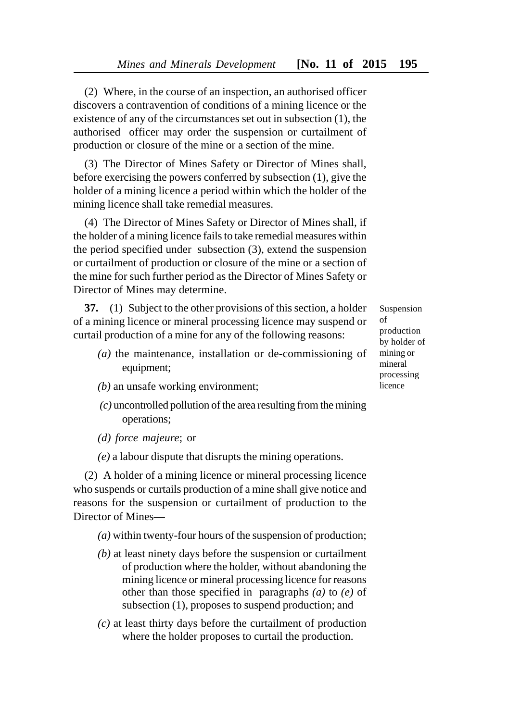(2) Where, in the course of an inspection, an authorised officer discovers a contravention of conditions of a mining licence or the existence of any of the circumstances set out in subsection (1), the authorised officer may order the suspension or curtailment of production or closure of the mine or a section of the mine.

(3) The Director of Mines Safety or Director of Mines shall, before exercising the powers conferred by subsection (1), give the holder of a mining licence a period within which the holder of the mining licence shall take remedial measures.

(4) The Director of Mines Safety or Director of Mines shall, if the holder of a mining licence fails to take remedial measures within the period specified under subsection (3), extend the suspension or curtailment of production or closure of the mine or a section of the mine for such further period as the Director of Mines Safety or Director of Mines may determine.

**37.** (1) Subject to the other provisions of this section, a holder of a mining licence or mineral processing licence may suspend or curtail production of a mine for any of the following reasons:

- *(a)* the maintenance, installation or de-commissioning of equipment;
- *(b)* an unsafe working environment;
- *(c)* uncontrolled pollution of the area resulting from the mining operations;
- *(d) force majeure*; or
- *(e)* a labour dispute that disrupts the mining operations.

(2) A holder of a mining licence or mineral processing licence who suspends or curtails production of a mine shall give notice and reasons for the suspension or curtailment of production to the Director of Mines—

- *(a)* within twenty-four hours of the suspension of production;
- *(b)* at least ninety days before the suspension or curtailment of production where the holder, without abandoning the mining licence or mineral processing licence for reasons other than those specified in paragraphs *(a)* to *(e)* of subsection (1), proposes to suspend production; and
- *(c)* at least thirty days before the curtailment of production where the holder proposes to curtail the production.

Suspension of production by holder of mining or mineral processing licence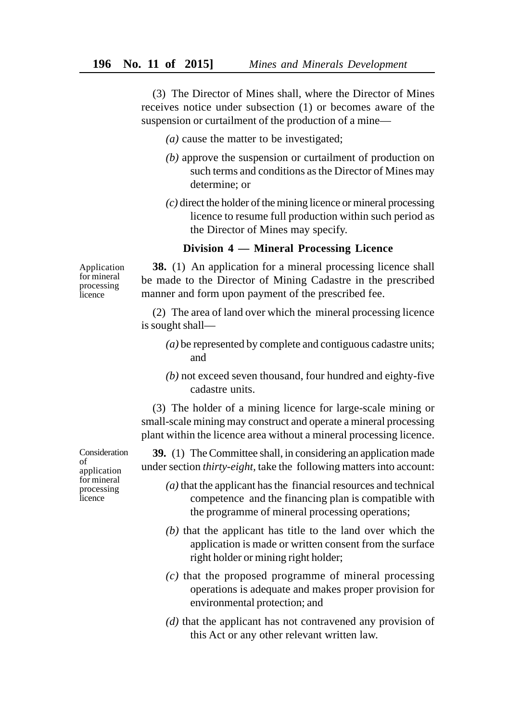(3) The Director of Mines shall, where the Director of Mines receives notice under subsection (1) or becomes aware of the suspension or curtailment of the production of a mine—

- *(a)* cause the matter to be investigated;
- *(b)* approve the suspension or curtailment of production on such terms and conditions as the Director of Mines may determine; or
- *(c)* direct the holder of the mining licence or mineral processing licence to resume full production within such period as the Director of Mines may specify.

## **Division 4 — Mineral Processing Licence**

Application for mineral processing **l**icence

**38.** (1) An application for a mineral processing licence shall be made to the Director of Mining Cadastre in the prescribed manner and form upon payment of the prescribed fee.

(2) The area of land over which the mineral processing licence is sought shall—

- *(a)* be represented by complete and contiguous cadastre units; and
- *(b)* not exceed seven thousand, four hundred and eighty-five cadastre units.

(3) The holder of a mining licence for large-scale mining or small-scale mining may construct and operate a mineral processing plant within the licence area without a mineral processing licence.

**39.** (1) The Committee shall, in considering an application made under section *thirty-eight,* take the following matters into account:

- *(a)* that the applicant has the financial resources and technical competence and the financing plan is compatible with the programme of mineral processing operations;
- *(b)* that the applicant has title to the land over which the application is made or written consent from the surface right holder or mining right holder;
- *(c)* that the proposed programme of mineral processing operations is adequate and makes proper provision for environmental protection; and
- *(d)* that the applicant has not contravened any provision of this Act or any other relevant written law.

Consideration of application for mineral processing licence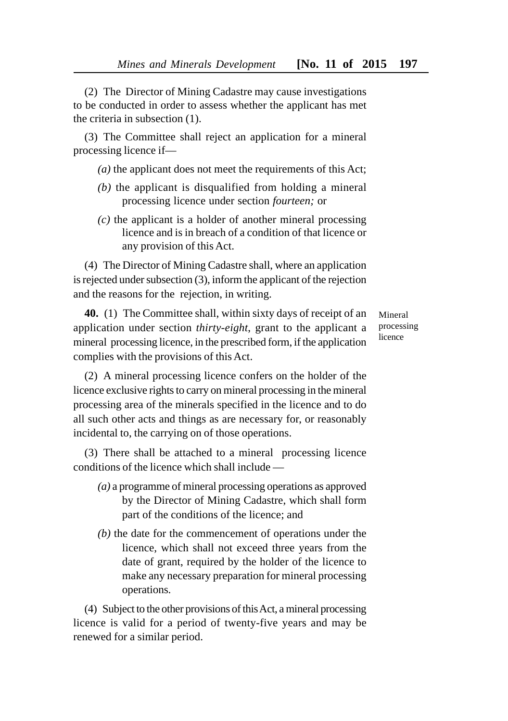(2) The Director of Mining Cadastre may cause investigations to be conducted in order to assess whether the applicant has met the criteria in subsection (1).

(3) The Committee shall reject an application for a mineral processing licence if—

*(a)* the applicant does not meet the requirements of this Act;

- *(b)* the applicant is disqualified from holding a mineral processing licence under section *fourteen;* or
- *(c)* the applicant is a holder of another mineral processing licence and is in breach of a condition of that licence or any provision of this Act.

(4) The Director of Mining Cadastre shall, where an application is rejected under subsection (3), inform the applicant of the rejection and the reasons for the rejection, in writing.

**40.** (1) The Committee shall, within sixty days of receipt of an application under section *thirty-eight*, grant to the applicant a mineral processing licence, in the prescribed form, if the application complies with the provisions of this Act.

Mineral processing licence

(2) A mineral processing licence confers on the holder of the licence exclusive rights to carry on mineral processing in the mineral processing area of the minerals specified in the licence and to do all such other acts and things as are necessary for, or reasonably incidental to, the carrying on of those operations.

(3) There shall be attached to a mineral processing licence conditions of the licence which shall include —

- *(a)* a programme of mineral processing operations as approved by the Director of Mining Cadastre, which shall form part of the conditions of the licence; and
- *(b)* the date for the commencement of operations under the licence, which shall not exceed three years from the date of grant, required by the holder of the licence to make any necessary preparation for mineral processing operations.

(4) Subject to the other provisions of this Act, a mineral processing licence is valid for a period of twenty-five years and may be renewed for a similar period.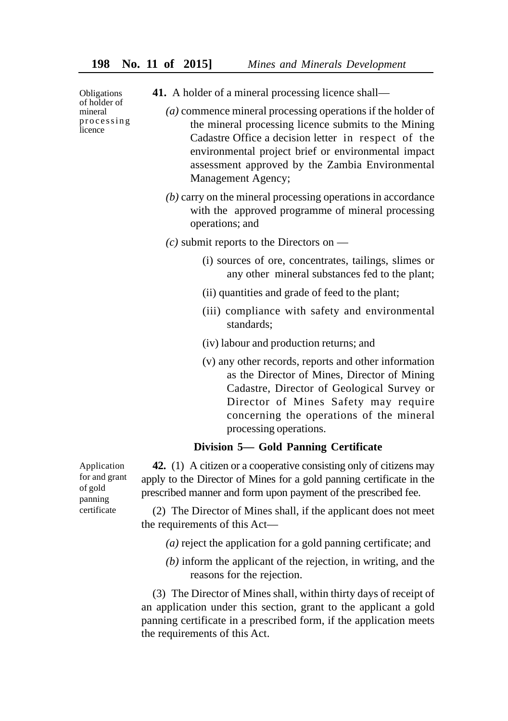**Obligations** of holder of mineral processing **l**icence

- **41.** A holder of a mineral processing licence shall—
	- *(a)* commence mineral processing operations if the holder of the mineral processing licence submits to the Mining Cadastre Office a decision letter in respect of the environmental project brief or environmental impact assessment approved by the Zambia Environmental Management Agency;
		- *(b)* carry on the mineral processing operations in accordance with the approved programme of mineral processing operations; and
		- *(c)* submit reports to the Directors on
			- (i) sources of ore, concentrates, tailings, slimes or any other mineral substances fed to the plant;
			- (ii) quantities and grade of feed to the plant;
			- (iii) compliance with safety and environmental standards;
			- (iv) labour and production returns; and
			- (v) any other records, reports and other information as the Director of Mines, Director of Mining Cadastre, Director of Geological Survey or Director of Mines Safety may require concerning the operations of the mineral processing operations.

### **Division 5— Gold Panning Certificate**

Application for and grant of gold panning certificate

**42.** (1) A citizen or a cooperative consisting only of citizens may apply to the Director of Mines for a gold panning certificate in the prescribed manner and form upon payment of the prescribed fee.

(2) The Director of Mines shall, if the applicant does not meet the requirements of this Act—

- *(a)* reject the application for a gold panning certificate; and
- *(b)* inform the applicant of the rejection, in writing, and the reasons for the rejection.

(3) The Director of Mines shall, within thirty days of receipt of an application under this section, grant to the applicant a gold panning certificate in a prescribed form, if the application meets the requirements of this Act.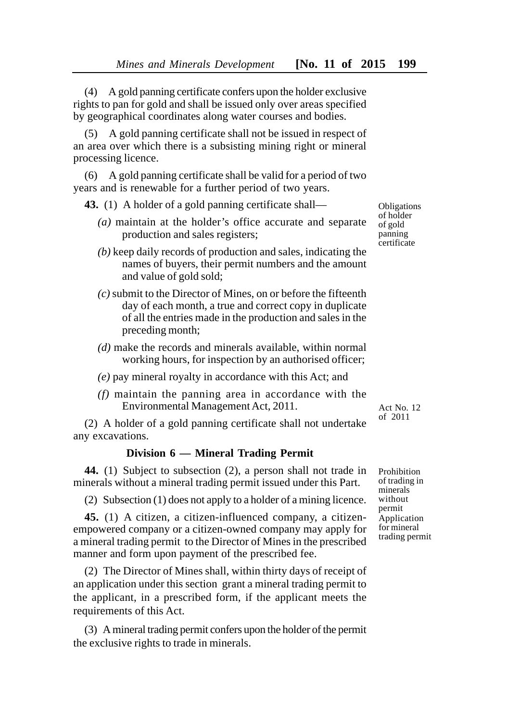(4) A gold panning certificate confers upon the holder exclusive rights to pan for gold and shall be issued only over areas specified by geographical coordinates along water courses and bodies.

(5) A gold panning certificate shall not be issued in respect of an area over which there is a subsisting mining right or mineral processing licence.

(6) A gold panning certificate shall be valid for a period of two years and is renewable for a further period of two years.

**43.** (1) A holder of a gold panning certificate shall—

- *(a)* maintain at the holder's office accurate and separate production and sales registers;
- *(b)* keep daily records of production and sales, indicating the names of buyers, their permit numbers and the amount and value of gold sold;
- *(c)* submit to the Director of Mines, on or before the fifteenth day of each month, a true and correct copy in duplicate of all the entries made in the production and sales in the preceding month;
- *(d)* make the records and minerals available, within normal working hours, for inspection by an authorised officer;
- *(e)* pay mineral royalty in accordance with this Act; and
- *(f)* maintain the panning area in accordance with the Environmental Management Act, 2011.

(2) A holder of a gold panning certificate shall not undertake any excavations.

# **Division 6 — Mineral Trading Permit**

**44.** (1) Subject to subsection (2), a person shall not trade in minerals without a mineral trading permit issued under this Part.

(2) Subsection (1) does not apply to a holder of a mining licence.

**45.** (1) A citizen, a citizen-influenced company, a citizenempowered company or a citizen-owned company may apply for a mineral trading permit to the Director of Mines in the prescribed manner and form upon payment of the prescribed fee.

(2) The Director of Mines shall, within thirty days of receipt of an application under this section grant a mineral trading permit to the applicant, in a prescribed form, if the applicant meets the requirements of this Act.

(3) A mineral trading permit confers upon the holder of the permit the exclusive rights to trade in minerals.

**Obligations** of holder of gold panning certificate

Act No. 12 of 2011

Prohibition of trading in minerals without permit Application for mineral trading permit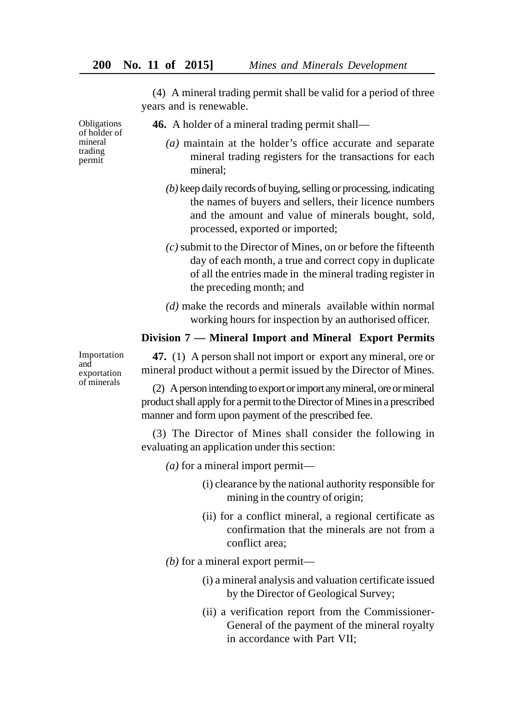(4) A mineral trading permit shall be valid for a period of three years and is renewable.

Obligations of holder of mineral trading permit

- **46.** A holder of a mineral trading permit shall—
	- *(a)* maintain at the holder's office accurate and separate mineral trading registers for the transactions for each mineral;
	- *(b)* keep daily records of buying, selling or processing, indicating the names of buyers and sellers, their licence numbers and the amount and value of minerals bought, sold, processed, exported or imported;
	- *(c)* submit to the Director of Mines, on or before the fifteenth day of each month, a true and correct copy in duplicate of all the entries made in the mineral trading register in the preceding month; and
	- *(d)* make the records and minerals available within normal working hours for inspection by an authorised officer.

# **Division 7 — Mineral Import and Mineral Export Permits**

Importation and exportation of minerals

**47.** (1) A person shall not import or export any mineral, ore or mineral product without a permit issued by the Director of Mines.

(2) A person intending to export or import any mineral, ore or mineral product shall apply for a permit to the Director of Mines in a prescribed manner and form upon payment of the prescribed fee.

(3) The Director of Mines shall consider the following in evaluating an application under this section:

- *(a)* for a mineral import permit—
	- (i) clearance by the national authority responsible for mining in the country of origin;
	- (ii) for a conflict mineral, a regional certificate as confirmation that the minerals are not from a conflict area;
- *(b)* for a mineral export permit—
	- (i) a mineral analysis and valuation certificate issued by the Director of Geological Survey;
	- (ii) a verification report from the Commissioner-General of the payment of the mineral royalty in accordance with Part VII;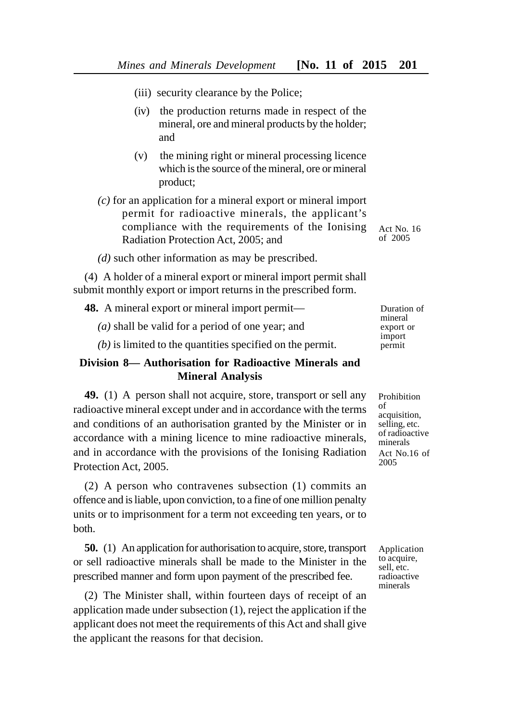- (iii) security clearance by the Police;
- (iv) the production returns made in respect of the mineral, ore and mineral products by the holder; and
- (v) the mining right or mineral processing licence which is the source of the mineral, ore or mineral product;
- *(c)* for an application for a mineral export or mineral import permit for radioactive minerals, the applicant's compliance with the requirements of the Ionising Radiation Protection Act, 2005; and
- Act No. 16 of 2005
- *(d)* such other information as may be prescribed.

(4) A holder of a mineral export or mineral import permit shall submit monthly export or import returns in the prescribed form.

**48.** A mineral export or mineral import permit—

*(a)* shall be valid for a period of one year; and

*(b)* is limited to the quantities specified on the permit.

# **Division 8— Authorisation for Radioactive Minerals and Mineral Analysis**

**49.** (1) A person shall not acquire, store, transport or sell any radioactive mineral except under and in accordance with the terms and conditions of an authorisation granted by the Minister or in accordance with a mining licence to mine radioactive minerals, and in accordance with the provisions of the Ionising Radiation Protection Act, 2005.

(2) A person who contravenes subsection (1) commits an offence and is liable, upon conviction, to a fine of one million penalty units or to imprisonment for a term not exceeding ten years, or to both.

**50.** (1) An application for authorisation to acquire, store, transport or sell radioactive minerals shall be made to the Minister in the prescribed manner and form upon payment of the prescribed fee.

(2) The Minister shall, within fourteen days of receipt of an application made under subsection (1), reject the application if the applicant does not meet the requirements of this Act and shall give the applicant the reasons for that decision.

Duration of mineral export or import permit

Prohibition of acquisition, selling, etc. of radioactive minerals Act No.16 of 2005

Application to acquire, sell, etc. radioactive minerals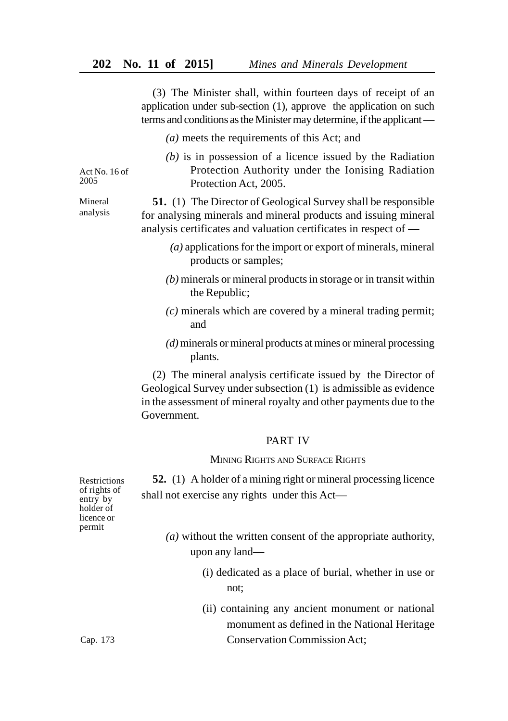(3) The Minister shall, within fourteen days of receipt of an application under sub-section (1), approve the application on such terms and conditions as the Minister may determine, if the applicant —

- *(a)* meets the requirements of this Act; and
- *(b)* is in possession of a licence issued by the Radiation Protection Authority under the Ionising Radiation Protection Act, 2005.

**51.** (1) The Director of Geological Survey shall be responsible for analysing minerals and mineral products and issuing mineral analysis certificates and valuation certificates in respect of —

- *(a)* applications for the import or export of minerals, mineral products or samples;
- *(b)* minerals or mineral products in storage or in transit within the Republic;
- *(c)* minerals which are covered by a mineral trading permit; and
- *(d)* minerals or mineral products at mines or mineral processing plants.

(2) The mineral analysis certificate issued by the Director of Geological Survey under subsection (1) is admissible as evidence in the assessment of mineral royalty and other payments due to the Government.

### PART IV

## MINING RIGHTS AND SURFACE RIGHTS

**52.** (1) A holder of a mining right or mineral processing licence shall not exercise any rights under this Act—

- *(a)* without the written consent of the appropriate authority, upon any land—
	- (i) dedicated as a place of burial, whether in use or not;
	- (ii) containing any ancient monument or national monument as defined in the National Heritage Conservation Commission Act;

Restrictions of rights of entry by holder of licence or permit

Act  $No$  16 of 2005

Mineral analysis

Cap. 173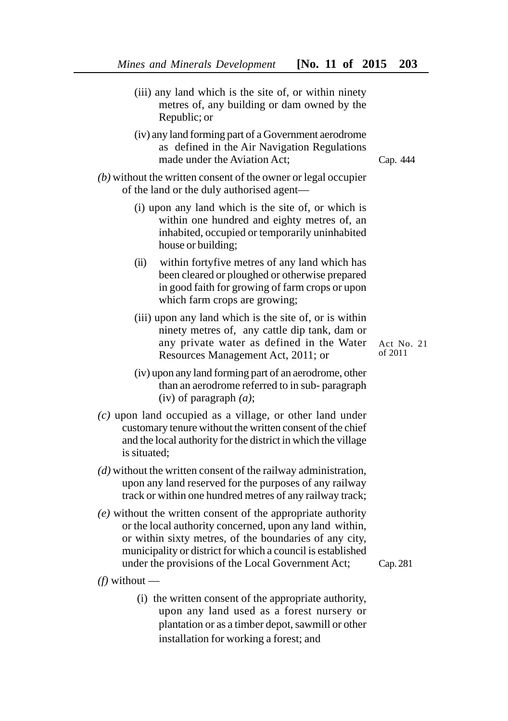- (iii) any land which is the site of, or within ninety metres of, any building or dam owned by the Republic; or
- (iv) any land forming part of a Government aerodrome as defined in the Air Navigation Regulations made under the Aviation Act;

Cap. 444

- *(b)* without the written consent of the owner or legal occupier of the land or the duly authorised agent—
	- (i) upon any land which is the site of, or which is within one hundred and eighty metres of, an inhabited, occupied or temporarily uninhabited house or building;
	- (ii) within fortyfive metres of any land which has been cleared or ploughed or otherwise prepared in good faith for growing of farm crops or upon which farm crops are growing;
	- (iii) upon any land which is the site of, or is within ninety metres of, any cattle dip tank, dam or any private water as defined in the Water Resources Management Act, 2011; or
	- (iv) upon any land forming part of an aerodrome, other than an aerodrome referred to in sub- paragraph (iv) of paragraph *(a)*;
- *(c)* upon land occupied as a village, or other land under customary tenure without the written consent of the chief and the local authority for the district in which the village is situated;
- *(d)* without the written consent of the railway administration, upon any land reserved for the purposes of any railway track or within one hundred metres of any railway track;
- *(e)* without the written consent of the appropriate authority or the local authority concerned, upon any land within, or within sixty metres, of the boundaries of any city, municipality or district for which a council is established under the provisions of the Local Government Act;
- *(f)* without
	- (i) the written consent of the appropriate authority, upon any land used as a forest nursery or plantation or as a timber depot, sawmill or other installation for working a forest; and

Cap. 281

Act No. 21 of 2011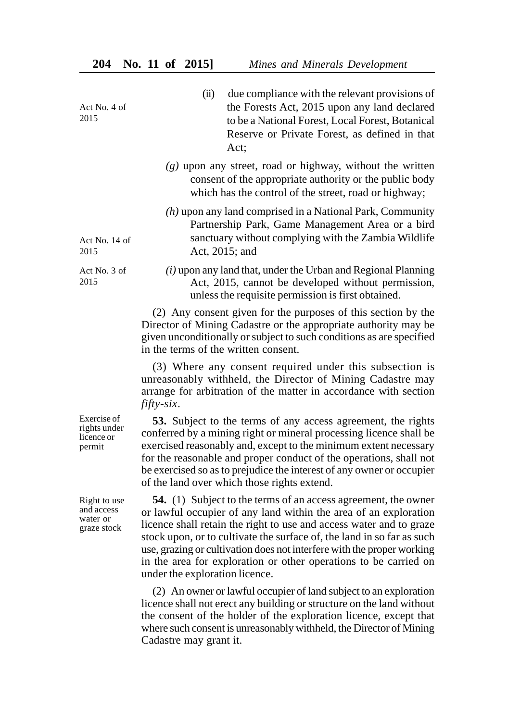| Act No. 4 of<br>2015                                  | (ii)<br>due compliance with the relevant provisions of<br>the Forests Act, 2015 upon any land declared<br>to be a National Forest, Local Forest, Botanical<br>Reserve or Private Forest, as defined in that<br>Act;                                                                                                                                                                                                                                                        |
|-------------------------------------------------------|----------------------------------------------------------------------------------------------------------------------------------------------------------------------------------------------------------------------------------------------------------------------------------------------------------------------------------------------------------------------------------------------------------------------------------------------------------------------------|
|                                                       | $(g)$ upon any street, road or highway, without the written<br>consent of the appropriate authority or the public body<br>which has the control of the street, road or highway;                                                                                                                                                                                                                                                                                            |
| Act No. 14 of<br>2015                                 | $(h)$ upon any land comprised in a National Park, Community<br>Partnership Park, Game Management Area or a bird<br>sanctuary without complying with the Zambia Wildlife<br>Act, 2015; and                                                                                                                                                                                                                                                                                  |
| Act No. 3 of<br>2015                                  | $(i)$ upon any land that, under the Urban and Regional Planning<br>Act, 2015, cannot be developed without permission,<br>unless the requisite permission is first obtained.                                                                                                                                                                                                                                                                                                |
|                                                       | (2) Any consent given for the purposes of this section by the<br>Director of Mining Cadastre or the appropriate authority may be<br>given unconditionally or subject to such conditions as are specified<br>in the terms of the written consent.                                                                                                                                                                                                                           |
|                                                       | (3) Where any consent required under this subsection is<br>unreasonably withheld, the Director of Mining Cadastre may<br>arrange for arbitration of the matter in accordance with section<br>fifty-six.                                                                                                                                                                                                                                                                    |
| Exercise of<br>rights under<br>licence or<br>permit   | 53. Subject to the terms of any access agreement, the rights<br>conferred by a mining right or mineral processing licence shall be<br>exercised reasonably and, except to the minimum extent necessary<br>for the reasonable and proper conduct of the operations, shall not<br>be exercised so as to prejudice the interest of any owner or occupier<br>of the land over which those rights extend.                                                                       |
| Right to use<br>and access<br>water or<br>graze stock | <b>54.</b> (1) Subject to the terms of an access agreement, the owner<br>or lawful occupier of any land within the area of an exploration<br>licence shall retain the right to use and access water and to graze<br>stock upon, or to cultivate the surface of, the land in so far as such<br>use, grazing or cultivation does not interfere with the proper working<br>in the area for exploration or other operations to be carried on<br>under the exploration licence. |
|                                                       | (2) An owner or lawful occupier of land subject to an exploration<br>licence shall not erect any building or structure on the land without<br>the consent of the holder of the exploration licence, except that<br>where such consent is unreasonably withheld, the Director of Mining<br>Cadastre may grant it.                                                                                                                                                           |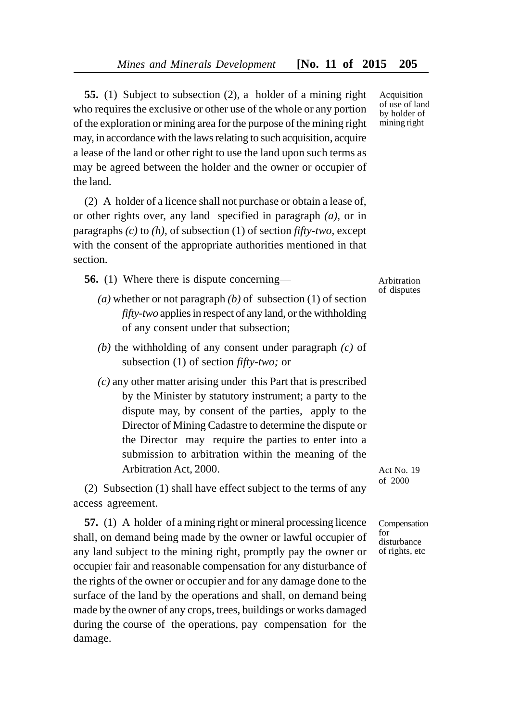**55.** (1) Subject to subsection (2), a holder of a mining right who requires the exclusive or other use of the whole or any portion of the exploration or mining area for the purpose of the mining right may, in accordance with the laws relating to such acquisition, acquire a lease of the land or other right to use the land upon such terms as may be agreed between the holder and the owner or occupier of the land.

(2) A holder of a licence shall not purchase or obtain a lease of, or other rights over, any land specified in paragraph *(a)*, or in paragraphs *(c)* to *(h)*, of subsection (1) of section *fifty-two,* except with the consent of the appropriate authorities mentioned in that section.

**56.** (1) Where there is dispute concerning—

- *(a)* whether or not paragraph *(b)* of subsection (1) of section *fifty-two* applies in respect of any land, or the withholding of any consent under that subsection;
- *(b)* the withholding of any consent under paragraph *(c)* of subsection (1) of section *fifty-two;* or
- *(c)* any other matter arising under this Part that is prescribed by the Minister by statutory instrument; a party to the dispute may, by consent of the parties, apply to the Director of Mining Cadastre to determine the dispute or the Director may require the parties to enter into a submission to arbitration within the meaning of the Arbitration Act, 2000.

(2) Subsection (1) shall have effect subject to the terms of any access agreement.

**57.** (1) A holder of a mining right or mineral processing licence shall, on demand being made by the owner or lawful occupier of any land subject to the mining right, promptly pay the owner or occupier fair and reasonable compensation for any disturbance of the rights of the owner or occupier and for any damage done to the surface of the land by the operations and shall, on demand being made by the owner of any crops, trees, buildings or works damaged during the course of the operations, pay compensation for the damage.

Acquisition of use of land by holder of mining right

Arbitration of disputes

Act No. 19 of 2000

Compensation for disturbance of rights, etc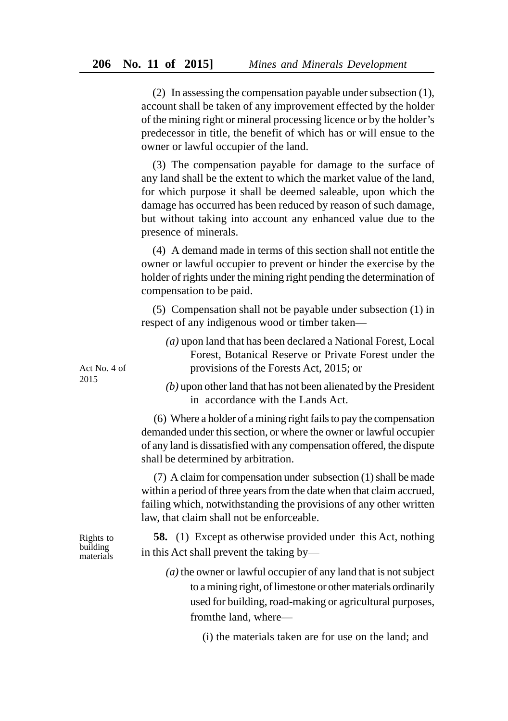(2) In assessing the compensation payable under subsection (1), account shall be taken of any improvement effected by the holder of the mining right or mineral processing licence or by the holder's predecessor in title, the benefit of which has or will ensue to the owner or lawful occupier of the land.

(3) The compensation payable for damage to the surface of any land shall be the extent to which the market value of the land, for which purpose it shall be deemed saleable, upon which the damage has occurred has been reduced by reason of such damage, but without taking into account any enhanced value due to the presence of minerals.

(4) A demand made in terms of this section shall not entitle the owner or lawful occupier to prevent or hinder the exercise by the holder of rights under the mining right pending the determination of compensation to be paid.

(5) Compensation shall not be payable under subsection (1) in respect of any indigenous wood or timber taken—

| (a) upon land that has been declared a National Forest, Local |
|---------------------------------------------------------------|
| Forest, Botanical Reserve or Private Forest under the         |
| provisions of the Forests Act, 2015; or                       |

Act No. 4 of 2015

*(b)* upon other land that has not been alienated by the President in accordance with the Lands Act.

(6) Where a holder of a mining right fails to pay the compensation demanded under this section, or where the owner or lawful occupier of any land is dissatisfied with any compensation offered, the dispute shall be determined by arbitration.

(7) A claim for compensation under subsection (1) shall be made within a period of three years from the date when that claim accrued, failing which, notwithstanding the provisions of any other written law, that claim shall not be enforceable.

**58.** (1) Except as otherwise provided under this Act, nothing in this Act shall prevent the taking by—

> *(a)* the owner or lawful occupier of any land that is not subject to a mining right, of limestone or other materials ordinarily used for building, road-making or agricultural purposes, fromthe land, where—

> > (i) the materials taken are for use on the land; and

Rights to building materials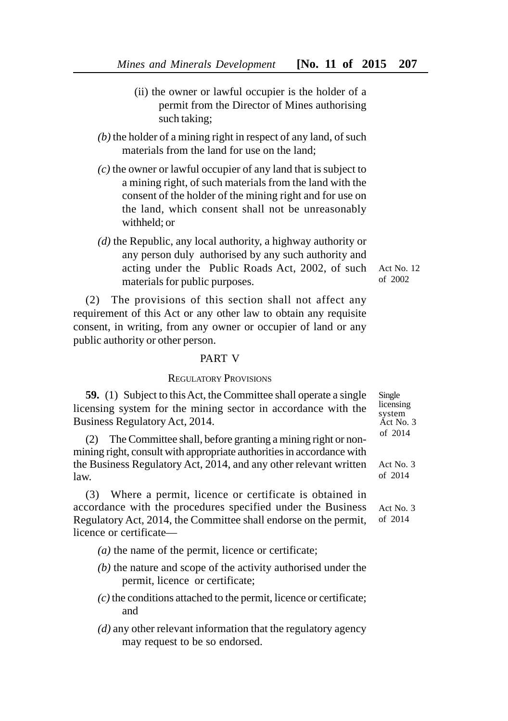- (ii) the owner or lawful occupier is the holder of a permit from the Director of Mines authorising such taking;
- *(b)* the holder of a mining right in respect of any land, of such materials from the land for use on the land;
- *(c)* the owner or lawful occupier of any land that is subject to a mining right, of such materials from the land with the consent of the holder of the mining right and for use on the land, which consent shall not be unreasonably withheld; or
- *(d)* the Republic, any local authority, a highway authority or any person duly authorised by any such authority and acting under the Public Roads Act, 2002, of such materials for public purposes.

(2) The provisions of this section shall not affect any requirement of this Act or any other law to obtain any requisite consent, in writing, from any owner or occupier of land or any public authority or other person.

### PART V

# REGULATORY PROVISIONS

**59.** (1) Subject to this Act, the Committee shall operate a single licensing system for the mining sector in accordance with the Business Regulatory Act, 2014.

(2) The Committee shall, before granting a mining right or nonmining right, consult with appropriate authorities in accordance with the Business Regulatory Act, 2014, and any other relevant written law.

(3) Where a permit, licence or certificate is obtained in accordance with the procedures specified under the Business Regulatory Act, 2014, the Committee shall endorse on the permit, licence or certificate—

- *(a)* the name of the permit, licence or certificate;
- *(b)* the nature and scope of the activity authorised under the permit, licence or certificate;
- *(c)* the conditions attached to the permit, licence or certificate; and
- *(d)* any other relevant information that the regulatory agency may request to be so endorsed.

Single licensing system Act No. 3 of 2014

Act No. 3 of 2014

Act No. 3 of 2014

Act No. 12 of 2002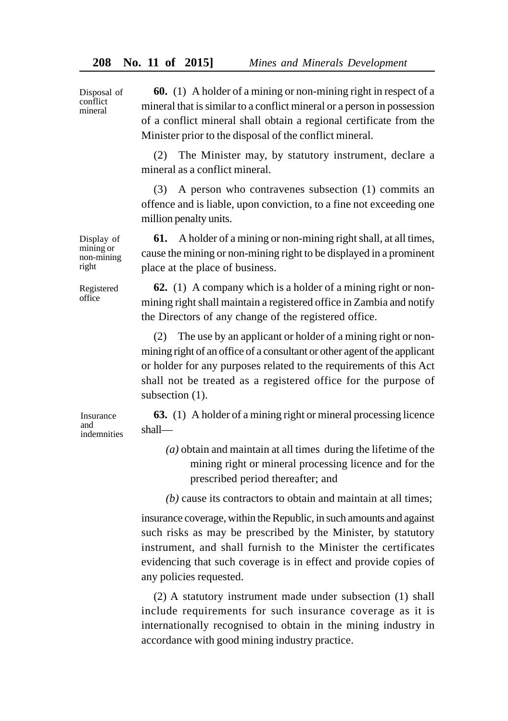**60.** (1) A holder of a mining or non-mining right in respect of a mineral that is similar to a conflict mineral or a person in possession of a conflict mineral shall obtain a regional certificate from the Minister prior to the disposal of the conflict mineral.

(2) The Minister may, by statutory instrument, declare a mineral as a conflict mineral.

(3) A person who contravenes subsection (1) commits an offence and is liable, upon conviction, to a fine not exceeding one million penalty units.

**61.** A holder of a mining or non-mining right shall, at all times, cause the mining or non-mining right to be displayed in a prominent place at the place of business.

**62.** (1) A company which is a holder of a mining right or nonmining right shall maintain a registered office in Zambia and notify the Directors of any change of the registered office.

(2) The use by an applicant or holder of a mining right or nonmining right of an office of a consultant or other agent of the applicant or holder for any purposes related to the requirements of this Act shall not be treated as a registered office for the purpose of subsection  $(1)$ .

**63.** (1) A holder of a mining right or mineral processing licence shall—

- *(a)* obtain and maintain at all times during the lifetime of the mining right or mineral processing licence and for the prescribed period thereafter; and
- *(b)* cause its contractors to obtain and maintain at all times;

insurance coverage, within the Republic, in such amounts and against such risks as may be prescribed by the Minister, by statutory instrument, and shall furnish to the Minister the certificates evidencing that such coverage is in effect and provide copies of any policies requested.

(2) A statutory instrument made under subsection (1) shall include requirements for such insurance coverage as it is internationally recognised to obtain in the mining industry in accordance with good mining industry practice.

Display of mining or non-mining right

Disposal of conflict mineral

Registered office

Insurance and indemnities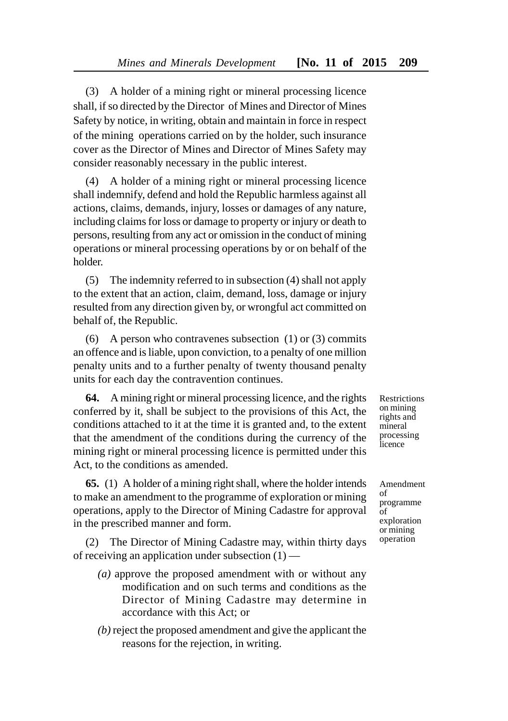(3) A holder of a mining right or mineral processing licence shall, if so directed by the Director of Mines and Director of Mines Safety by notice, in writing, obtain and maintain in force in respect of the mining operations carried on by the holder, such insurance cover as the Director of Mines and Director of Mines Safety may consider reasonably necessary in the public interest.

(4) A holder of a mining right or mineral processing licence shall indemnify, defend and hold the Republic harmless against all actions, claims, demands, injury, losses or damages of any nature, including claims for loss or damage to property or injury or death to persons, resulting from any act or omission in the conduct of mining operations or mineral processing operations by or on behalf of the holder.

(5) The indemnity referred to in subsection (4) shall not apply to the extent that an action, claim, demand, loss, damage or injury resulted from any direction given by, or wrongful act committed on behalf of, the Republic.

(6) A person who contravenes subsection (1) or (3) commits an offence and is liable, upon conviction, to a penalty of one million penalty units and to a further penalty of twenty thousand penalty units for each day the contravention continues.

**64.** A mining right or mineral processing licence, and the rights conferred by it, shall be subject to the provisions of this Act, the conditions attached to it at the time it is granted and, to the extent that the amendment of the conditions during the currency of the mining right or mineral processing licence is permitted under this Act, to the conditions as amended.

**65.** (1) A holder of a mining right shall, where the holder intends to make an amendment to the programme of exploration or mining operations, apply to the Director of Mining Cadastre for approval in the prescribed manner and form.

(2) The Director of Mining Cadastre may, within thirty days of receiving an application under subsection (1) —

- *(a)* approve the proposed amendment with or without any modification and on such terms and conditions as the Director of Mining Cadastre may determine in accordance with this Act; or
- *(b)* reject the proposed amendment and give the applicant the reasons for the rejection, in writing.

Restrictions on mining rights and mineral processing **l**icence

Amendment of programme of exploration or mining operation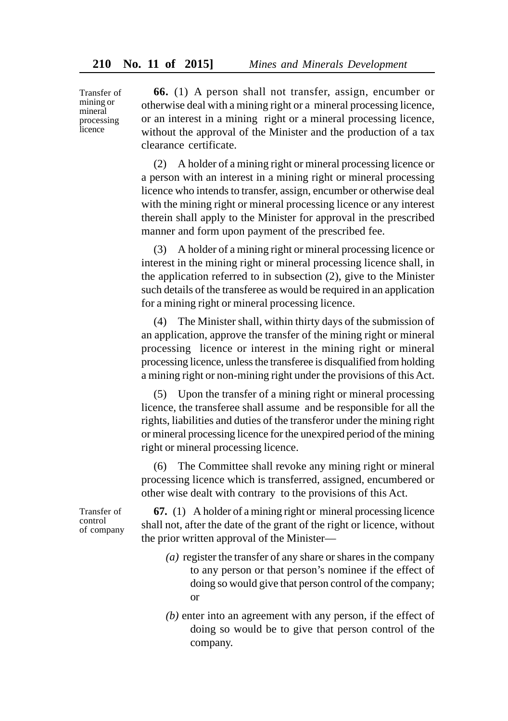Transfer of mining or mineral processing licence

**66.** (1) A person shall not transfer, assign, encumber or otherwise deal with a mining right or a mineral processing licence, or an interest in a mining right or a mineral processing licence, without the approval of the Minister and the production of a tax clearance certificate.

(2) A holder of a mining right or mineral processing licence or a person with an interest in a mining right or mineral processing licence who intends to transfer, assign, encumber or otherwise deal with the mining right or mineral processing licence or any interest therein shall apply to the Minister for approval in the prescribed manner and form upon payment of the prescribed fee.

(3) A holder of a mining right or mineral processing licence or interest in the mining right or mineral processing licence shall, in the application referred to in subsection (2), give to the Minister such details of the transferee as would be required in an application for a mining right or mineral processing licence.

(4) The Minister shall, within thirty days of the submission of an application, approve the transfer of the mining right or mineral processing licence or interest in the mining right or mineral processing licence, unless the transferee is disqualified from holding a mining right or non-mining right under the provisions of this Act.

(5) Upon the transfer of a mining right or mineral processing licence, the transferee shall assume and be responsible for all the rights, liabilities and duties of the transferor under the mining right or mineral processing licence for the unexpired period of the mining right or mineral processing licence.

(6) The Committee shall revoke any mining right or mineral processing licence which is transferred, assigned, encumbered or other wise dealt with contrary to the provisions of this Act.

Transfer of control of company

**67.** (1) A holder of a mining right or mineral processing licence shall not, after the date of the grant of the right or licence, without the prior written approval of the Minister—

- *(a)* register the transfer of any share or shares in the company to any person or that person's nominee if the effect of doing so would give that person control of the company; or
- *(b)* enter into an agreement with any person, if the effect of doing so would be to give that person control of the company.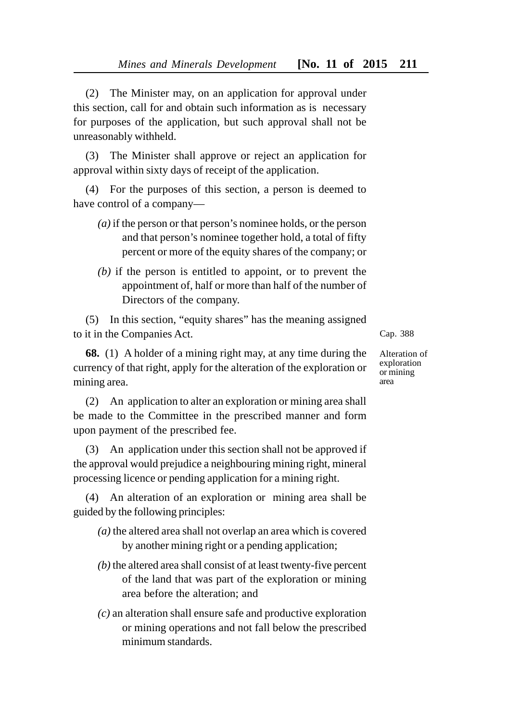(2) The Minister may, on an application for approval under this section, call for and obtain such information as is necessary for purposes of the application, but such approval shall not be unreasonably withheld.

(3) The Minister shall approve or reject an application for approval within sixty days of receipt of the application.

(4) For the purposes of this section, a person is deemed to have control of a company—

- *(a)* if the person or that person's nominee holds, or the person and that person's nominee together hold, a total of fifty percent or more of the equity shares of the company; or
- *(b)* if the person is entitled to appoint, or to prevent the appointment of, half or more than half of the number of Directors of the company.

(5) In this section, "equity shares" has the meaning assigned to it in the Companies Act.

**68.** (1) A holder of a mining right may, at any time during the currency of that right, apply for the alteration of the exploration or mining area.

(2) An application to alter an exploration or mining area shall be made to the Committee in the prescribed manner and form upon payment of the prescribed fee.

(3) An application under this section shall not be approved if the approval would prejudice a neighbouring mining right, mineral processing licence or pending application for a mining right.

(4) An alteration of an exploration or mining area shall be guided by the following principles:

- *(a)* the altered area shall not overlap an area which is covered by another mining right or a pending application;
- *(b)* the altered area shall consist of at least twenty-five percent of the land that was part of the exploration or mining area before the alteration; and
- *(c)* an alteration shall ensure safe and productive exploration or mining operations and not fall below the prescribed minimum standards.

Cap. 388

Alteration of exploration or mining area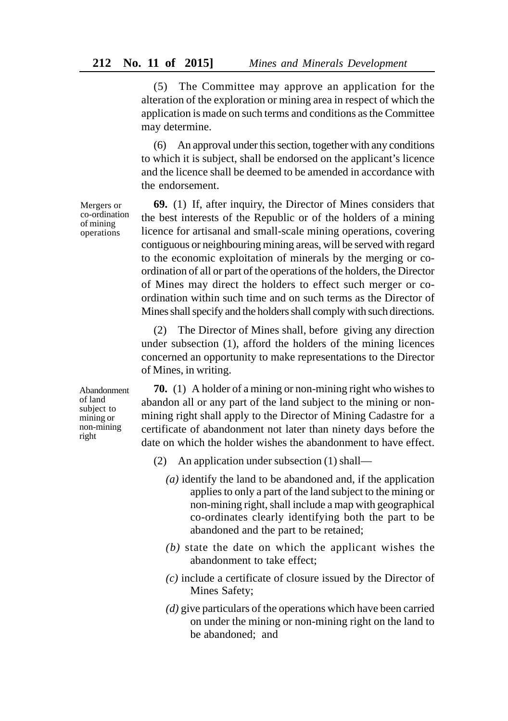(5) The Committee may approve an application for the alteration of the exploration or mining area in respect of which the application is made on such terms and conditions as the Committee may determine.

(6) An approval under this section, together with any conditions to which it is subject, shall be endorsed on the applicant's licence and the licence shall be deemed to be amended in accordance with the endorsement.

**69.** (1) If, after inquiry, the Director of Mines considers that the best interests of the Republic or of the holders of a mining licence for artisanal and small-scale mining operations, covering contiguous or neighbouring mining areas, will be served with regard to the economic exploitation of minerals by the merging or coordination of all or part of the operations of the holders, the Director of Mines may direct the holders to effect such merger or coordination within such time and on such terms as the Director of Mines shall specify and the holders shall comply with such directions.

(2) The Director of Mines shall, before giving any direction under subsection (1), afford the holders of the mining licences concerned an opportunity to make representations to the Director of Mines, in writing.

**70.** (1) A holder of a mining or non-mining right who wishes to abandon all or any part of the land subject to the mining or nonmining right shall apply to the Director of Mining Cadastre for a certificate of abandonment not later than ninety days before the date on which the holder wishes the abandonment to have effect.

- (2) An application under subsection (1) shall—
	- *(a)* identify the land to be abandoned and, if the application applies to only a part of the land subject to the mining or non-mining right, shall include a map with geographical co-ordinates clearly identifying both the part to be abandoned and the part to be retained;
	- *(b)* state the date on which the applicant wishes the abandonment to take effect;
	- *(c)* include a certificate of closure issued by the Director of Mines Safety;
	- *(d)* give particulars of the operations which have been carried on under the mining or non-mining right on the land to be abandoned; and

Mergers or co-ordination of mining operations

Abandonment of land subject to mining or non-mining right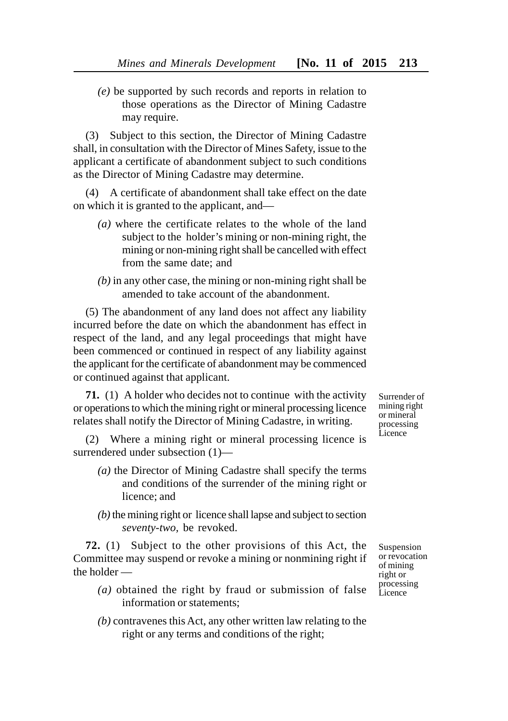*(e)* be supported by such records and reports in relation to those operations as the Director of Mining Cadastre may require.

(3) Subject to this section, the Director of Mining Cadastre shall, in consultation with the Director of Mines Safety, issue to the applicant a certificate of abandonment subject to such conditions as the Director of Mining Cadastre may determine.

(4) A certificate of abandonment shall take effect on the date on which it is granted to the applicant, and—

- *(a)* where the certificate relates to the whole of the land subject to the holder's mining or non-mining right, the mining or non-mining right shall be cancelled with effect from the same date; and
- *(b)* in any other case, the mining or non-mining right shall be amended to take account of the abandonment.

(5) The abandonment of any land does not affect any liability incurred before the date on which the abandonment has effect in respect of the land, and any legal proceedings that might have been commenced or continued in respect of any liability against the applicant for the certificate of abandonment may be commenced or continued against that applicant.

**71.** (1) A holder who decides not to continue with the activity or operations to which the mining right or mineral processing licence relates shall notify the Director of Mining Cadastre, in writing.

(2) Where a mining right or mineral processing licence is surrendered under subsection (1)—

- *(a)* the Director of Mining Cadastre shall specify the terms and conditions of the surrender of the mining right or licence; and
- *(b)* the mining right or licence shall lapse and subject to section *seventy-two,* be revoked.

**72.** (1) Subject to the other provisions of this Act, the Committee may suspend or revoke a mining or nonmining right if the holder —

- *(a)* obtained the right by fraud or submission of false information or statements;
- *(b)* contravenes this Act, any other written law relating to the right or any terms and conditions of the right;

Surrender of mining right or mineral processing Licence

Suspension or revocation of mining right or processing **L**icence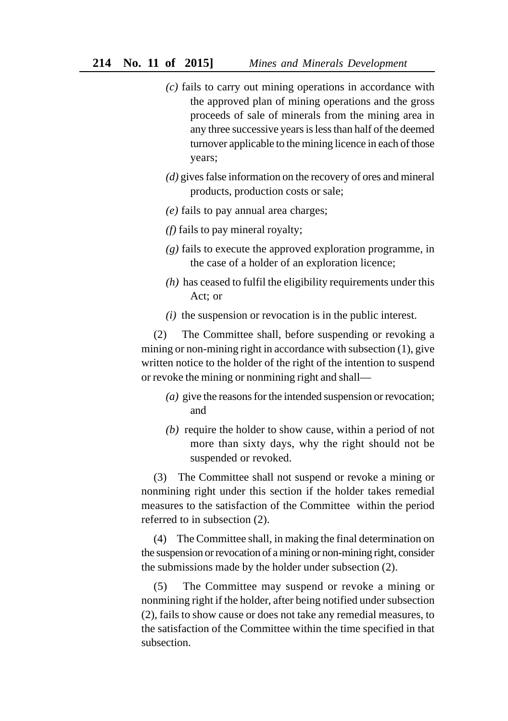- *(c)* fails to carry out mining operations in accordance with the approved plan of mining operations and the gross proceeds of sale of minerals from the mining area in any three successive years is less than half of the deemed turnover applicable to the mining licence in each of those years;
- *(d)* gives false information on the recovery of ores and mineral products, production costs or sale;
- *(e)* fails to pay annual area charges;
- *(f)* fails to pay mineral royalty;
- *(g)* fails to execute the approved exploration programme, in the case of a holder of an exploration licence;
- *(h)* has ceased to fulfil the eligibility requirements under this Act; or
- *(i)* the suspension or revocation is in the public interest.

(2) The Committee shall, before suspending or revoking a mining or non-mining right in accordance with subsection (1), give written notice to the holder of the right of the intention to suspend or revoke the mining or nonmining right and shall—

- *(a)* give the reasons for the intended suspension or revocation; and
- *(b)* require the holder to show cause, within a period of not more than sixty days, why the right should not be suspended or revoked.

(3) The Committee shall not suspend or revoke a mining or nonmining right under this section if the holder takes remedial measures to the satisfaction of the Committee within the period referred to in subsection (2).

(4) The Committee shall, in making the final determination on the suspension or revocation of a mining or non-mining right, consider the submissions made by the holder under subsection (2).

(5) The Committee may suspend or revoke a mining or nonmining right if the holder, after being notified under subsection (2), fails to show cause or does not take any remedial measures, to the satisfaction of the Committee within the time specified in that subsection.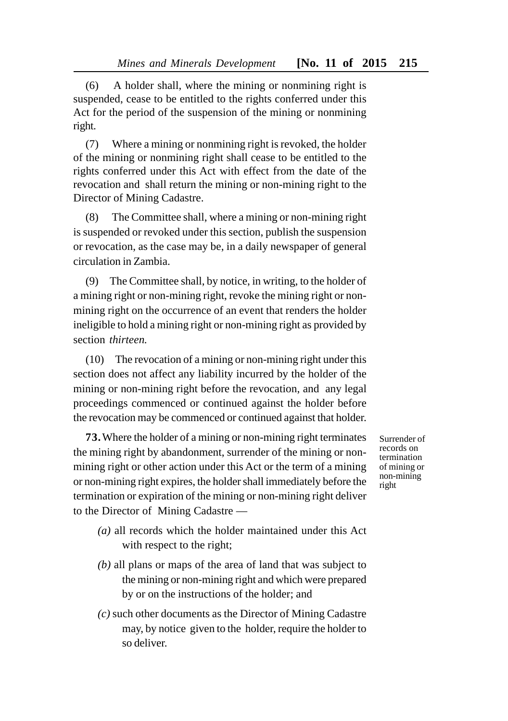(6) A holder shall, where the mining or nonmining right is suspended, cease to be entitled to the rights conferred under this Act for the period of the suspension of the mining or nonmining right.

(7) Where a mining or nonmining right is revoked, the holder of the mining or nonmining right shall cease to be entitled to the rights conferred under this Act with effect from the date of the revocation and shall return the mining or non-mining right to the Director of Mining Cadastre.

(8) The Committee shall, where a mining or non-mining right is suspended or revoked under this section, publish the suspension or revocation, as the case may be, in a daily newspaper of general circulation in Zambia.

(9) The Committee shall, by notice, in writing, to the holder of a mining right or non-mining right, revoke the mining right or nonmining right on the occurrence of an event that renders the holder ineligible to hold a mining right or non-mining right as provided by section *thirteen.*

(10) The revocation of a mining or non-mining right under this section does not affect any liability incurred by the holder of the mining or non-mining right before the revocation, and any legal proceedings commenced or continued against the holder before the revocation may be commenced or continued against that holder.

**73.**Where the holder of a mining or non-mining right terminates the mining right by abandonment, surrender of the mining or nonmining right or other action under this Act or the term of a mining or non-mining right expires, the holder shall immediately before the termination or expiration of the mining or non-mining right deliver to the Director of Mining Cadastre —

- Surrender of records on termination of mining or non-mining right
- *(a)* all records which the holder maintained under this Act with respect to the right;
- *(b)* all plans or maps of the area of land that was subject to the mining or non-mining right and which were prepared by or on the instructions of the holder; and
- *(c)* such other documents as the Director of Mining Cadastre may, by notice given to the holder, require the holder to so deliver.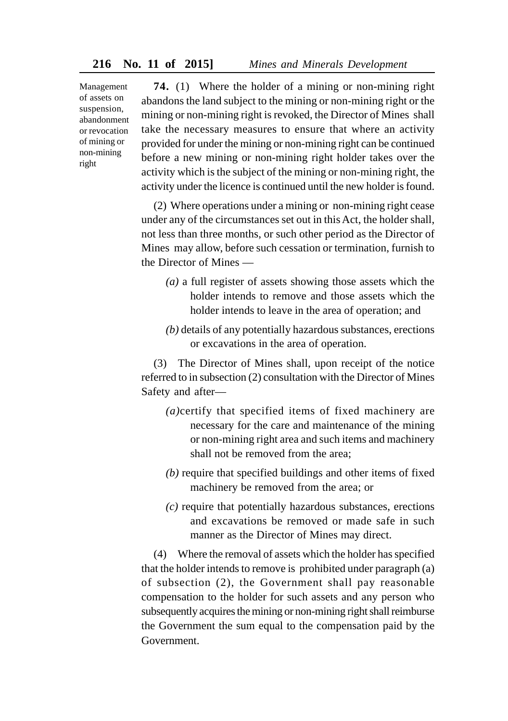Management of assets on suspension, abandonment or revocation of mining or non-mining right

**74.** (1) Where the holder of a mining or non-mining right abandons the land subject to the mining or non-mining right or the mining or non-mining right is revoked, the Director of Mines shall take the necessary measures to ensure that where an activity provided for under the mining or non-mining right can be continued before a new mining or non-mining right holder takes over the activity which is the subject of the mining or non-mining right, the activity under the licence is continued until the new holder is found.

(2) Where operations under a mining or non-mining right cease under any of the circumstances set out in this Act, the holder shall, not less than three months, or such other period as the Director of Mines may allow, before such cessation or termination, furnish to the Director of Mines —

- *(a)* a full register of assets showing those assets which the holder intends to remove and those assets which the holder intends to leave in the area of operation; and
- *(b)* details of any potentially hazardous substances, erections or excavations in the area of operation.

(3) The Director of Mines shall, upon receipt of the notice referred to in subsection (2) consultation with the Director of Mines Safety and after—

- *(a)*certify that specified items of fixed machinery are necessary for the care and maintenance of the mining or non-mining right area and such items and machinery shall not be removed from the area;
- *(b)* require that specified buildings and other items of fixed machinery be removed from the area; or
- *(c)* require that potentially hazardous substances, erections and excavations be removed or made safe in such manner as the Director of Mines may direct.

(4) Where the removal of assets which the holder has specified that the holder intends to remove is prohibited under paragraph (a) of subsection (2), the Government shall pay reasonable compensation to the holder for such assets and any person who subsequently acquires the mining or non-mining right shall reimburse the Government the sum equal to the compensation paid by the **Government**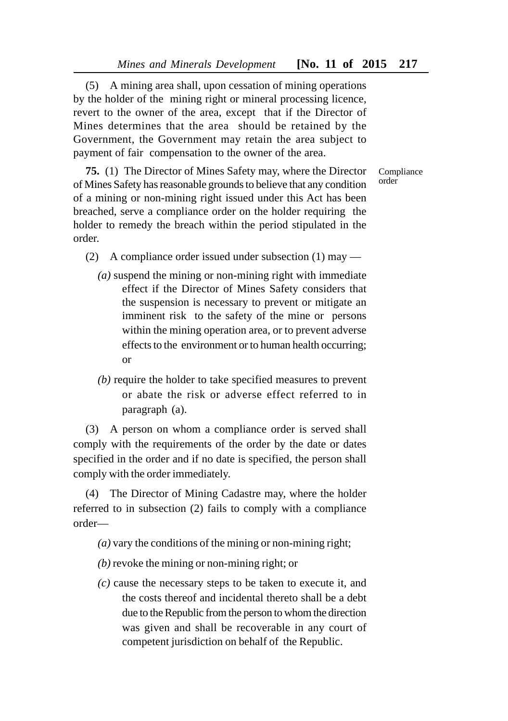(5) A mining area shall, upon cessation of mining operations by the holder of the mining right or mineral processing licence, revert to the owner of the area, except that if the Director of Mines determines that the area should be retained by the Government, the Government may retain the area subject to payment of fair compensation to the owner of the area.

**75.** (1) The Director of Mines Safety may, where the Director of Mines Safety has reasonable grounds to believe that any condition of a mining or non-mining right issued under this Act has been breached, serve a compliance order on the holder requiring the holder to remedy the breach within the period stipulated in the order.

- (2) A compliance order issued under subsection (1) may
	- *(a)* suspend the mining or non-mining right with immediate effect if the Director of Mines Safety considers that the suspension is necessary to prevent or mitigate an imminent risk to the safety of the mine or persons within the mining operation area, or to prevent adverse effects to the environment or to human health occurring; or
	- *(b)* require the holder to take specified measures to prevent or abate the risk or adverse effect referred to in paragraph (a).

(3) A person on whom a compliance order is served shall comply with the requirements of the order by the date or dates specified in the order and if no date is specified, the person shall comply with the order immediately.

(4) The Director of Mining Cadastre may, where the holder referred to in subsection (2) fails to comply with a compliance order—

- *(a)* vary the conditions of the mining or non-mining right;
- *(b)* revoke the mining or non-mining right; or
- *(c)* cause the necessary steps to be taken to execute it, and the costs thereof and incidental thereto shall be a debt due to the Republic from the person to whom the direction was given and shall be recoverable in any court of competent jurisdiction on behalf of the Republic.

Compliance order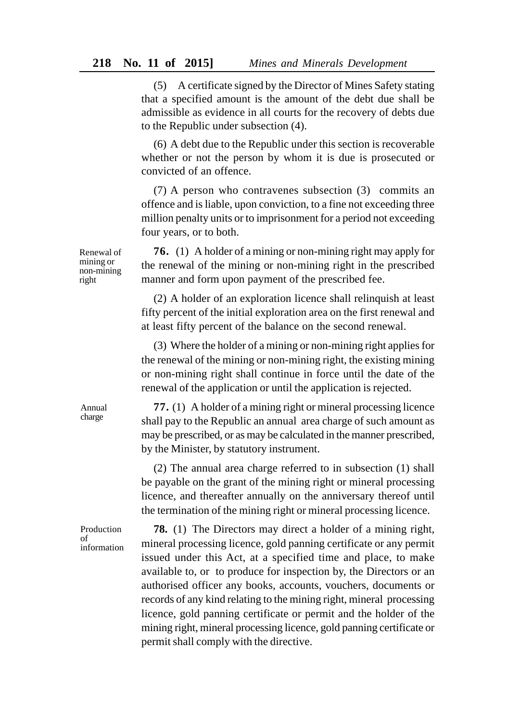(5) A certificate signed by the Director of Mines Safety stating that a specified amount is the amount of the debt due shall be admissible as evidence in all courts for the recovery of debts due to the Republic under subsection (4).

(6) A debt due to the Republic under this section is recoverable whether or not the person by whom it is due is prosecuted or convicted of an offence.

(7) A person who contravenes subsection (3) commits an offence and is liable, upon conviction, to a fine not exceeding three million penalty units or to imprisonment for a period not exceeding four years, or to both.

**76.** (1) A holder of a mining or non-mining right may apply for the renewal of the mining or non-mining right in the prescribed manner and form upon payment of the prescribed fee.

(2) A holder of an exploration licence shall relinquish at least fifty percent of the initial exploration area on the first renewal and at least fifty percent of the balance on the second renewal.

(3) Where the holder of a mining or non-mining right applies for the renewal of the mining or non-mining right, the existing mining or non-mining right shall continue in force until the date of the renewal of the application or until the application is rejected.

**77.** (1) A holder of a mining right or mineral processing licence shall pay to the Republic an annual area charge of such amount as may be prescribed, or as may be calculated in the manner prescribed, by the Minister, by statutory instrument.

(2) The annual area charge referred to in subsection (1) shall be payable on the grant of the mining right or mineral processing licence, and thereafter annually on the anniversary thereof until the termination of the mining right or mineral processing licence.

Production of information

**78.** (1) The Directors may direct a holder of a mining right, mineral processing licence, gold panning certificate or any permit issued under this Act, at a specified time and place, to make available to, or to produce for inspection by, the Directors or an authorised officer any books, accounts, vouchers, documents or records of any kind relating to the mining right, mineral processing licence, gold panning certificate or permit and the holder of the mining right, mineral processing licence, gold panning certificate or permit shall comply with the directive.

Renewal of mining or non-mining right

Annual charge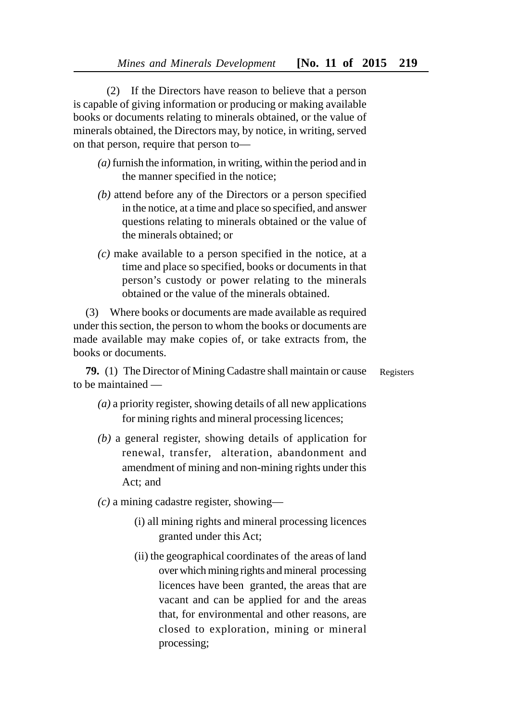(2) If the Directors have reason to believe that a person is capable of giving information or producing or making available books or documents relating to minerals obtained, or the value of minerals obtained, the Directors may, by notice, in writing, served on that person, require that person to—

- *(a)* furnish the information, in writing, within the period and in the manner specified in the notice;
- *(b)* attend before any of the Directors or a person specified in the notice, at a time and place so specified, and answer questions relating to minerals obtained or the value of the minerals obtained; or
- *(c)* make available to a person specified in the notice, at a time and place so specified, books or documents in that person's custody or power relating to the minerals obtained or the value of the minerals obtained.

(3) Where books or documents are made available as required under this section, the person to whom the books or documents are made available may make copies of, or take extracts from, the books or documents.

**79.** (1) The Director of Mining Cadastre shall maintain or cause to be maintained — Registers

- *(a)* a priority register, showing details of all new applications for mining rights and mineral processing licences;
- *(b)* a general register, showing details of application for renewal, transfer, alteration, abandonment and amendment of mining and non-mining rights under this Act; and
- *(c)* a mining cadastre register, showing—
	- (i) all mining rights and mineral processing licences granted under this Act;
	- (ii) the geographical coordinates of the areas of land over which mining rights and mineral processing licences have been granted, the areas that are vacant and can be applied for and the areas that, for environmental and other reasons, are closed to exploration, mining or mineral processing;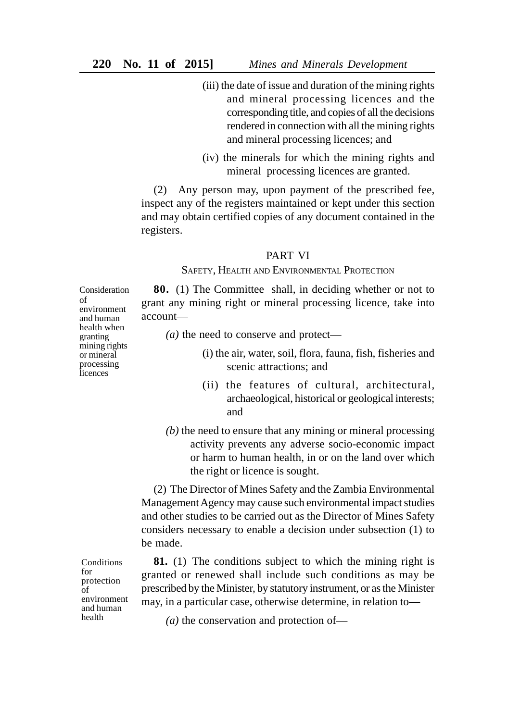- (iii) the date of issue and duration of the mining rights and mineral processing licences and the corresponding title, and copies of all the decisions rendered in connection with all the mining rights and mineral processing licences; and
- (iv) the minerals for which the mining rights and mineral processing licences are granted.

(2) Any person may, upon payment of the prescribed fee, inspect any of the registers maintained or kept under this section and may obtain certified copies of any document contained in the registers.

### PART VI

SAFETY, HEALTH AND ENVIRONMENTAL PROTECTION

**80.** (1) The Committee shall, in deciding whether or not to grant any mining right or mineral processing licence, take into account—

*(a)* the need to conserve and protect—

- (i) the air, water, soil, flora, fauna, fish, fisheries and scenic attractions; and
- (ii) the features of cultural, architectural, archaeological, historical or geological interests; and
- *(b)* the need to ensure that any mining or mineral processing activity prevents any adverse socio-economic impact or harm to human health, in or on the land over which the right or licence is sought.

(2) The Director of Mines Safety and the Zambia Environmental Management Agency may cause such environmental impact studies and other studies to be carried out as the Director of Mines Safety considers necessary to enable a decision under subsection (1) to be made.

**81.** (1) The conditions subject to which the mining right is granted or renewed shall include such conditions as may be prescribed by the Minister, by statutory instrument, or as the Minister may, in a particular case, otherwise determine, in relation to—

*(a)* the conservation and protection of—

Consideration of environment and human health when granting mining rights or mineral processing **l**icences

Conditions for protection of environment and human health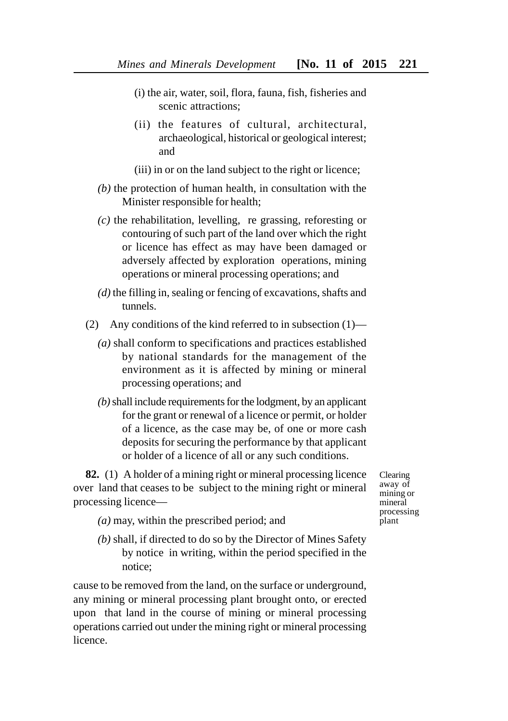- (i) the air, water, soil, flora, fauna, fish, fisheries and scenic attractions:
- (ii) the features of cultural, architectural, archaeological, historical or geological interest; and
- (iii) in or on the land subject to the right or licence;
- *(b)* the protection of human health, in consultation with the Minister responsible for health;
- *(c)* the rehabilitation, levelling, re grassing, reforesting or contouring of such part of the land over which the right or licence has effect as may have been damaged or adversely affected by exploration operations, mining operations or mineral processing operations; and
- *(d)* the filling in, sealing or fencing of excavations, shafts and tunnels.
- (2) Any conditions of the kind referred to in subsection (1)—
	- *(a)* shall conform to specifications and practices established by national standards for the management of the environment as it is affected by mining or mineral processing operations; and
	- *(b)* shall include requirements for the lodgment, by an applicant for the grant or renewal of a licence or permit, or holder of a licence, as the case may be, of one or more cash deposits for securing the performance by that applicant or holder of a licence of all or any such conditions.

**82.** (1) A holder of a mining right or mineral processing licence over land that ceases to be subject to the mining right or mineral processing licence—

- *(a)* may, within the prescribed period; and
- *(b)* shall, if directed to do so by the Director of Mines Safety by notice in writing, within the period specified in the notice;

cause to be removed from the land, on the surface or underground, any mining or mineral processing plant brought onto, or erected upon that land in the course of mining or mineral processing operations carried out under the mining right or mineral processing licence.

Clearing away of mining or mineral processing plant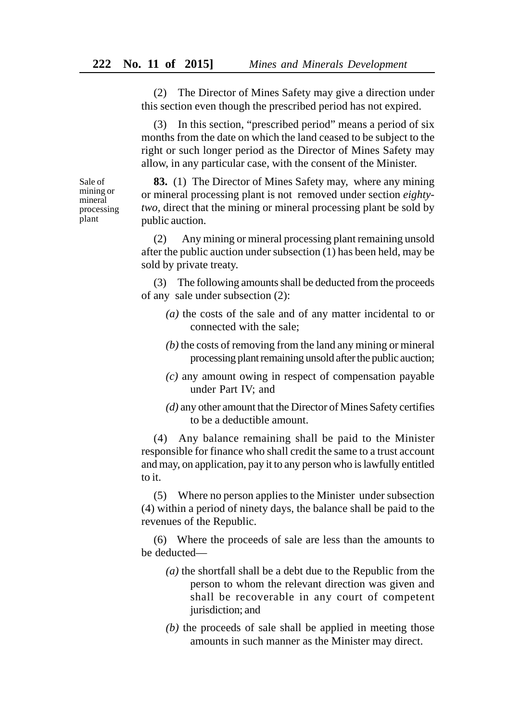(2) The Director of Mines Safety may give a direction under this section even though the prescribed period has not expired.

(3) In this section, "prescribed period" means a period of six months from the date on which the land ceased to be subject to the right or such longer period as the Director of Mines Safety may allow, in any particular case, with the consent of the Minister.

**83.** (1) The Director of Mines Safety may, where any mining or mineral processing plant is not removed under section *eightytwo,* direct that the mining or mineral processing plant be sold by public auction.

(2) Any mining or mineral processing plant remaining unsold after the public auction under subsection (1) has been held, may be sold by private treaty.

(3) The following amounts shall be deducted from the proceeds of any sale under subsection (2):

- *(a)* the costs of the sale and of any matter incidental to or connected with the sale;
- *(b)* the costs of removing from the land any mining or mineral processing plant remaining unsold after the public auction;
- *(c)* any amount owing in respect of compensation payable under Part IV; and
- *(d)* any other amount that the Director of Mines Safety certifies to be a deductible amount.

(4) Any balance remaining shall be paid to the Minister responsible for finance who shall credit the same to a trust account and may, on application, pay it to any person who is lawfully entitled to it.

(5) Where no person applies to the Minister under subsection (4) within a period of ninety days, the balance shall be paid to the revenues of the Republic.

(6) Where the proceeds of sale are less than the amounts to be deducted—

- *(a)* the shortfall shall be a debt due to the Republic from the person to whom the relevant direction was given and shall be recoverable in any court of competent jurisdiction; and
- *(b)* the proceeds of sale shall be applied in meeting those amounts in such manner as the Minister may direct.

Sale of mining or mineral processing plant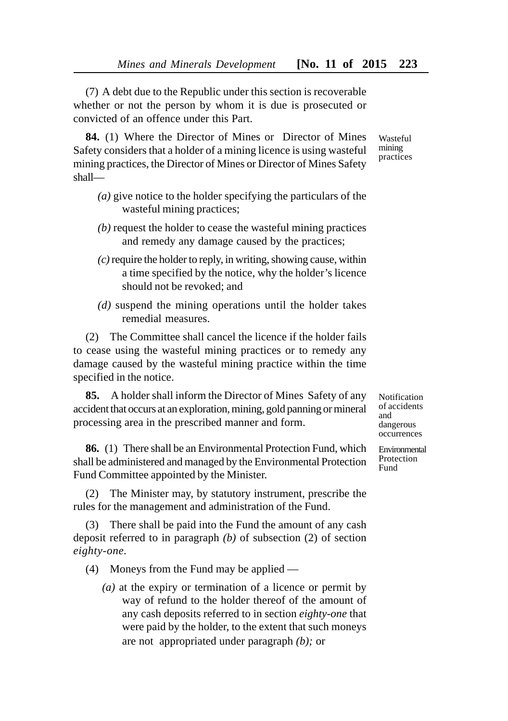(7) A debt due to the Republic under this section is recoverable whether or not the person by whom it is due is prosecuted or convicted of an offence under this Part.

**84.** (1) Where the Director of Mines or Director of Mines Safety considers that a holder of a mining licence is using wasteful mining practices, the Director of Mines or Director of Mines Safety shall—

- *(a)* give notice to the holder specifying the particulars of the wasteful mining practices;
- *(b)* request the holder to cease the wasteful mining practices and remedy any damage caused by the practices;
- *(c)* require the holder to reply, in writing, showing cause, within a time specified by the notice, why the holder's licence should not be revoked; and
- *(d)* suspend the mining operations until the holder takes remedial measures.

(2) The Committee shall cancel the licence if the holder fails to cease using the wasteful mining practices or to remedy any damage caused by the wasteful mining practice within the time specified in the notice.

**85.** A holder shall inform the Director of Mines Safety of any accident that occurs at an exploration, mining, gold panning or mineral processing area in the prescribed manner and form.

**86.** (1) There shall be an Environmental Protection Fund, which shall be administered and managed by the Environmental Protection Fund Committee appointed by the Minister.

(2) The Minister may, by statutory instrument, prescribe the rules for the management and administration of the Fund.

(3) There shall be paid into the Fund the amount of any cash deposit referred to in paragraph *(b)* of subsection (2) of section *eighty-one.*

(4) Moneys from the Fund may be applied —

*(a)* at the expiry or termination of a licence or permit by way of refund to the holder thereof of the amount of any cash deposits referred to in section *eighty-one* that were paid by the holder, to the extent that such moneys are not appropriated under paragraph *(b);* or

Notification of accidents and dangerous occurrences

Environmental Protection Fund

Wasteful mining practices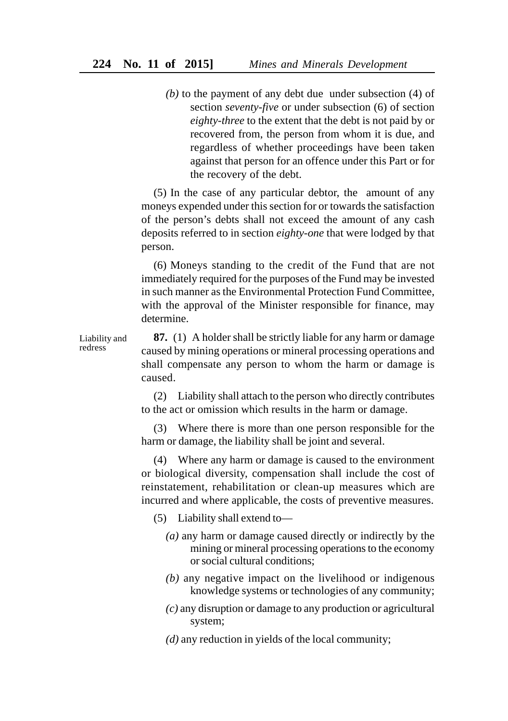*(b)* to the payment of any debt due under subsection (4) of section *seventy-five* or under subsection (6) of section *eighty-three* to the extent that the debt is not paid by or recovered from, the person from whom it is due, and regardless of whether proceedings have been taken against that person for an offence under this Part or for the recovery of the debt.

(5) In the case of any particular debtor, the amount of any moneys expended under this section for or towards the satisfaction of the person's debts shall not exceed the amount of any cash deposits referred to in section *eighty-one* that were lodged by that person.

(6) Moneys standing to the credit of the Fund that are not immediately required for the purposes of the Fund may be invested in such manner as the Environmental Protection Fund Committee, with the approval of the Minister responsible for finance, may determine.

**87.** (1) A holder shall be strictly liable for any harm or damage caused by mining operations or mineral processing operations and shall compensate any person to whom the harm or damage is caused. Liability and redress

> (2) Liability shall attach to the person who directly contributes to the act or omission which results in the harm or damage.

> (3) Where there is more than one person responsible for the harm or damage, the liability shall be joint and several.

> (4) Where any harm or damage is caused to the environment or biological diversity, compensation shall include the cost of reinstatement, rehabilitation or clean-up measures which are incurred and where applicable, the costs of preventive measures.

- (5) Liability shall extend to—
	- *(a)* any harm or damage caused directly or indirectly by the mining or mineral processing operations to the economy or social cultural conditions;
	- *(b)* any negative impact on the livelihood or indigenous knowledge systems or technologies of any community;
	- *(c)* any disruption or damage to any production or agricultural system;
	- *(d)* any reduction in yields of the local community;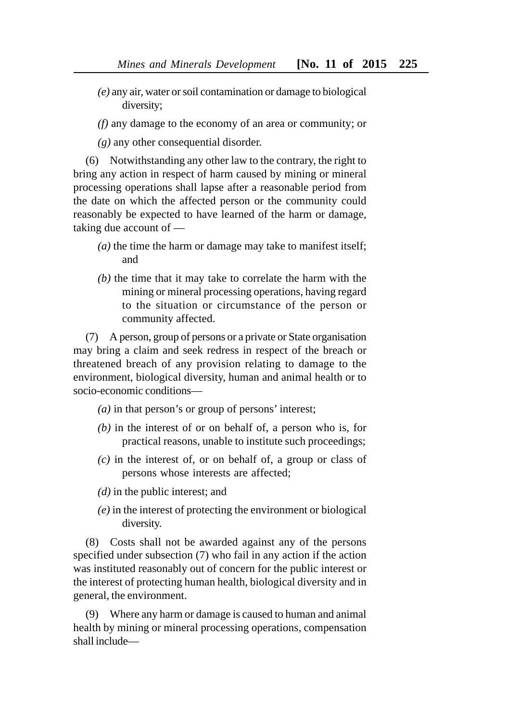- *(e)* any air, water or soil contamination or damage to biological diversity;
- *(f)* any damage to the economy of an area or community; or
- *(g)* any other consequential disorder.

(6) Notwithstanding any other law to the contrary, the right to bring any action in respect of harm caused by mining or mineral processing operations shall lapse after a reasonable period from the date on which the affected person or the community could reasonably be expected to have learned of the harm or damage, taking due account of —

- *(a)* the time the harm or damage may take to manifest itself; and
- *(b)* the time that it may take to correlate the harm with the mining or mineral processing operations, having regard to the situation or circumstance of the person or community affected.

(7) A person, group of persons or a private or State organisation may bring a claim and seek redress in respect of the breach or threatened breach of any provision relating to damage to the environment, biological diversity, human and animal health or to socio-economic conditions—

- *(a)* in that person's or group of persons' interest;
- *(b)* in the interest of or on behalf of, a person who is, for practical reasons, unable to institute such proceedings;
- *(c)* in the interest of, or on behalf of, a group or class of persons whose interests are affected;
- *(d)* in the public interest; and
- *(e)* in the interest of protecting the environment or biological diversity.

(8) Costs shall not be awarded against any of the persons specified under subsection (7) who fail in any action if the action was instituted reasonably out of concern for the public interest or the interest of protecting human health, biological diversity and in general, the environment.

(9) Where any harm or damage is caused to human and animal health by mining or mineral processing operations, compensation shall include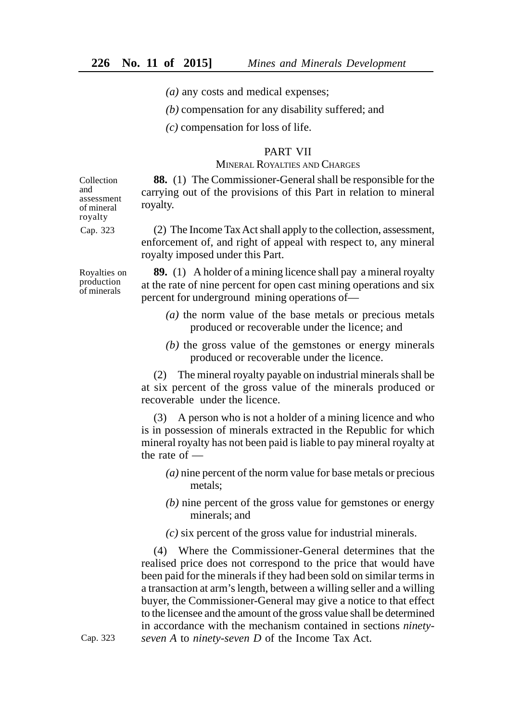*(a)* any costs and medical expenses;

*(b)* compensation for any disability suffered; and

*(c)* compensation for loss of life.

### PART VII

## MINERAL ROYALTIES AND CHARGES

**88.** (1) The Commissioner-General shall be responsible for the carrying out of the provisions of this Part in relation to mineral royalty.

(2) The Income Tax Act shall apply to the collection, assessment, enforcement of, and right of appeal with respect to, any mineral royalty imposed under this Part.

Royalties on production of minerals

Collection and assessment of mineral royalty Cap. 323

> **89.** (1) A holder of a mining licence shall pay a mineral royalty at the rate of nine percent for open cast mining operations and six percent for underground mining operations of—

- *(a)* the norm value of the base metals or precious metals produced or recoverable under the licence; and
- *(b)* the gross value of the gemstones or energy minerals produced or recoverable under the licence.

(2) The mineral royalty payable on industrial minerals shall be at six percent of the gross value of the minerals produced or recoverable under the licence.

A person who is not a holder of a mining licence and who is in possession of minerals extracted in the Republic for which mineral royalty has not been paid is liable to pay mineral royalty at the rate of —

- *(a)* nine percent of the norm value for base metals or precious metals;
- *(b)* nine percent of the gross value for gemstones or energy minerals; and
- *(c)* six percent of the gross value for industrial minerals.

(4) Where the Commissioner-General determines that the realised price does not correspond to the price that would have been paid for the minerals if they had been sold on similar terms in a transaction at arm's length, between a willing seller and a willing buyer, the Commissioner-General may give a notice to that effect to the licensee and the amount of the gross value shall be determined in accordance with the mechanism contained in sections *ninetyseven A* to *ninety-seven D* of the Income Tax Act.

Cap. 323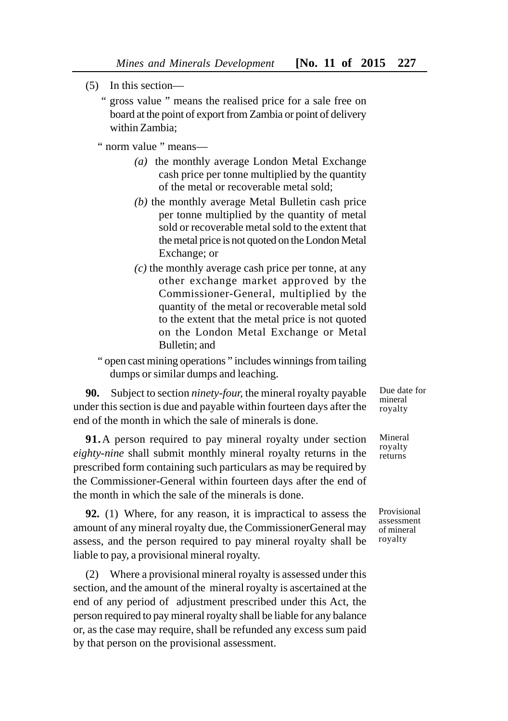- (5) In this section—
	- " gross value " means the realised price for a sale free on board at the point of export from Zambia or point of delivery within Zambia;

" norm value " means—

- *(a)* the monthly average London Metal Exchange cash price per tonne multiplied by the quantity of the metal or recoverable metal sold;
- *(b)* the monthly average Metal Bulletin cash price per tonne multiplied by the quantity of metal sold or recoverable metal sold to the extent that the metal price is not quoted on the London Metal Exchange; or
- *(c)* the monthly average cash price per tonne, at any other exchange market approved by the Commissioner-General, multiplied by the quantity of the metal or recoverable metal sold to the extent that the metal price is not quoted on the London Metal Exchange or Metal Bulletin; and
- " open cast mining operations " includes winnings from tailing dumps or similar dumps and leaching.

**90.** Subject to section *ninety-four,* the mineral royalty payable under this section is due and payable within fourteen days after the end of the month in which the sale of minerals is done.

**91.**A person required to pay mineral royalty under section *eighty-nine* shall submit monthly mineral royalty returns in the prescribed form containing such particulars as may be required by the Commissioner-General within fourteen days after the end of the month in which the sale of the minerals is done.

**92.** (1) Where, for any reason, it is impractical to assess the amount of any mineral royalty due, the CommissionerGeneral may assess, and the person required to pay mineral royalty shall be liable to pay, a provisional mineral royalty.

(2) Where a provisional mineral royalty is assessed under this section, and the amount of the mineral royalty is ascertained at the end of any period of adjustment prescribed under this Act, the person required to pay mineral royalty shall be liable for any balance or, as the case may require, shall be refunded any excess sum paid by that person on the provisional assessment.

Due date for mineral royalty

Mineral royalty returns

Provisional assessment of mineral royalty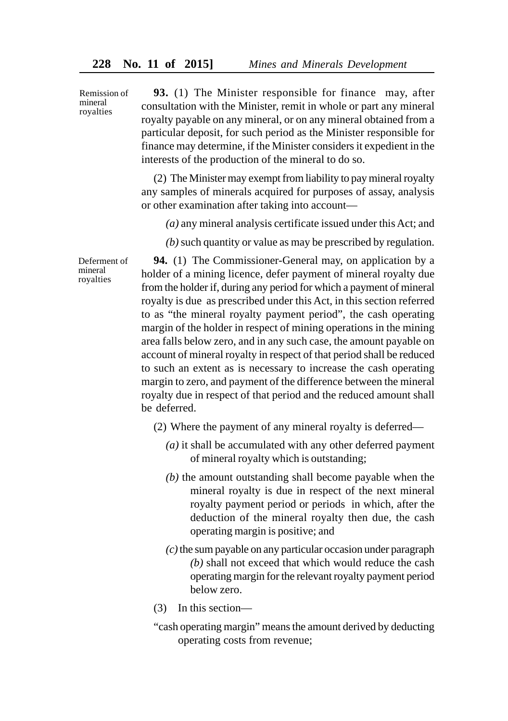Remission of mineral royalties

Deferment of mineral royalties

**93.** (1) The Minister responsible for finance may, after consultation with the Minister, remit in whole or part any mineral royalty payable on any mineral, or on any mineral obtained from a particular deposit, for such period as the Minister responsible for finance may determine, if the Minister considers it expedient in the interests of the production of the mineral to do so.

(2) The Minister may exempt from liability to pay mineral royalty any samples of minerals acquired for purposes of assay, analysis or other examination after taking into account—

*(a)* any mineral analysis certificate issued under this Act; and

*(b)* such quantity or value as may be prescribed by regulation.

**94.** (1) The Commissioner-General may, on application by a holder of a mining licence, defer payment of mineral royalty due from the holder if, during any period for which a payment of mineral royalty is due as prescribed under this Act, in this section referred to as "the mineral royalty payment period", the cash operating margin of the holder in respect of mining operations in the mining area falls below zero, and in any such case, the amount payable on account of mineral royalty in respect of that period shall be reduced to such an extent as is necessary to increase the cash operating margin to zero, and payment of the difference between the mineral royalty due in respect of that period and the reduced amount shall be deferred.

(2) Where the payment of any mineral royalty is deferred—

- *(a)* it shall be accumulated with any other deferred payment of mineral royalty which is outstanding;
- *(b)* the amount outstanding shall become payable when the mineral royalty is due in respect of the next mineral royalty payment period or periods in which, after the deduction of the mineral royalty then due, the cash operating margin is positive; and
- *(c)* the sum payable on any particular occasion under paragraph *(b)* shall not exceed that which would reduce the cash operating margin for the relevant royalty payment period below zero.
- (3) In this section—
- "cash operating margin" means the amount derived by deducting operating costs from revenue;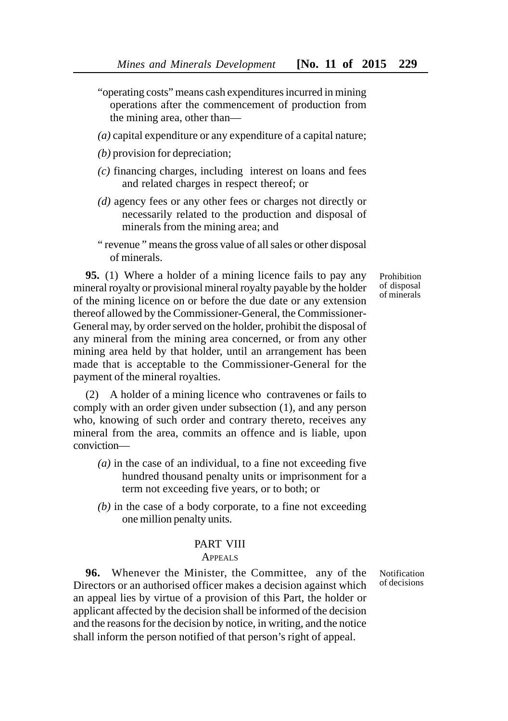- "operating costs" means cash expenditures incurred in mining operations after the commencement of production from the mining area, other than—
- *(a)* capital expenditure or any expenditure of a capital nature;
- *(b)* provision for depreciation;
- *(c)* financing charges, including interest on loans and fees and related charges in respect thereof; or
- *(d)* agency fees or any other fees or charges not directly or necessarily related to the production and disposal of minerals from the mining area; and
- " revenue " means the gross value of all sales or other disposal of minerals.

**95.** (1) Where a holder of a mining licence fails to pay any mineral royalty or provisional mineral royalty payable by the holder of the mining licence on or before the due date or any extension thereof allowed by the Commissioner-General, the Commissioner-General may, by order served on the holder, prohibit the disposal of any mineral from the mining area concerned, or from any other mining area held by that holder, until an arrangement has been made that is acceptable to the Commissioner-General for the payment of the mineral royalties.

(2) A holder of a mining licence who contravenes or fails to comply with an order given under subsection (1), and any person who, knowing of such order and contrary thereto, receives any mineral from the area, commits an offence and is liable, upon conviction—

- *(a)* in the case of an individual, to a fine not exceeding five hundred thousand penalty units or imprisonment for a term not exceeding five years, or to both; or
- *(b)* in the case of a body corporate, to a fine not exceeding one million penalty units.

# PART VIII

#### APPEALS

**96.** Whenever the Minister, the Committee, any of the Directors or an authorised officer makes a decision against which an appeal lies by virtue of a provision of this Part, the holder or applicant affected by the decision shall be informed of the decision and the reasons for the decision by notice, in writing, and the notice shall inform the person notified of that person's right of appeal.

Notification of decisions

Prohibition of disposal of minerals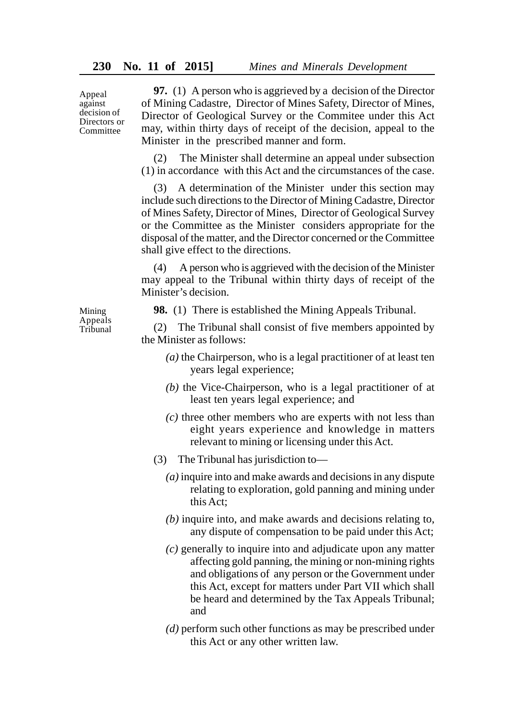Appeal against decision of Directors or Committee

**97.** (1) A person who is aggrieved by a decision of the Director of Mining Cadastre, Director of Mines Safety, Director of Mines, Director of Geological Survey or the Commitee under this Act may, within thirty days of receipt of the decision, appeal to the Minister in the prescribed manner and form.

(2) The Minister shall determine an appeal under subsection (1) in accordance with this Act and the circumstances of the case.

A determination of the Minister under this section may include such directions to the Director of Mining Cadastre, Director of Mines Safety, Director of Mines, Director of Geological Survey or the Committee as the Minister considers appropriate for the disposal of the matter, and the Director concerned or the Committee shall give effect to the directions.

(4) A person who is aggrieved with the decision of the Minister may appeal to the Tribunal within thirty days of receipt of the Minister's decision.

**98.** (1) There is established the Mining Appeals Tribunal.

(2) The Tribunal shall consist of five members appointed by the Minister as follows:

- *(a)* the Chairperson, who is a legal practitioner of at least ten years legal experience;
- *(b)* the Vice-Chairperson, who is a legal practitioner of at least ten years legal experience; and
- *(c)* three other members who are experts with not less than eight years experience and knowledge in matters relevant to mining or licensing under this Act.
- (3) The Tribunal has jurisdiction to—
	- *(a)* inquire into and make awards and decisions in any dispute relating to exploration, gold panning and mining under this Act;
	- *(b)* inquire into, and make awards and decisions relating to, any dispute of compensation to be paid under this Act;
	- *(c)* generally to inquire into and adjudicate upon any matter affecting gold panning, the mining or non-mining rights and obligations of any person or the Government under this Act, except for matters under Part VII which shall be heard and determined by the Tax Appeals Tribunal; and
	- *(d)* perform such other functions as may be prescribed under this Act or any other written law.

Mining Appeals Tribunal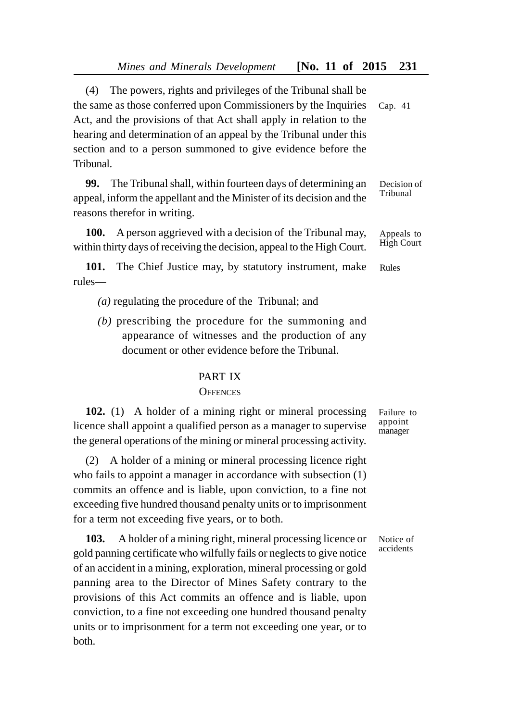(4) The powers, rights and privileges of the Tribunal shall be the same as those conferred upon Commissioners by the Inquiries Act, and the provisions of that Act shall apply in relation to the hearing and determination of an appeal by the Tribunal under this section and to a person summoned to give evidence before the Tribunal. Cap. 41

**99.** The Tribunal shall, within fourteen days of determining an appeal, inform the appellant and the Minister of its decision and the reasons therefor in writing.

**100.** A person aggrieved with a decision of the Tribunal may, within thirty days of receiving the decision, appeal to the High Court.

**101.** The Chief Justice may, by statutory instrument, make rules— Rules

*(a)* regulating the procedure of the Tribunal; and

*(b)* prescribing the procedure for the summoning and appearance of witnesses and the production of any document or other evidence before the Tribunal.

# PART IX

### **OFFENCES**

**102.** (1) A holder of a mining right or mineral processing licence shall appoint a qualified person as a manager to supervise the general operations of the mining or mineral processing activity.

(2) A holder of a mining or mineral processing licence right who fails to appoint a manager in accordance with subsection (1) commits an offence and is liable, upon conviction, to a fine not exceeding five hundred thousand penalty units or to imprisonment for a term not exceeding five years, or to both.

**103.** A holder of a mining right, mineral processing licence or gold panning certificate who wilfully fails or neglects to give notice of an accident in a mining, exploration, mineral processing or gold panning area to the Director of Mines Safety contrary to the provisions of this Act commits an offence and is liable, upon conviction, to a fine not exceeding one hundred thousand penalty units or to imprisonment for a term not exceeding one year, or to both.

Failure to appoint manager

Notice of accidents

Decision of Tribunal

Appeals to High Court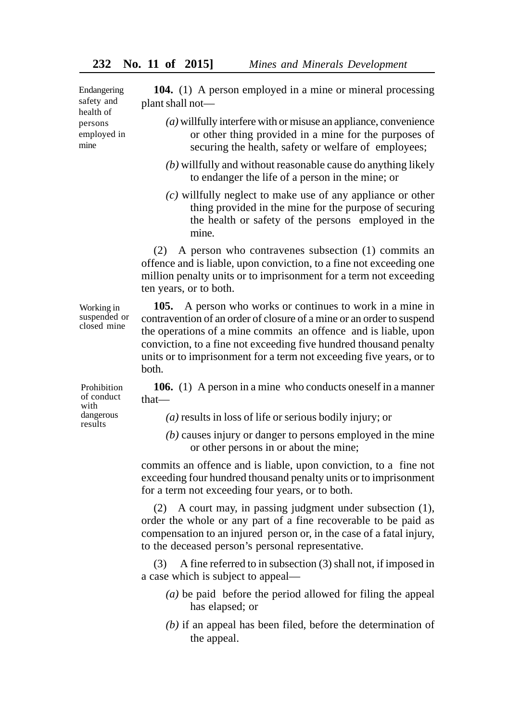Endangering safety and health of persons employed in mine

**104.** (1) A person employed in a mine or mineral processing plant shall not—

- *(a)* willfully interfere with or misuse an appliance, convenience or other thing provided in a mine for the purposes of securing the health, safety or welfare of employees;
- *(b)* willfully and without reasonable cause do anything likely to endanger the life of a person in the mine; or
- *(c)* willfully neglect to make use of any appliance or other thing provided in the mine for the purpose of securing the health or safety of the persons employed in the mine.

(2) A person who contravenes subsection (1) commits an offence and is liable, upon conviction, to a fine not exceeding one million penalty units or to imprisonment for a term not exceeding ten years, or to both.

**105.** A person who works or continues to work in a mine in contravention of an order of closure of a mine or an order to suspend the operations of a mine commits an offence and is liable, upon conviction, to a fine not exceeding five hundred thousand penalty units or to imprisonment for a term not exceeding five years, or to both.

**106.** (1) A person in a mine who conducts oneself in a manner that—

- *(a)* results in loss of life or serious bodily injury; or
- *(b)* causes injury or danger to persons employed in the mine or other persons in or about the mine;

commits an offence and is liable, upon conviction, to a fine not exceeding four hundred thousand penalty units or to imprisonment for a term not exceeding four years, or to both.

(2) A court may, in passing judgment under subsection (1), order the whole or any part of a fine recoverable to be paid as compensation to an injured person or, in the case of a fatal injury, to the deceased person's personal representative.

(3) A fine referred to in subsection (3) shall not, if imposed in a case which is subject to appeal—

- *(a)* be paid before the period allowed for filing the appeal has elapsed; or
- *(b)* if an appeal has been filed, before the determination of the appeal.

Prohibition of conduct with dangerous results

Working in suspended or closed mine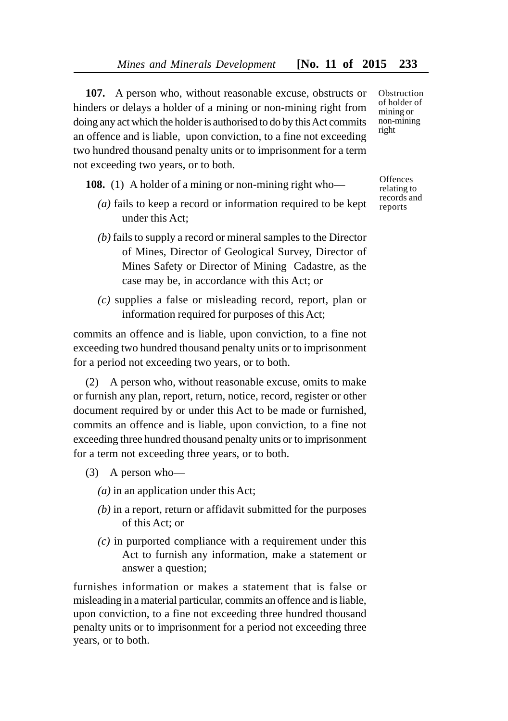**107.** A person who, without reasonable excuse, obstructs or hinders or delays a holder of a mining or non-mining right from doing any act which the holder is authorised to do by this Act commits an offence and is liable, upon conviction, to a fine not exceeding two hundred thousand penalty units or to imprisonment for a term not exceeding two years, or to both.

**108.** (1) A holder of a mining or non-mining right who—

- *(a)* fails to keep a record or information required to be kept under this Act;
- *(b)* fails to supply a record or mineral samples to the Director of Mines, Director of Geological Survey, Director of Mines Safety or Director of Mining Cadastre, as the case may be, in accordance with this Act; or
- *(c)* supplies a false or misleading record, report, plan or information required for purposes of this Act;

commits an offence and is liable, upon conviction, to a fine not exceeding two hundred thousand penalty units or to imprisonment for a period not exceeding two years, or to both.

(2) A person who, without reasonable excuse, omits to make or furnish any plan, report, return, notice, record, register or other document required by or under this Act to be made or furnished, commits an offence and is liable, upon conviction, to a fine not exceeding three hundred thousand penalty units or to imprisonment for a term not exceeding three years, or to both.

- (3) A person who—
	- *(a)* in an application under this Act;
	- *(b)* in a report, return or affidavit submitted for the purposes of this Act; or
	- *(c)* in purported compliance with a requirement under this Act to furnish any information, make a statement or answer a question;

furnishes information or makes a statement that is false or misleading in a material particular, commits an offence and is liable, upon conviction, to a fine not exceeding three hundred thousand penalty units or to imprisonment for a period not exceeding three years, or to both.

**Obstruction** of holder of mining or non-mining right

**Offences** relating to records and reports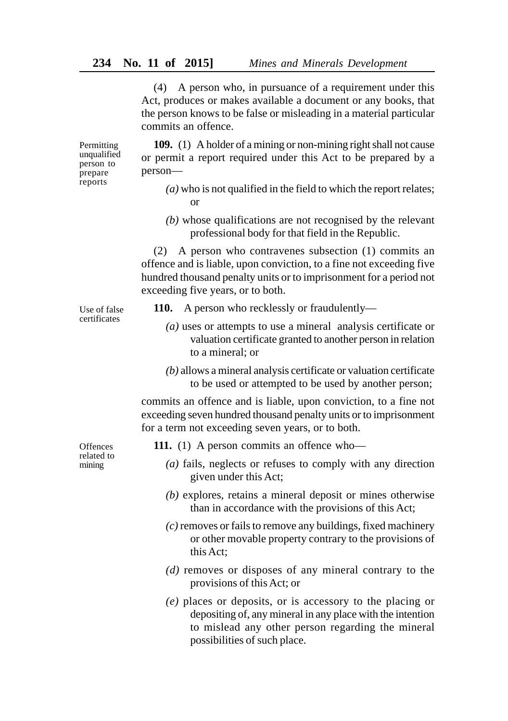(4) A person who, in pursuance of a requirement under this Act, produces or makes available a document or any books, that the person knows to be false or misleading in a material particular commits an offence.

**109.** (1) A holder of a mining or non-mining right shall not cause or permit a report required under this Act to be prepared by a person—

- *(a)* who is not qualified in the field to which the report relates; or
- *(b)* whose qualifications are not recognised by the relevant professional body for that field in the Republic.

(2) A person who contravenes subsection (1) commits an offence and is liable, upon conviction, to a fine not exceeding five hundred thousand penalty units or to imprisonment for a period not exceeding five years, or to both.

Use of false certificates

Permitting unqualified person to prepare reports

- **110.** A person who recklessly or fraudulently—
	- *(a)* uses or attempts to use a mineral analysis certificate or valuation certificate granted to another person in relation to a mineral; or
	- *(b)* allows a mineral analysis certificate or valuation certificate to be used or attempted to be used by another person;

commits an offence and is liable, upon conviction, to a fine not exceeding seven hundred thousand penalty units or to imprisonment for a term not exceeding seven years, or to both.

**Offences** related to mining

- **111.** (1) A person commits an offence who—
	- *(a)* fails, neglects or refuses to comply with any direction given under this Act;
	- *(b)* explores, retains a mineral deposit or mines otherwise than in accordance with the provisions of this Act;
	- *(c)* removes or fails to remove any buildings, fixed machinery or other movable property contrary to the provisions of this Act;
	- *(d)* removes or disposes of any mineral contrary to the provisions of this Act; or
	- *(e)* places or deposits, or is accessory to the placing or depositing of, any mineral in any place with the intention to mislead any other person regarding the mineral possibilities of such place.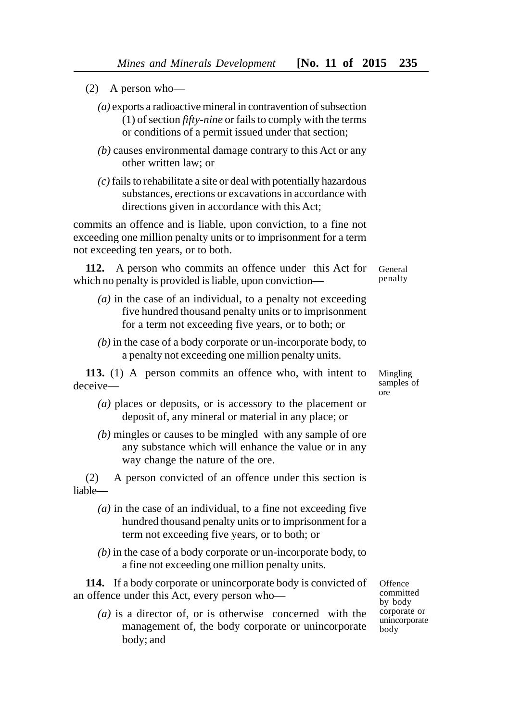- (2) A person who—
	- *(a)* exports a radioactive mineral in contravention of subsection (1) of section *fifty-nine* or fails to comply with the terms or conditions of a permit issued under that section;
	- *(b)* causes environmental damage contrary to this Act or any other written law; or
	- *(c)* fails to rehabilitate a site or deal with potentially hazardous substances, erections or excavations in accordance with directions given in accordance with this Act;

commits an offence and is liable, upon conviction, to a fine not exceeding one million penalty units or to imprisonment for a term not exceeding ten years, or to both.

**112.** A person who commits an offence under this Act for which no penalty is provided is liable, upon conviction—

- *(a)* in the case of an individual, to a penalty not exceeding five hundred thousand penalty units or to imprisonment for a term not exceeding five years, or to both; or
- *(b)* in the case of a body corporate or un-incorporate body, to a penalty not exceeding one million penalty units.

**113.** (1) A person commits an offence who, with intent to deceive—

- *(a)* places or deposits, or is accessory to the placement or deposit of, any mineral or material in any place; or
- *(b)* mingles or causes to be mingled with any sample of ore any substance which will enhance the value or in any way change the nature of the ore.

(2) A person convicted of an offence under this section is liable—

- *(a)* in the case of an individual, to a fine not exceeding five hundred thousand penalty units or to imprisonment for a term not exceeding five years, or to both; or
- *(b)* in the case of a body corporate or un-incorporate body, to a fine not exceeding one million penalty units.

**114.** If a body corporate or unincorporate body is convicted of an offence under this Act, every person who—

*(a)* is a director of, or is otherwise concerned with the management of, the body corporate or unincorporate body; and

**Offence** committed by body corporate or unincorporate body

General penalty

Mingling samples of ore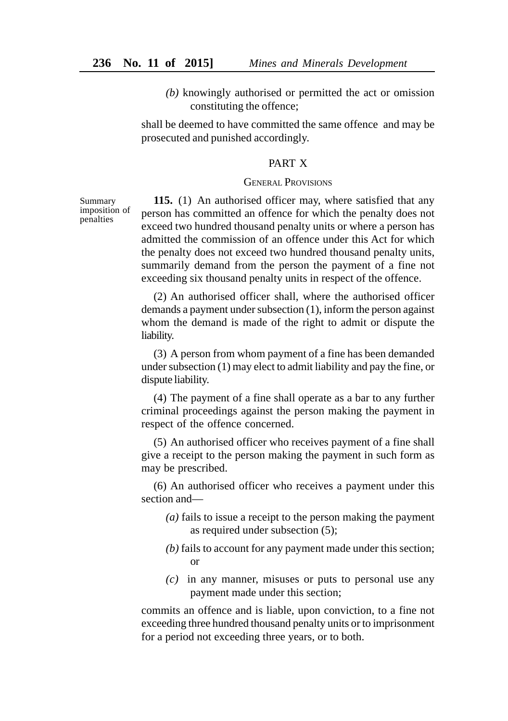*(b)* knowingly authorised or permitted the act or omission constituting the offence;

shall be deemed to have committed the same offence and may be prosecuted and punished accordingly.

### PART X

# GENERAL PROVISIONS

Summary imposition of penalties

**115.** (1) An authorised officer may, where satisfied that any person has committed an offence for which the penalty does not exceed two hundred thousand penalty units or where a person has admitted the commission of an offence under this Act for which the penalty does not exceed two hundred thousand penalty units, summarily demand from the person the payment of a fine not exceeding six thousand penalty units in respect of the offence.

(2) An authorised officer shall, where the authorised officer demands a payment under subsection (1), inform the person against whom the demand is made of the right to admit or dispute the liability.

(3) A person from whom payment of a fine has been demanded under subsection (1) may elect to admit liability and pay the fine, or dispute liability.

(4) The payment of a fine shall operate as a bar to any further criminal proceedings against the person making the payment in respect of the offence concerned.

(5) An authorised officer who receives payment of a fine shall give a receipt to the person making the payment in such form as may be prescribed.

(6) An authorised officer who receives a payment under this section and—

- *(a)* fails to issue a receipt to the person making the payment as required under subsection (5);
- *(b)* fails to account for any payment made under this section; or
- *(c)* in any manner, misuses or puts to personal use any payment made under this section;

commits an offence and is liable, upon conviction, to a fine not exceeding three hundred thousand penalty units or to imprisonment for a period not exceeding three years, or to both.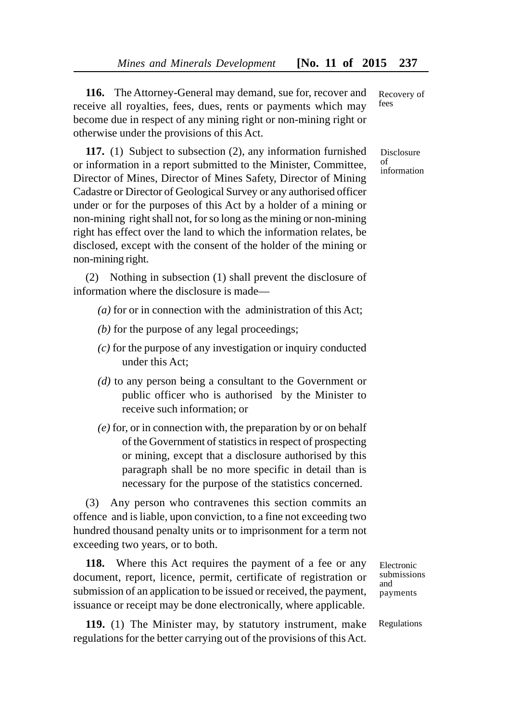**116.** The Attorney-General may demand, sue for, recover and receive all royalties, fees, dues, rents or payments which may become due in respect of any mining right or non-mining right or otherwise under the provisions of this Act.

**117.** (1) Subject to subsection (2), any information furnished or information in a report submitted to the Minister, Committee, Director of Mines, Director of Mines Safety, Director of Mining Cadastre or Director of Geological Survey or any authorised officer under or for the purposes of this Act by a holder of a mining or non-mining right shall not, for so long as the mining or non-mining right has effect over the land to which the information relates, be disclosed, except with the consent of the holder of the mining or non-mining right.

(2) Nothing in subsection (1) shall prevent the disclosure of information where the disclosure is made—

- *(a)* for or in connection with the administration of this Act;
- *(b)* for the purpose of any legal proceedings;
- *(c)* for the purpose of any investigation or inquiry conducted under this Act;
- *(d)* to any person being a consultant to the Government or public officer who is authorised by the Minister to receive such information; or
- *(e)* for, or in connection with, the preparation by or on behalf of the Government of statistics in respect of prospecting or mining, except that a disclosure authorised by this paragraph shall be no more specific in detail than is necessary for the purpose of the statistics concerned.

(3) Any person who contravenes this section commits an offence and is liable, upon conviction, to a fine not exceeding two hundred thousand penalty units or to imprisonment for a term not exceeding two years, or to both.

**118.** Where this Act requires the payment of a fee or any document, report, licence, permit, certificate of registration or submission of an application to be issued or received, the payment, issuance or receipt may be done electronically, where applicable.

**119.** (1) The Minister may, by statutory instrument, make regulations for the better carrying out of the provisions of this Act.

Electronic submissions and payments

Regulations

Recovery of fees

Disclosure  $\alpha$ f information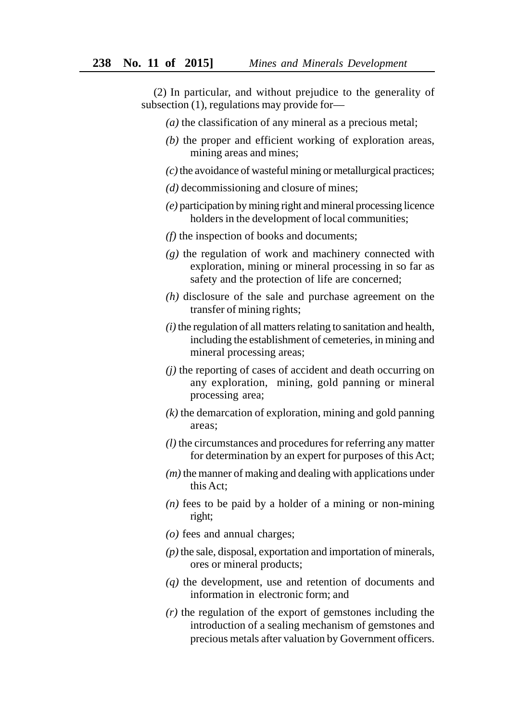(2) In particular, and without prejudice to the generality of subsection (1), regulations may provide for—

- *(a)* the classification of any mineral as a precious metal;
- *(b)* the proper and efficient working of exploration areas, mining areas and mines;
- *(c)* the avoidance of wasteful mining or metallurgical practices;
- *(d)* decommissioning and closure of mines;
- *(e)* participation by mining right and mineral processing licence holders in the development of local communities;
- *(f)* the inspection of books and documents;
- *(g)* the regulation of work and machinery connected with exploration, mining or mineral processing in so far as safety and the protection of life are concerned;
- *(h)* disclosure of the sale and purchase agreement on the transfer of mining rights;
- *(i)* the regulation of all matters relating to sanitation and health, including the establishment of cemeteries, in mining and mineral processing areas;
- *(j)* the reporting of cases of accident and death occurring on any exploration, mining, gold panning or mineral processing area;
- *(k)* the demarcation of exploration, mining and gold panning areas;
- *(l)* the circumstances and procedures for referring any matter for determination by an expert for purposes of this Act;
- *(m)* the manner of making and dealing with applications under this Act;
- $(n)$  fees to be paid by a holder of a mining or non-mining right;
- *(o)* fees and annual charges;
- *(p)* the sale, disposal, exportation and importation of minerals, ores or mineral products;
- *(q)* the development, use and retention of documents and information in electronic form; and
- *(r)* the regulation of the export of gemstones including the introduction of a sealing mechanism of gemstones and precious metals after valuation by Government officers.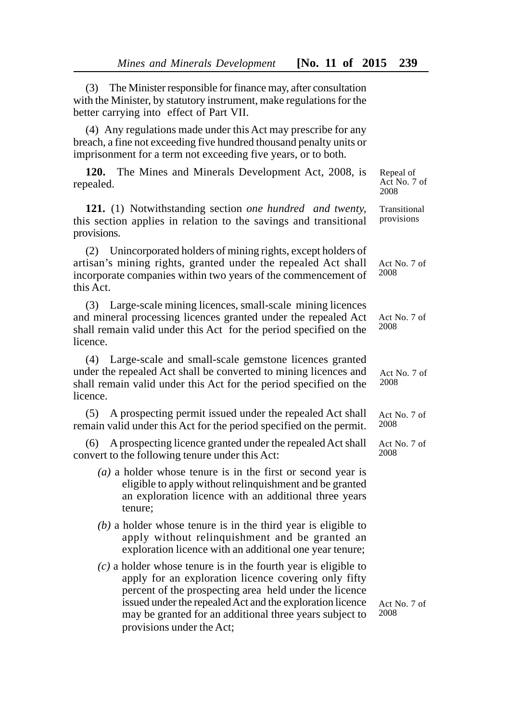(3) The Minister responsible for finance may, after consultation with the Minister, by statutory instrument, make regulations for the better carrying into effect of Part VII.

(4) Any regulations made under this Act may prescribe for any breach, a fine not exceeding five hundred thousand penalty units or imprisonment for a term not exceeding five years, or to both.

**120.** The Mines and Minerals Development Act, 2008, is repealed.

**121.** (1) Notwithstanding section *one hundred and twenty,* this section applies in relation to the savings and transitional provisions.

(2) Unincorporated holders of mining rights, except holders of artisan's mining rights, granted under the repealed Act shall incorporate companies within two years of the commencement of this Act.

(3) Large-scale mining licences, small-scale mining licences and mineral processing licences granted under the repealed Act shall remain valid under this Act for the period specified on the licence.

(4) Large-scale and small-scale gemstone licences granted under the repealed Act shall be converted to mining licences and shall remain valid under this Act for the period specified on the licence.

(5) A prospecting permit issued under the repealed Act shall remain valid under this Act for the period specified on the permit.

(6) A prospecting licence granted under the repealed Act shall convert to the following tenure under this Act:

- *(a)* a holder whose tenure is in the first or second year is eligible to apply without relinquishment and be granted an exploration licence with an additional three years tenure;
- *(b)* a holder whose tenure is in the third year is eligible to apply without relinquishment and be granted an exploration licence with an additional one year tenure;
- *(c)* a holder whose tenure is in the fourth year is eligible to apply for an exploration licence covering only fifty percent of the prospecting area held under the licence issued under the repealed Act and the exploration licence may be granted for an additional three years subject to provisions under the Act;

Repeal of Act No. 7 of 2008

Transitional provisions

Act No. 7 of 2008

Act No. 7 of 2008

Act No. 7 of 2008

Act No. 7 of 2008

Act No. 7 of 2008

Act No. 7 of 2008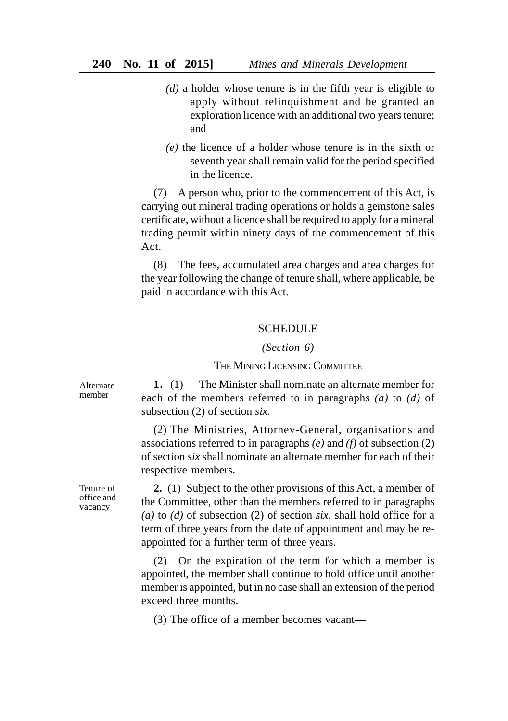- *(d)* a holder whose tenure is in the fifth year is eligible to apply without relinquishment and be granted an exploration licence with an additional two years tenure; and
- *(e)* the licence of a holder whose tenure is in the sixth or seventh year shall remain valid for the period specified in the licence.

(7) A person who, prior to the commencement of this Act, is carrying out mineral trading operations or holds a gemstone sales certificate, without a licence shall be required to apply for a mineral trading permit within ninety days of the commencement of this Act.

(8) The fees, accumulated area charges and area charges for the year following the change of tenure shall, where applicable, be paid in accordance with this Act.

### **SCHEDULE**

#### *(Section 6)*

## THE MINING LICENSING COMMITTEE

**1.** (1) The Minister shall nominate an alternate member for each of the members referred to in paragraphs *(a)* to *(d)* of subsection (2) of section *six.*

(2) The Ministries, Attorney-General, organisations and associations referred to in paragraphs *(e)* and *(f)* of subsection (2) of section *six* shall nominate an alternate member for each of their respective members.

**2.** (1) Subject to the other provisions of this Act, a member of the Committee, other than the members referred to in paragraphs *(a)* to *(d)* of subsection (2) of section *six*, shall hold office for a term of three years from the date of appointment and may be reappointed for a further term of three years.

(2) On the expiration of the term for which a member is appointed, the member shall continue to hold office until another member is appointed, but in no case shall an extension of the period exceed three months.

(3) The office of a member becomes vacant—

Alternate member

Tenure of office and vacancy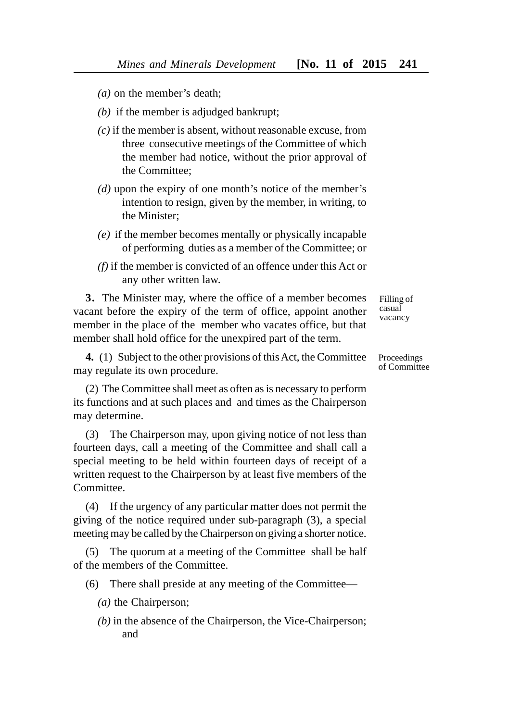- *(a)* on the member's death;
- *(b)* if the member is adjudged bankrupt:
- *(c)* if the member is absent, without reasonable excuse, from three consecutive meetings of the Committee of which the member had notice, without the prior approval of the Committee;
- *(d)* upon the expiry of one month's notice of the member's intention to resign, given by the member, in writing, to the Minister;
- *(e)* if the member becomes mentally or physically incapable of performing duties as a member of the Committee; or
- *(f)* if the member is convicted of an offence under this Act or any other written law.

**3.** The Minister may, where the office of a member becomes vacant before the expiry of the term of office, appoint another member in the place of the member who vacates office, but that member shall hold office for the unexpired part of the term.

**4.** (1) Subject to the other provisions of this Act, the Committee may regulate its own procedure.

(2) The Committee shall meet as often as is necessary to perform its functions and at such places and and times as the Chairperson may determine.

(3) The Chairperson may, upon giving notice of not less than fourteen days, call a meeting of the Committee and shall call a special meeting to be held within fourteen days of receipt of a written request to the Chairperson by at least five members of the Committee.

(4) If the urgency of any particular matter does not permit the giving of the notice required under sub-paragraph (3), a special meeting may be called by the Chairperson on giving a shorter notice.

(5) The quorum at a meeting of the Committee shall be half of the members of the Committee.

(6) There shall preside at any meeting of the Committee—

- *(a)* the Chairperson;
- *(b)* in the absence of the Chairperson, the Vice-Chairperson; and

Filling of casual vacancy

Proceedings of Committee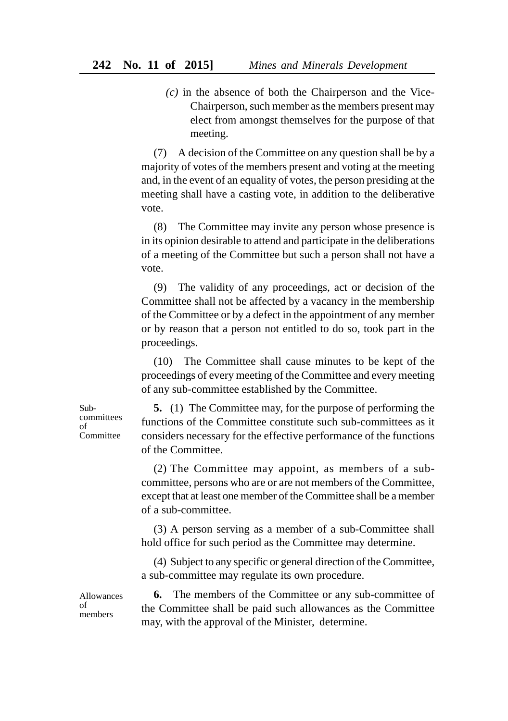*(c)* in the absence of both the Chairperson and the Vice-Chairperson, such member as the members present may elect from amongst themselves for the purpose of that meeting.

(7) A decision of the Committee on any question shall be by a majority of votes of the members present and voting at the meeting and, in the event of an equality of votes, the person presiding at the meeting shall have a casting vote, in addition to the deliberative vote.

(8) The Committee may invite any person whose presence is in its opinion desirable to attend and participate in the deliberations of a meeting of the Committee but such a person shall not have a vote.

(9) The validity of any proceedings, act or decision of the Committee shall not be affected by a vacancy in the membership of the Committee or by a defect in the appointment of any member or by reason that a person not entitled to do so, took part in the proceedings.

(10) The Committee shall cause minutes to be kept of the proceedings of every meeting of the Committee and every meeting of any sub-committee established by the Committee.

Subcommittees of **Committee** 

**5.** (1) The Committee may, for the purpose of performing the functions of the Committee constitute such sub-committees as it considers necessary for the effective performance of the functions of the Committee.

(2) The Committee may appoint, as members of a subcommittee, persons who are or are not members of the Committee, except that at least one member of the Committee shall be a member of a sub-committee.

(3) A person serving as a member of a sub-Committee shall hold office for such period as the Committee may determine.

(4) Subject to any specific or general direction of the Committee, a sub-committee may regulate its own procedure.

Allowances of members

**6.** The members of the Committee or any sub-committee of the Committee shall be paid such allowances as the Committee may, with the approval of the Minister, determine.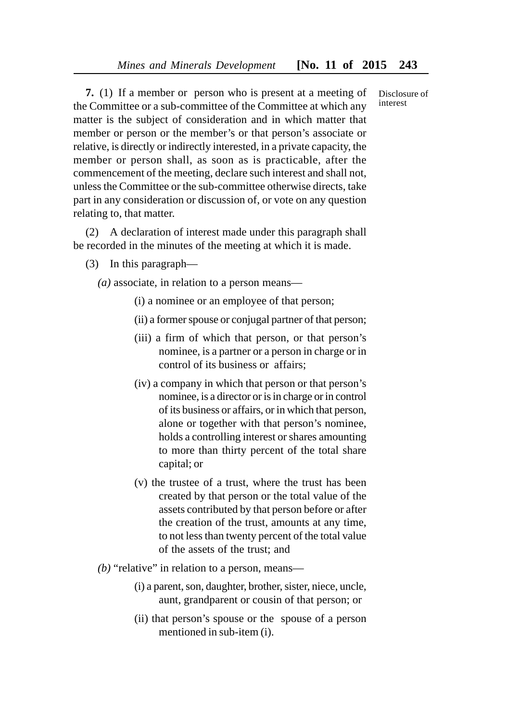**7.** (1) If a member or person who is present at a meeting of the Committee or a sub-committee of the Committee at which any matter is the subject of consideration and in which matter that member or person or the member's or that person's associate or relative, is directly or indirectly interested, in a private capacity, the member or person shall, as soon as is practicable, after the commencement of the meeting, declare such interest and shall not, unless the Committee or the sub-committee otherwise directs, take part in any consideration or discussion of, or vote on any question relating to, that matter.

(2) A declaration of interest made under this paragraph shall be recorded in the minutes of the meeting at which it is made.

(3) In this paragraph—

*(a)* associate, in relation to a person means—

- (i) a nominee or an employee of that person;
- (ii) a former spouse or conjugal partner of that person;
- (iii) a firm of which that person, or that person's nominee, is a partner or a person in charge or in control of its business or affairs;
- (iv) a company in which that person or that person's nominee, is a director or is in charge or in control of its business or affairs, or in which that person, alone or together with that person's nominee, holds a controlling interest or shares amounting to more than thirty percent of the total share capital; or
- (v) the trustee of a trust, where the trust has been created by that person or the total value of the assets contributed by that person before or after the creation of the trust, amounts at any time, to not less than twenty percent of the total value of the assets of the trust; and
- *(b)* "relative" in relation to a person, means—
	- (i) a parent, son, daughter, brother, sister, niece, uncle, aunt, grandparent or cousin of that person; or
	- (ii) that person's spouse or the spouse of a person mentioned in sub-item (i).

Disclosure of interest